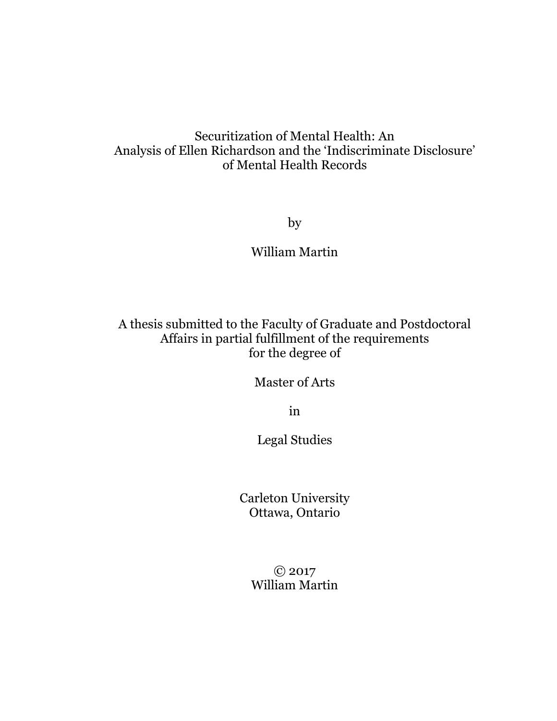## Securitization of Mental Health: An Analysis of Ellen Richardson and the 'Indiscriminate Disclosure' of Mental Health Records

by

William Martin

A thesis submitted to the Faculty of Graduate and Postdoctoral Affairs in partial fulfillment of the requirements for the degree of

Master of Arts

in

Legal Studies

Carleton University Ottawa, Ontario

> © 2017 William Martin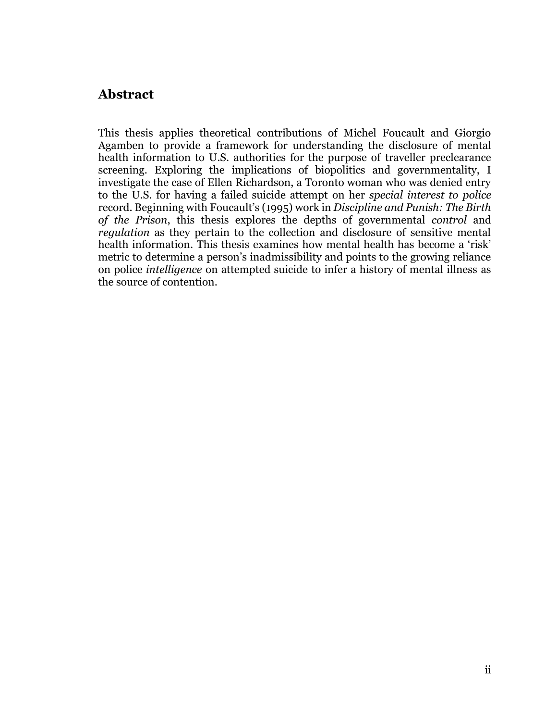### <span id="page-1-0"></span>**Abstract**

This thesis applies theoretical contributions of Michel Foucault and Giorgio Agamben to provide a framework for understanding the disclosure of mental health information to U.S. authorities for the purpose of traveller preclearance screening. Exploring the implications of biopolitics and governmentality, I investigate the case of Ellen Richardson, a Toronto woman who was denied entry to the U.S. for having a failed suicide attempt on her *special interest to police* record. Beginning with Foucault's (1995) work in *Discipline and Punish: The Birth of the Prison*, this thesis explores the depths of governmental *control* and *regulation* as they pertain to the collection and disclosure of sensitive mental health information. This thesis examines how mental health has become a 'risk' metric to determine a person's inadmissibility and points to the growing reliance on police *intelligence* on attempted suicide to infer a history of mental illness as the source of contention.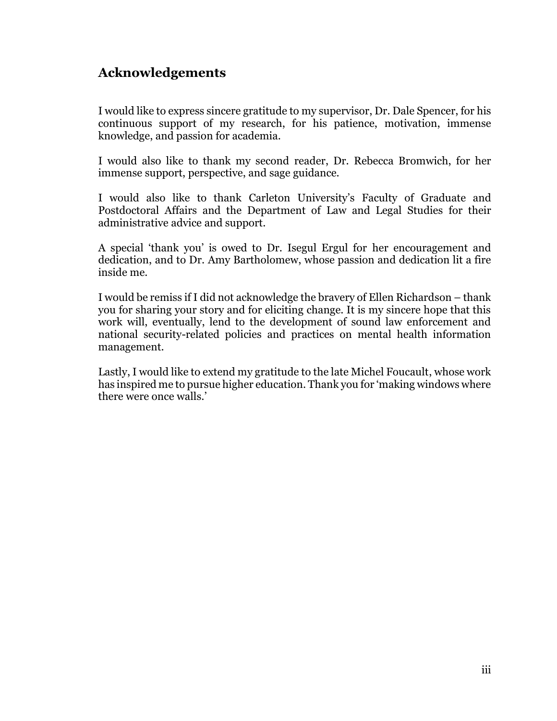## <span id="page-2-0"></span>**Acknowledgements**

I would like to express sincere gratitude to my supervisor, Dr. Dale Spencer, for his continuous support of my research, for his patience, motivation, immense knowledge, and passion for academia.

I would also like to thank my second reader, Dr. Rebecca Bromwich, for her immense support, perspective, and sage guidance.

I would also like to thank Carleton University's Faculty of Graduate and Postdoctoral Affairs and the Department of Law and Legal Studies for their administrative advice and support.

A special 'thank you' is owed to Dr. Isegul Ergul for her encouragement and dedication, and to Dr. Amy Bartholomew, whose passion and dedication lit a fire inside me.

I would be remiss if I did not acknowledge the bravery of Ellen Richardson – thank you for sharing your story and for eliciting change. It is my sincere hope that this work will, eventually, lend to the development of sound law enforcement and national security-related policies and practices on mental health information management.

Lastly, I would like to extend my gratitude to the late Michel Foucault, whose work has inspired me to pursue higher education. Thank you for 'making windows where there were once walls.'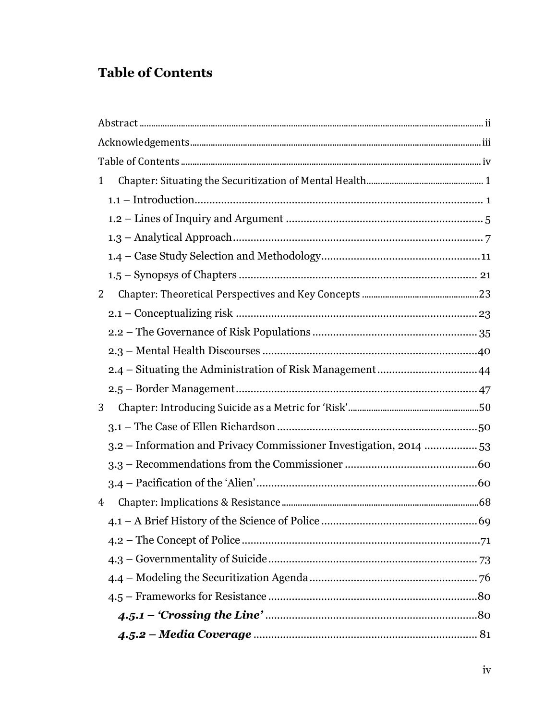# <span id="page-3-0"></span>**Table of Contents**

| 1 |                                                                    |    |
|---|--------------------------------------------------------------------|----|
|   |                                                                    |    |
|   |                                                                    |    |
|   |                                                                    |    |
|   |                                                                    |    |
|   |                                                                    |    |
| 2 |                                                                    |    |
|   |                                                                    |    |
|   |                                                                    |    |
|   |                                                                    |    |
|   |                                                                    |    |
|   |                                                                    |    |
| 3 |                                                                    |    |
|   |                                                                    |    |
|   | 3.2 – Information and Privacy Commissioner Investigation, 2014  53 |    |
|   |                                                                    |    |
|   |                                                                    |    |
| 4 |                                                                    |    |
|   |                                                                    | 69 |
|   |                                                                    |    |
|   |                                                                    |    |
|   |                                                                    |    |
|   |                                                                    |    |
|   |                                                                    |    |
|   |                                                                    |    |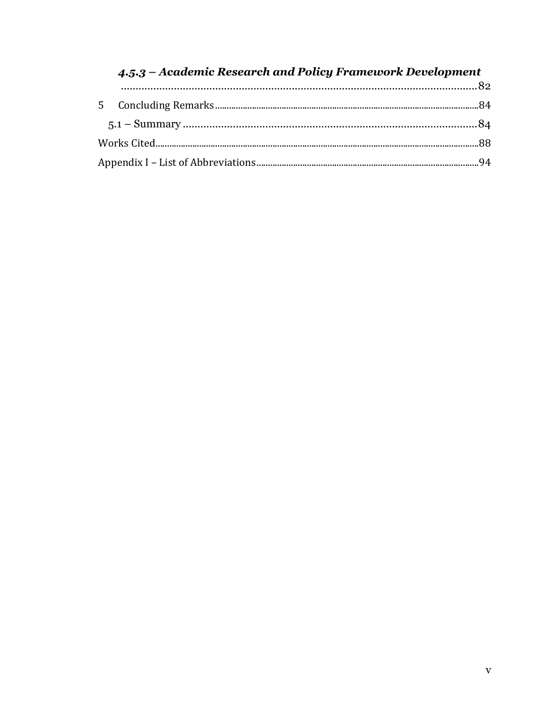## 4.5.3 - Academic Research and Policy Framework Development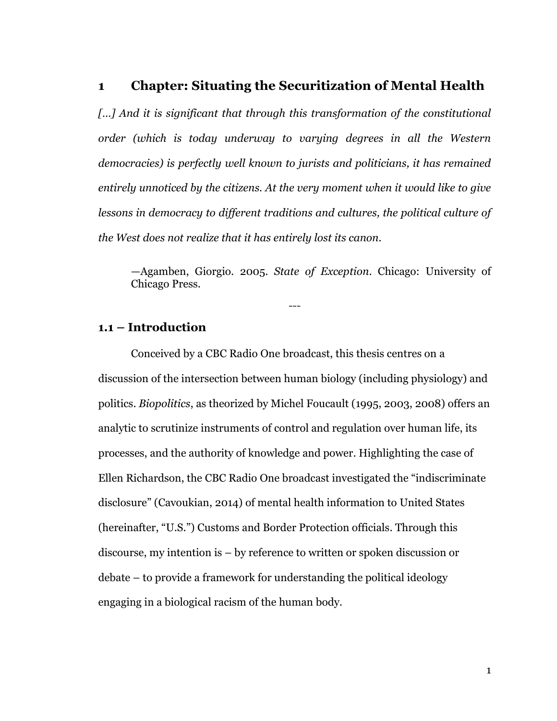#### <span id="page-5-0"></span>**1 Chapter: Situating the Securitization of Mental Health**

[...] And it is significant that through this transformation of the constitutional *order (which is today underway to varying degrees in all the Western democracies) is perfectly well known to jurists and politicians, it has remained entirely unnoticed by the citizens. At the very moment when it would like to give*  lessons in democracy to different traditions and cultures, the political culture of *the West does not realize that it has entirely lost its canon.*

—Agamben, Giorgio. 2005. *State of Exception*. Chicago: University of Chicago Press.

---

#### <span id="page-5-1"></span>**1.1 – Introduction**

Conceived by a CBC Radio One broadcast, this thesis centres on a discussion of the intersection between human biology (including physiology) and politics. *Biopolitics*, as theorized by Michel Foucault (1995, 2003, 2008) offers an analytic to scrutinize instruments of control and regulation over human life, its processes, and the authority of knowledge and power. Highlighting the case of Ellen Richardson, the CBC Radio One broadcast investigated the "indiscriminate disclosure" (Cavoukian, 2014) of mental health information to United States (hereinafter, "U.S.") Customs and Border Protection officials. Through this discourse, my intention is – by reference to written or spoken discussion or debate – to provide a framework for understanding the political ideology engaging in a biological racism of the human body.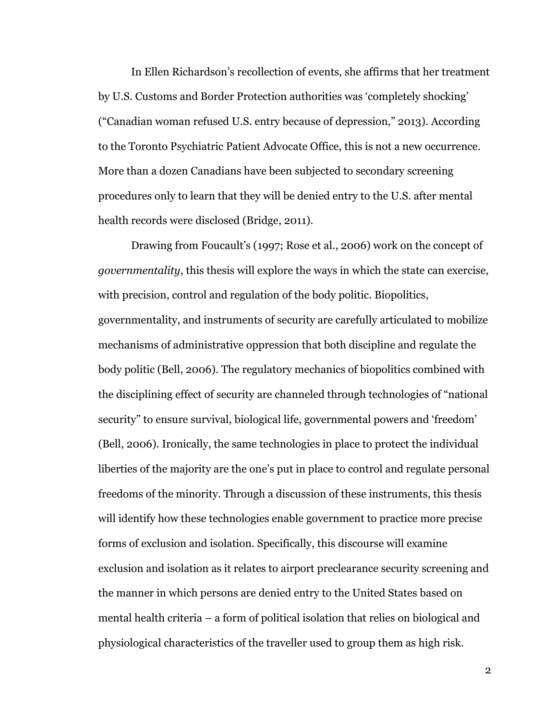In Ellen Richardson's recollection of events, she affirms that her treatment by U.S. Customs and Border Protection authorities was 'completely shocking' ("Canadian woman refused U.S. entry because of depression," 2013). According to the Toronto Psychiatric Patient Advocate Office, this is not a new occurrence. More than a dozen Canadians have been subjected to secondary screening procedures only to learn that they will be denied entry to the U.S. after mental health records were disclosed (Bridge, 2011).

Drawing from Foucault's (1997; Rose et al., 2006) work on the concept of *governmentality*, this thesis will explore the ways in which the state can exercise, with precision, control and regulation of the body politic. Biopolitics, governmentality, and instruments of security are carefully articulated to mobilize mechanisms of administrative oppression that both discipline and regulate the body politic (Bell, 2006). The regulatory mechanics of biopolitics combined with the disciplining effect of security are channeled through technologies of "national security" to ensure survival, biological life, governmental powers and 'freedom' (Bell, 2006). Ironically, the same technologies in place to protect the individual liberties of the majority are the one's put in place to control and regulate personal freedoms of the minority. Through a discussion of these instruments, this thesis will identify how these technologies enable government to practice more precise forms of exclusion and isolation. Specifically, this discourse will examine exclusion and isolation as it relates to airport preclearance security screening and the manner in which persons are denied entry to the United States based on mental health criteria – a form of political isolation that relies on biological and physiological characteristics of the traveller used to group them as high risk.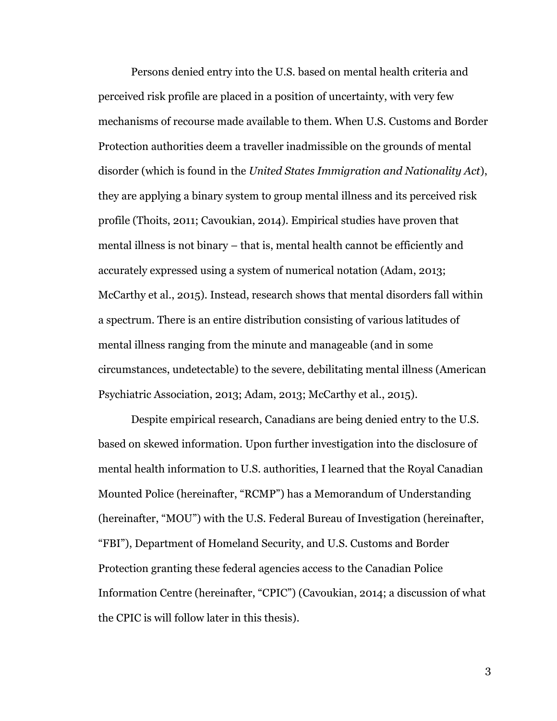Persons denied entry into the U.S. based on mental health criteria and perceived risk profile are placed in a position of uncertainty, with very few mechanisms of recourse made available to them. When U.S. Customs and Border Protection authorities deem a traveller inadmissible on the grounds of mental disorder (which is found in the *United States Immigration and Nationality Act*), they are applying a binary system to group mental illness and its perceived risk profile (Thoits, 2011; Cavoukian, 2014). Empirical studies have proven that mental illness is not binary – that is, mental health cannot be efficiently and accurately expressed using a system of numerical notation (Adam, 2013; McCarthy et al., 2015). Instead, research shows that mental disorders fall within a spectrum. There is an entire distribution consisting of various latitudes of mental illness ranging from the minute and manageable (and in some circumstances, undetectable) to the severe, debilitating mental illness (American Psychiatric Association, 2013; Adam, 2013; McCarthy et al., 2015).

Despite empirical research, Canadians are being denied entry to the U.S. based on skewed information. Upon further investigation into the disclosure of mental health information to U.S. authorities, I learned that the Royal Canadian Mounted Police (hereinafter, "RCMP") has a Memorandum of Understanding (hereinafter, "MOU") with the U.S. Federal Bureau of Investigation (hereinafter, "FBI"), Department of Homeland Security, and U.S. Customs and Border Protection granting these federal agencies access to the Canadian Police Information Centre (hereinafter, "CPIC") (Cavoukian, 2014; a discussion of what the CPIC is will follow later in this thesis).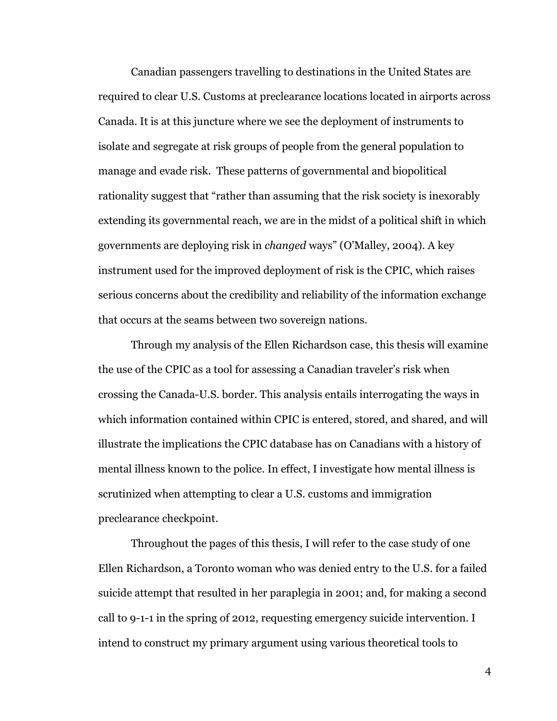Canadian passengers travelling to destinations in the United States are required to clear U.S. Customs at preclearance locations located in airports across Canada. It is at this juncture where we see the deployment of instruments to isolate and segregate at risk groups of people from the general population to manage and evade risk. These patterns of governmental and biopolitical rationality suggest that "rather than assuming that the risk society is inexorably extending its governmental reach, we are in the midst of a political shift in which governments are deploying risk in *changed* ways" (O'Malley, 2004). A key instrument used for the improved deployment of risk is the CPIC, which raises serious concerns about the credibility and reliability of the information exchange that occurs at the seams between two sovereign nations.

Through my analysis of the Ellen Richardson case, this thesis will examine the use of the CPIC as a tool for assessing a Canadian traveler's risk when crossing the Canada-U.S. border. This analysis entails interrogating the ways in which information contained within CPIC is entered, stored, and shared, and will illustrate the implications the CPIC database has on Canadians with a history of mental illness known to the police. In effect, I investigate how mental illness is scrutinized when attempting to clear a U.S. customs and immigration preclearance checkpoint.

Throughout the pages of this thesis, I will refer to the case study of one Ellen Richardson, a Toronto woman who was denied entry to the U.S. for a failed suicide attempt that resulted in her paraplegia in 2001; and, for making a second call to 9-1-1 in the spring of 2012, requesting emergency suicide intervention. I intend to construct my primary argument using various theoretical tools to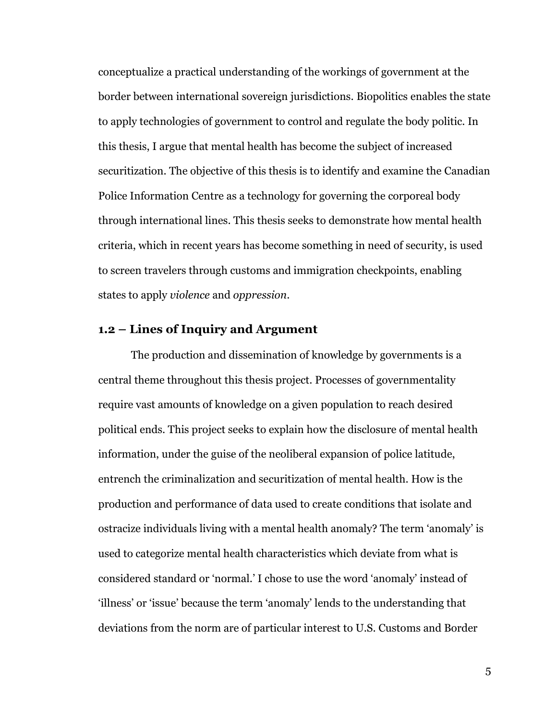conceptualize a practical understanding of the workings of government at the border between international sovereign jurisdictions. Biopolitics enables the state to apply technologies of government to control and regulate the body politic. In this thesis, I argue that mental health has become the subject of increased securitization. The objective of this thesis is to identify and examine the Canadian Police Information Centre as a technology for governing the corporeal body through international lines. This thesis seeks to demonstrate how mental health criteria, which in recent years has become something in need of security, is used to screen travelers through customs and immigration checkpoints, enabling states to apply *violence* and *oppression*.

#### <span id="page-9-0"></span>**1.2 – Lines of Inquiry and Argument**

The production and dissemination of knowledge by governments is a central theme throughout this thesis project. Processes of governmentality require vast amounts of knowledge on a given population to reach desired political ends. This project seeks to explain how the disclosure of mental health information, under the guise of the neoliberal expansion of police latitude, entrench the criminalization and securitization of mental health. How is the production and performance of data used to create conditions that isolate and ostracize individuals living with a mental health anomaly? The term 'anomaly' is used to categorize mental health characteristics which deviate from what is considered standard or 'normal.' I chose to use the word 'anomaly' instead of 'illness' or 'issue' because the term 'anomaly' lends to the understanding that deviations from the norm are of particular interest to U.S. Customs and Border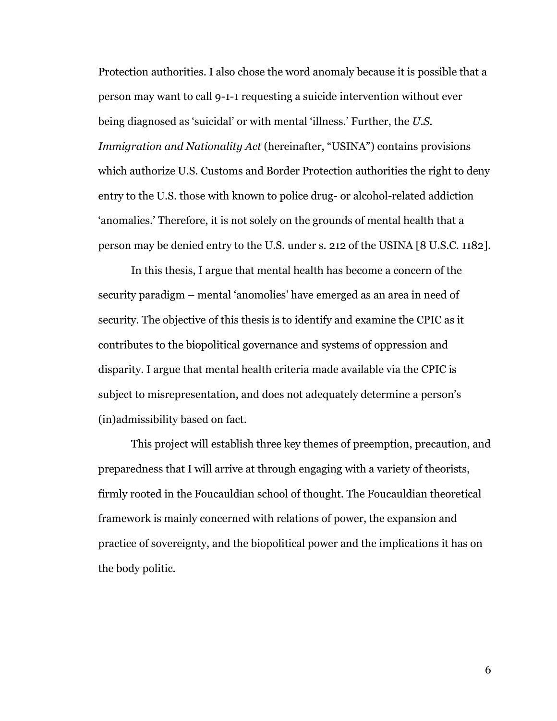Protection authorities. I also chose the word anomaly because it is possible that a person may want to call 9-1-1 requesting a suicide intervention without ever being diagnosed as 'suicidal' or with mental 'illness.' Further, the *U.S. Immigration and Nationality Act* (hereinafter, "USINA") contains provisions which authorize U.S. Customs and Border Protection authorities the right to deny entry to the U.S. those with known to police drug- or alcohol-related addiction 'anomalies.' Therefore, it is not solely on the grounds of mental health that a person may be denied entry to the U.S. under s. 212 of the USINA [8 U.S.C. 1182].

In this thesis, I argue that mental health has become a concern of the security paradigm – mental 'anomolies' have emerged as an area in need of security. The objective of this thesis is to identify and examine the CPIC as it contributes to the biopolitical governance and systems of oppression and disparity. I argue that mental health criteria made available via the CPIC is subject to misrepresentation, and does not adequately determine a person's (in)admissibility based on fact.

This project will establish three key themes of preemption, precaution, and preparedness that I will arrive at through engaging with a variety of theorists, firmly rooted in the Foucauldian school of thought. The Foucauldian theoretical framework is mainly concerned with relations of power, the expansion and practice of sovereignty, and the biopolitical power and the implications it has on the body politic.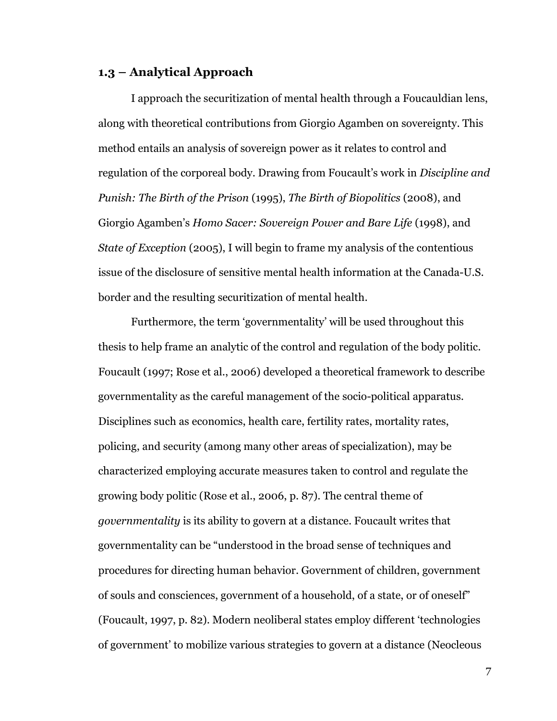#### <span id="page-11-0"></span>**1.3 – Analytical Approach**

I approach the securitization of mental health through a Foucauldian lens, along with theoretical contributions from Giorgio Agamben on sovereignty. This method entails an analysis of sovereign power as it relates to control and regulation of the corporeal body. Drawing from Foucault's work in *Discipline and Punish: The Birth of the Prison* (1995), *The Birth of Biopolitics* (2008), and Giorgio Agamben's *Homo Sacer: Sovereign Power and Bare Life* (1998), and *State of Exception* (2005), I will begin to frame my analysis of the contentious issue of the disclosure of sensitive mental health information at the Canada-U.S. border and the resulting securitization of mental health.

Furthermore, the term 'governmentality' will be used throughout this thesis to help frame an analytic of the control and regulation of the body politic. Foucault (1997; Rose et al., 2006) developed a theoretical framework to describe governmentality as the careful management of the socio-political apparatus. Disciplines such as economics, health care, fertility rates, mortality rates, policing, and security (among many other areas of specialization), may be characterized employing accurate measures taken to control and regulate the growing body politic (Rose et al., 2006, p. 87). The central theme of *governmentality* is its ability to govern at a distance. Foucault writes that governmentality can be "understood in the broad sense of techniques and procedures for directing human behavior. Government of children, government of souls and consciences, government of a household, of a state, or of oneself" (Foucault, 1997, p. 82). Modern neoliberal states employ different 'technologies of government' to mobilize various strategies to govern at a distance (Neocleous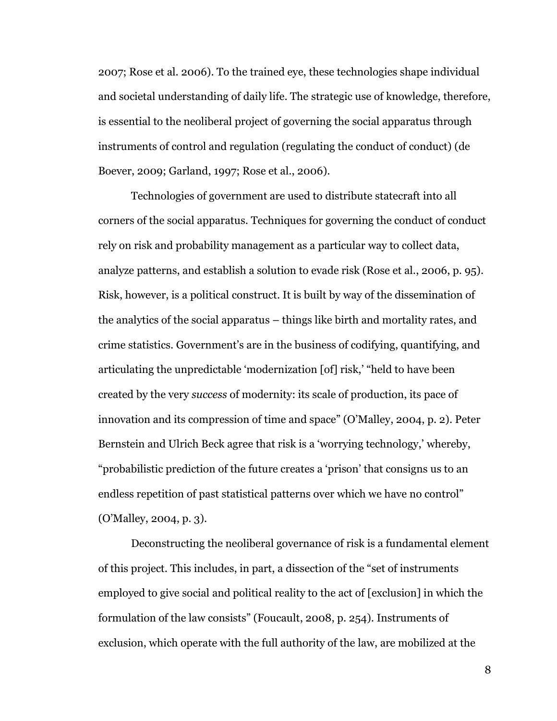2007; Rose et al. 2006). To the trained eye, these technologies shape individual and societal understanding of daily life. The strategic use of knowledge, therefore, is essential to the neoliberal project of governing the social apparatus through instruments of control and regulation (regulating the conduct of conduct) (de Boever, 2009; Garland, 1997; Rose et al., 2006).

Technologies of government are used to distribute statecraft into all corners of the social apparatus. Techniques for governing the conduct of conduct rely on risk and probability management as a particular way to collect data, analyze patterns, and establish a solution to evade risk (Rose et al., 2006, p. 95). Risk, however, is a political construct. It is built by way of the dissemination of the analytics of the social apparatus – things like birth and mortality rates, and crime statistics. Government's are in the business of codifying, quantifying, and articulating the unpredictable 'modernization [of] risk,' "held to have been created by the very *success* of modernity: its scale of production, its pace of innovation and its compression of time and space" (O'Malley, 2004, p. 2). Peter Bernstein and Ulrich Beck agree that risk is a 'worrying technology,' whereby, "probabilistic prediction of the future creates a 'prison' that consigns us to an endless repetition of past statistical patterns over which we have no control" (O'Malley, 2004, p. 3).

Deconstructing the neoliberal governance of risk is a fundamental element of this project. This includes, in part, a dissection of the "set of instruments employed to give social and political reality to the act of [exclusion] in which the formulation of the law consists" (Foucault, 2008, p. 254). Instruments of exclusion, which operate with the full authority of the law, are mobilized at the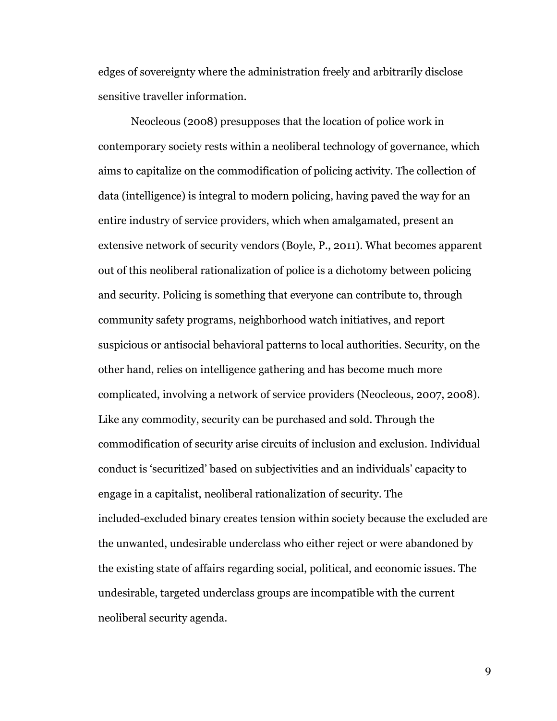edges of sovereignty where the administration freely and arbitrarily disclose sensitive traveller information.

Neocleous (2008) presupposes that the location of police work in contemporary society rests within a neoliberal technology of governance, which aims to capitalize on the commodification of policing activity. The collection of data (intelligence) is integral to modern policing, having paved the way for an entire industry of service providers, which when amalgamated, present an extensive network of security vendors (Boyle, P., 2011). What becomes apparent out of this neoliberal rationalization of police is a dichotomy between policing and security. Policing is something that everyone can contribute to, through community safety programs, neighborhood watch initiatives, and report suspicious or antisocial behavioral patterns to local authorities. Security, on the other hand, relies on intelligence gathering and has become much more complicated, involving a network of service providers (Neocleous, 2007, 2008). Like any commodity, security can be purchased and sold. Through the commodification of security arise circuits of inclusion and exclusion. Individual conduct is 'securitized' based on subjectivities and an individuals' capacity to engage in a capitalist, neoliberal rationalization of security. The included-excluded binary creates tension within society because the excluded are the unwanted, undesirable underclass who either reject or were abandoned by the existing state of affairs regarding social, political, and economic issues. The undesirable, targeted underclass groups are incompatible with the current neoliberal security agenda.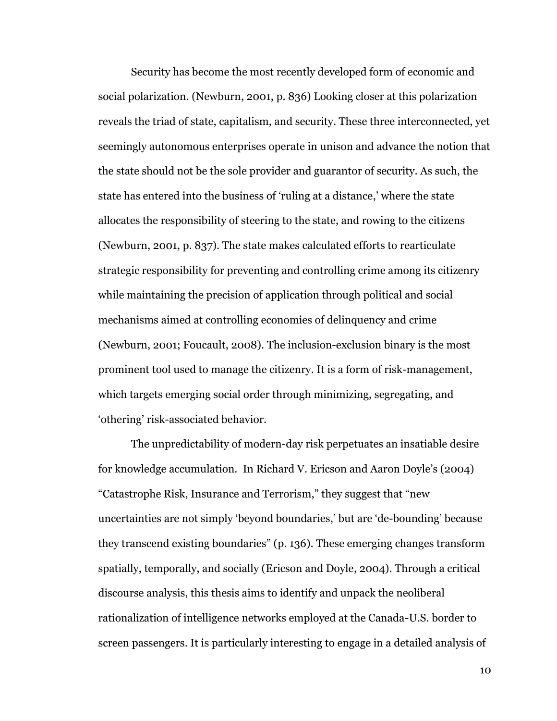Security has become the most recently developed form of economic and social polarization. (Newburn, 2001, p. 836) Looking closer at this polarization reveals the triad of state, capitalism, and security. These three interconnected, yet seemingly autonomous enterprises operate in unison and advance the notion that the state should not be the sole provider and guarantor of security. As such, the state has entered into the business of 'ruling at a distance,' where the state allocates the responsibility of steering to the state, and rowing to the citizens (Newburn, 2001, p. 837). The state makes calculated efforts to rearticulate strategic responsibility for preventing and controlling crime among its citizenry while maintaining the precision of application through political and social mechanisms aimed at controlling economies of delinquency and crime (Newburn, 2001; Foucault, 2008). The inclusion-exclusion binary is the most prominent tool used to manage the citizenry. It is a form of risk-management, which targets emerging social order through minimizing, segregating, and 'othering' risk-associated behavior.

The unpredictability of modern-day risk perpetuates an insatiable desire for knowledge accumulation. In Richard V. Ericson and Aaron Doyle's (2004) "Catastrophe Risk, Insurance and Terrorism," they suggest that "new uncertainties are not simply 'beyond boundaries,' but are 'de-bounding' because they transcend existing boundaries" (p. 136). These emerging changes transform spatially, temporally, and socially (Ericson and Doyle, 2004). Through a critical discourse analysis, this thesis aims to identify and unpack the neoliberal rationalization of intelligence networks employed at the Canada-U.S. border to screen passengers. It is particularly interesting to engage in a detailed analysis of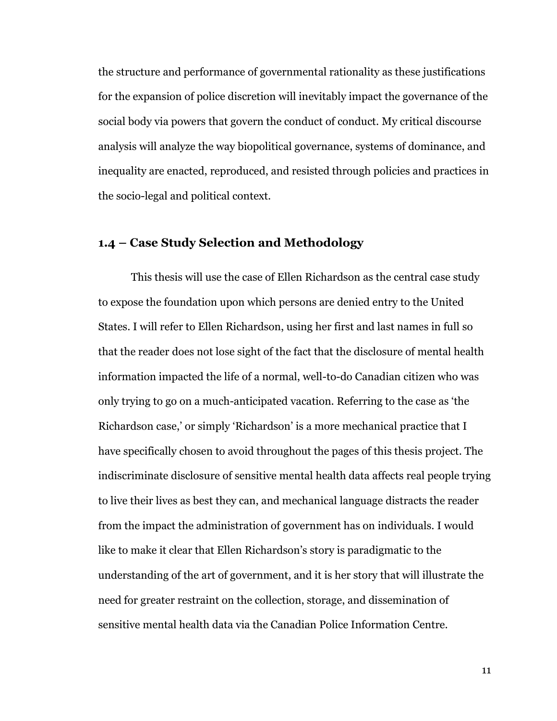the structure and performance of governmental rationality as these justifications for the expansion of police discretion will inevitably impact the governance of the social body via powers that govern the conduct of conduct. My critical discourse analysis will analyze the way biopolitical governance, systems of dominance, and inequality are enacted, reproduced, and resisted through policies and practices in the socio-legal and political context.

## <span id="page-15-0"></span>**1.4 – Case Study Selection and Methodology**

This thesis will use the case of Ellen Richardson as the central case study to expose the foundation upon which persons are denied entry to the United States. I will refer to Ellen Richardson, using her first and last names in full so that the reader does not lose sight of the fact that the disclosure of mental health information impacted the life of a normal, well-to-do Canadian citizen who was only trying to go on a much-anticipated vacation. Referring to the case as 'the Richardson case,' or simply 'Richardson' is a more mechanical practice that I have specifically chosen to avoid throughout the pages of this thesis project. The indiscriminate disclosure of sensitive mental health data affects real people trying to live their lives as best they can, and mechanical language distracts the reader from the impact the administration of government has on individuals. I would like to make it clear that Ellen Richardson's story is paradigmatic to the understanding of the art of government, and it is her story that will illustrate the need for greater restraint on the collection, storage, and dissemination of sensitive mental health data via the Canadian Police Information Centre.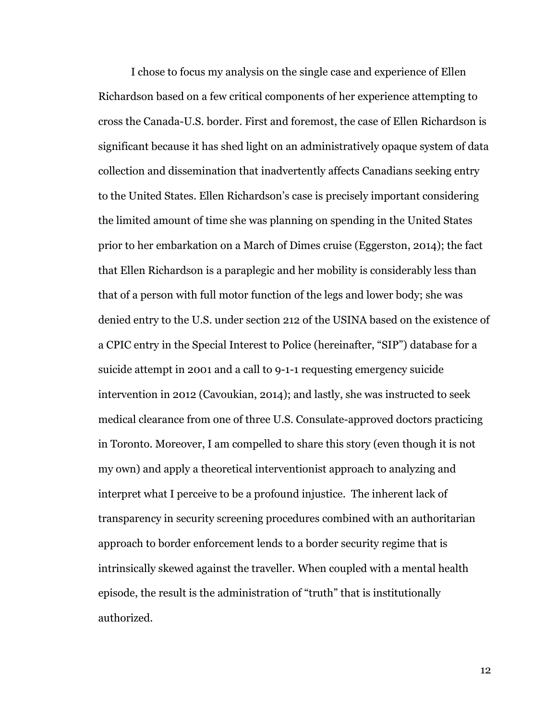I chose to focus my analysis on the single case and experience of Ellen Richardson based on a few critical components of her experience attempting to cross the Canada-U.S. border. First and foremost, the case of Ellen Richardson is significant because it has shed light on an administratively opaque system of data collection and dissemination that inadvertently affects Canadians seeking entry to the United States. Ellen Richardson's case is precisely important considering the limited amount of time she was planning on spending in the United States prior to her embarkation on a March of Dimes cruise (Eggerston, 2014); the fact that Ellen Richardson is a paraplegic and her mobility is considerably less than that of a person with full motor function of the legs and lower body; she was denied entry to the U.S. under section 212 of the USINA based on the existence of a CPIC entry in the Special Interest to Police (hereinafter, "SIP") database for a suicide attempt in 2001 and a call to 9-1-1 requesting emergency suicide intervention in 2012 (Cavoukian, 2014); and lastly, she was instructed to seek medical clearance from one of three U.S. Consulate-approved doctors practicing in Toronto. Moreover, I am compelled to share this story (even though it is not my own) and apply a theoretical interventionist approach to analyzing and interpret what I perceive to be a profound injustice. The inherent lack of transparency in security screening procedures combined with an authoritarian approach to border enforcement lends to a border security regime that is intrinsically skewed against the traveller. When coupled with a mental health episode, the result is the administration of "truth" that is institutionally authorized.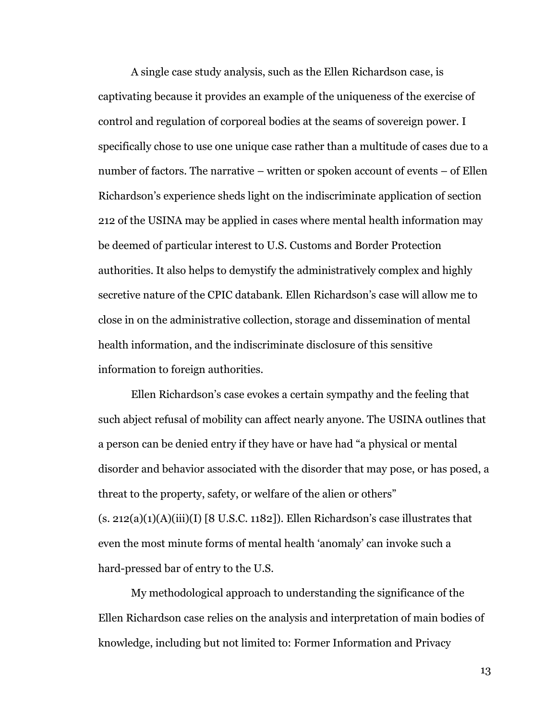A single case study analysis, such as the Ellen Richardson case, is captivating because it provides an example of the uniqueness of the exercise of control and regulation of corporeal bodies at the seams of sovereign power. I specifically chose to use one unique case rather than a multitude of cases due to a number of factors. The narrative – written or spoken account of events – of Ellen Richardson's experience sheds light on the indiscriminate application of section 212 of the USINA may be applied in cases where mental health information may be deemed of particular interest to U.S. Customs and Border Protection authorities. It also helps to demystify the administratively complex and highly secretive nature of the CPIC databank. Ellen Richardson's case will allow me to close in on the administrative collection, storage and dissemination of mental health information, and the indiscriminate disclosure of this sensitive information to foreign authorities.

Ellen Richardson's case evokes a certain sympathy and the feeling that such abject refusal of mobility can affect nearly anyone. The USINA outlines that a person can be denied entry if they have or have had "a physical or mental disorder and behavior associated with the disorder that may pose, or has posed, a threat to the property, safety, or welfare of the alien or others"  $(s. 212(a)(1)(A)(iii)(I) [8 U.S.C. 1182])$ . Ellen Richardson's case illustrates that even the most minute forms of mental health 'anomaly' can invoke such a hard-pressed bar of entry to the U.S.

My methodological approach to understanding the significance of the Ellen Richardson case relies on the analysis and interpretation of main bodies of knowledge, including but not limited to: Former Information and Privacy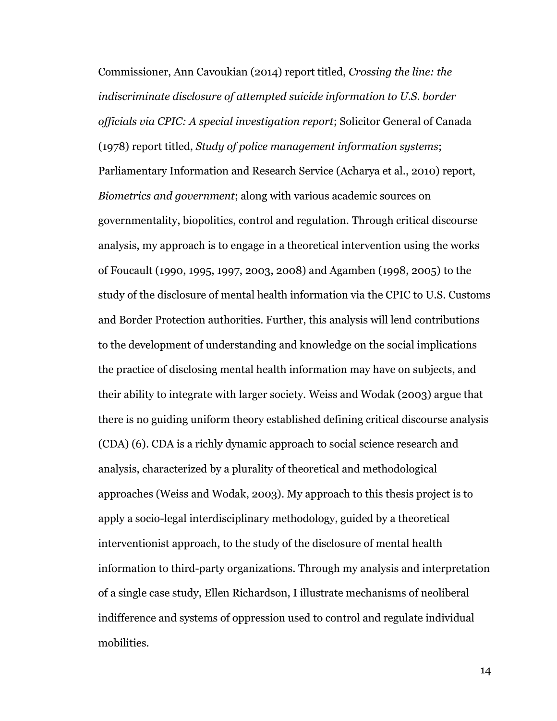Commissioner, Ann Cavoukian (2014) report titled, *Crossing the line: the indiscriminate disclosure of attempted suicide information to U.S. border officials via CPIC: A special investigation report*; Solicitor General of Canada (1978) report titled, *Study of police management information systems*; Parliamentary Information and Research Service (Acharya et al., 2010) report, *Biometrics and government*; along with various academic sources on governmentality, biopolitics, control and regulation. Through critical discourse analysis, my approach is to engage in a theoretical intervention using the works of Foucault (1990, 1995, 1997, 2003, 2008) and Agamben (1998, 2005) to the study of the disclosure of mental health information via the CPIC to U.S. Customs and Border Protection authorities. Further, this analysis will lend contributions to the development of understanding and knowledge on the social implications the practice of disclosing mental health information may have on subjects, and their ability to integrate with larger society. Weiss and Wodak (2003) argue that there is no guiding uniform theory established defining critical discourse analysis (CDA) (6). CDA is a richly dynamic approach to social science research and analysis, characterized by a plurality of theoretical and methodological approaches (Weiss and Wodak, 2003). My approach to this thesis project is to apply a socio-legal interdisciplinary methodology, guided by a theoretical interventionist approach, to the study of the disclosure of mental health information to third-party organizations. Through my analysis and interpretation of a single case study, Ellen Richardson, I illustrate mechanisms of neoliberal indifference and systems of oppression used to control and regulate individual mobilities.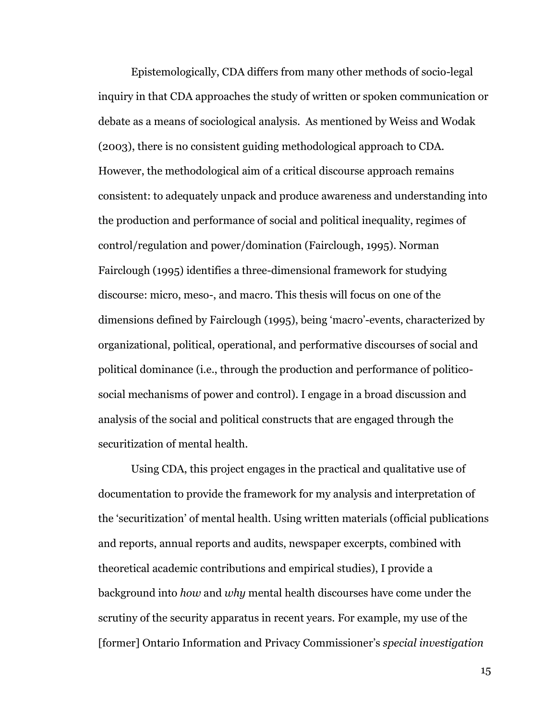Epistemologically, CDA differs from many other methods of socio-legal inquiry in that CDA approaches the study of written or spoken communication or debate as a means of sociological analysis. As mentioned by Weiss and Wodak (2003), there is no consistent guiding methodological approach to CDA. However, the methodological aim of a critical discourse approach remains consistent: to adequately unpack and produce awareness and understanding into the production and performance of social and political inequality, regimes of control/regulation and power/domination (Fairclough, 1995). Norman Fairclough (1995) identifies a three-dimensional framework for studying discourse: micro, meso-, and macro. This thesis will focus on one of the dimensions defined by Fairclough (1995), being 'macro'-events, characterized by organizational, political, operational, and performative discourses of social and political dominance (i.e., through the production and performance of politicosocial mechanisms of power and control). I engage in a broad discussion and analysis of the social and political constructs that are engaged through the securitization of mental health.

Using CDA, this project engages in the practical and qualitative use of documentation to provide the framework for my analysis and interpretation of the 'securitization' of mental health. Using written materials (official publications and reports, annual reports and audits, newspaper excerpts, combined with theoretical academic contributions and empirical studies), I provide a background into *how* and *why* mental health discourses have come under the scrutiny of the security apparatus in recent years. For example, my use of the [former] Ontario Information and Privacy Commissioner's *special investigation*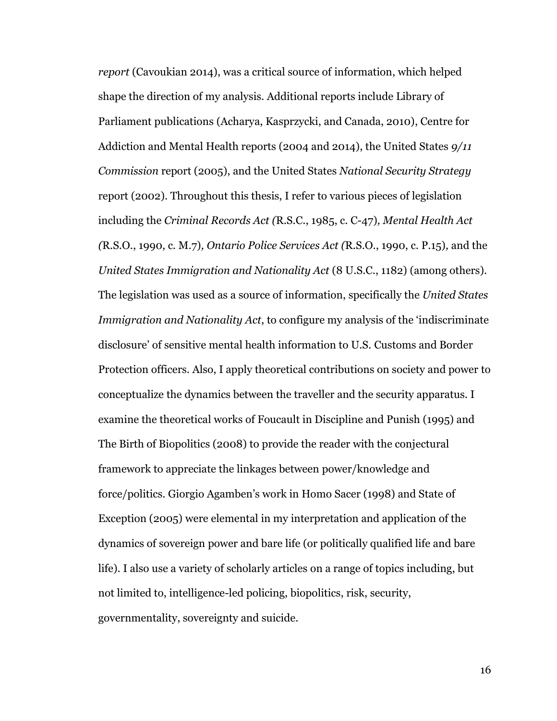*report* (Cavoukian 2014), was a critical source of information, which helped shape the direction of my analysis. Additional reports include Library of Parliament publications (Acharya, Kasprzycki, and Canada, 2010), Centre for Addiction and Mental Health reports (2004 and 2014), the United States *9/11 Commission* report (2005), and the United States *National Security Strategy*  report (2002). Throughout this thesis, I refer to various pieces of legislation including the *Criminal Records Act (*R.S.C., 1985, c. C-47)*, Mental Health Act (*R.S.O., 1990, c. M.7)*, Ontario Police Services Act (*R.S.O., 1990, c. P.15)*,* and the *United States Immigration and Nationality Act* (8 U.S.C., 1182) (among others). The legislation was used as a source of information, specifically the *United States Immigration and Nationality Act*, to configure my analysis of the 'indiscriminate disclosure' of sensitive mental health information to U.S. Customs and Border Protection officers. Also, I apply theoretical contributions on society and power to conceptualize the dynamics between the traveller and the security apparatus. I examine the theoretical works of Foucault in Discipline and Punish (1995) and The Birth of Biopolitics (2008) to provide the reader with the conjectural framework to appreciate the linkages between power/knowledge and force/politics. Giorgio Agamben's work in Homo Sacer (1998) and State of Exception (2005) were elemental in my interpretation and application of the dynamics of sovereign power and bare life (or politically qualified life and bare life). I also use a variety of scholarly articles on a range of topics including, but not limited to, intelligence-led policing, biopolitics, risk, security, governmentality, sovereignty and suicide.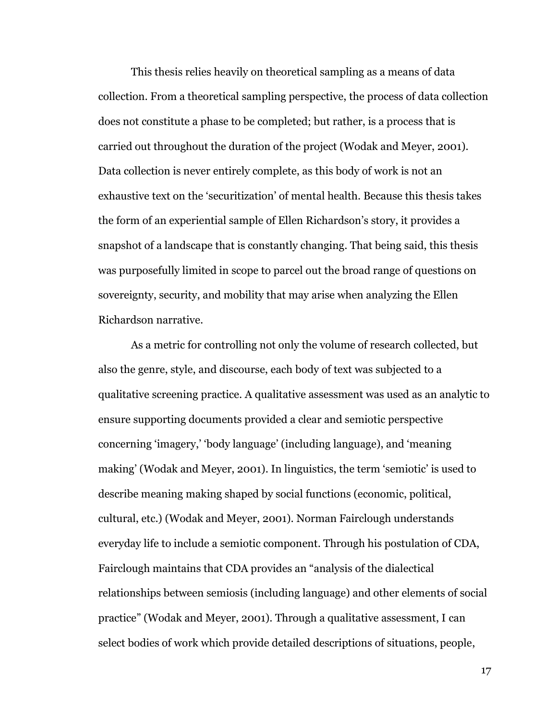This thesis relies heavily on theoretical sampling as a means of data collection. From a theoretical sampling perspective, the process of data collection does not constitute a phase to be completed; but rather, is a process that is carried out throughout the duration of the project (Wodak and Meyer, 2001). Data collection is never entirely complete, as this body of work is not an exhaustive text on the 'securitization' of mental health. Because this thesis takes the form of an experiential sample of Ellen Richardson's story, it provides a snapshot of a landscape that is constantly changing. That being said, this thesis was purposefully limited in scope to parcel out the broad range of questions on sovereignty, security, and mobility that may arise when analyzing the Ellen Richardson narrative.

As a metric for controlling not only the volume of research collected, but also the genre, style, and discourse, each body of text was subjected to a qualitative screening practice. A qualitative assessment was used as an analytic to ensure supporting documents provided a clear and semiotic perspective concerning 'imagery,' 'body language' (including language), and 'meaning making' (Wodak and Meyer, 2001). In linguistics, the term 'semiotic' is used to describe meaning making shaped by social functions (economic, political, cultural, etc.) (Wodak and Meyer, 2001). Norman Fairclough understands everyday life to include a semiotic component. Through his postulation of CDA, Fairclough maintains that CDA provides an "analysis of the dialectical relationships between semiosis (including language) and other elements of social practice" (Wodak and Meyer, 2001). Through a qualitative assessment, I can select bodies of work which provide detailed descriptions of situations, people,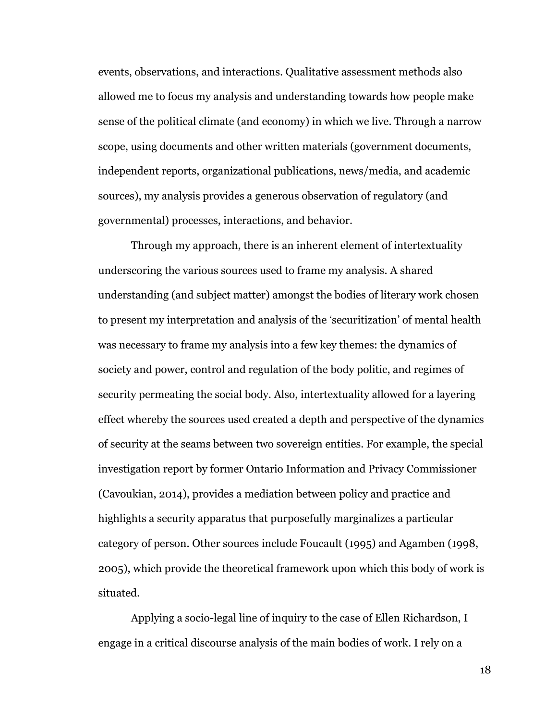events, observations, and interactions. Qualitative assessment methods also allowed me to focus my analysis and understanding towards how people make sense of the political climate (and economy) in which we live. Through a narrow scope, using documents and other written materials (government documents, independent reports, organizational publications, news/media, and academic sources), my analysis provides a generous observation of regulatory (and governmental) processes, interactions, and behavior.

Through my approach, there is an inherent element of intertextuality underscoring the various sources used to frame my analysis. A shared understanding (and subject matter) amongst the bodies of literary work chosen to present my interpretation and analysis of the 'securitization' of mental health was necessary to frame my analysis into a few key themes: the dynamics of society and power, control and regulation of the body politic, and regimes of security permeating the social body. Also, intertextuality allowed for a layering effect whereby the sources used created a depth and perspective of the dynamics of security at the seams between two sovereign entities. For example, the special investigation report by former Ontario Information and Privacy Commissioner (Cavoukian, 2014), provides a mediation between policy and practice and highlights a security apparatus that purposefully marginalizes a particular category of person. Other sources include Foucault (1995) and Agamben (1998, 2005), which provide the theoretical framework upon which this body of work is situated.

Applying a socio-legal line of inquiry to the case of Ellen Richardson, I engage in a critical discourse analysis of the main bodies of work. I rely on a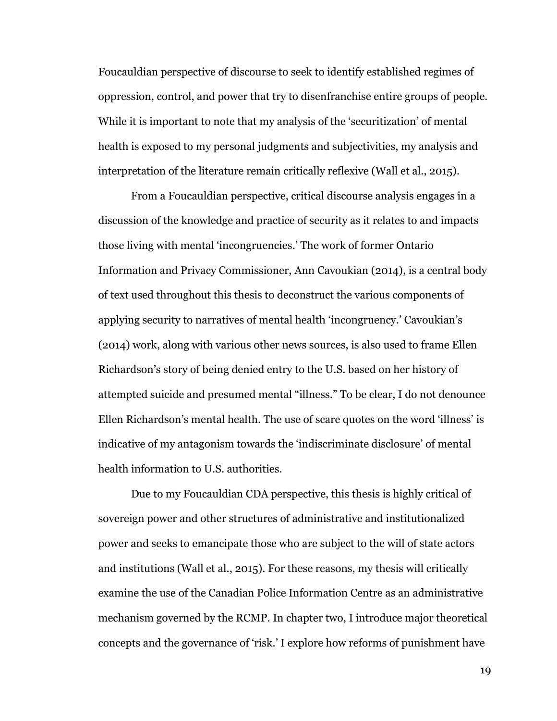Foucauldian perspective of discourse to seek to identify established regimes of oppression, control, and power that try to disenfranchise entire groups of people. While it is important to note that my analysis of the 'securitization' of mental health is exposed to my personal judgments and subjectivities, my analysis and interpretation of the literature remain critically reflexive (Wall et al., 2015).

From a Foucauldian perspective, critical discourse analysis engages in a discussion of the knowledge and practice of security as it relates to and impacts those living with mental 'incongruencies.' The work of former Ontario Information and Privacy Commissioner, Ann Cavoukian (2014), is a central body of text used throughout this thesis to deconstruct the various components of applying security to narratives of mental health 'incongruency.' Cavoukian's (2014) work, along with various other news sources, is also used to frame Ellen Richardson's story of being denied entry to the U.S. based on her history of attempted suicide and presumed mental "illness." To be clear, I do not denounce Ellen Richardson's mental health. The use of scare quotes on the word 'illness' is indicative of my antagonism towards the 'indiscriminate disclosure' of mental health information to U.S. authorities.

Due to my Foucauldian CDA perspective, this thesis is highly critical of sovereign power and other structures of administrative and institutionalized power and seeks to emancipate those who are subject to the will of state actors and institutions (Wall et al., 2015). For these reasons, my thesis will critically examine the use of the Canadian Police Information Centre as an administrative mechanism governed by the RCMP. In chapter two, I introduce major theoretical concepts and the governance of 'risk.' I explore how reforms of punishment have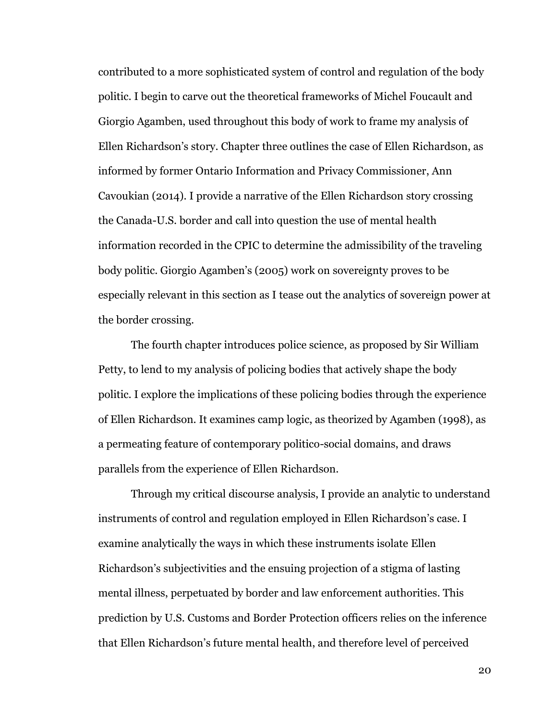contributed to a more sophisticated system of control and regulation of the body politic. I begin to carve out the theoretical frameworks of Michel Foucault and Giorgio Agamben, used throughout this body of work to frame my analysis of Ellen Richardson's story. Chapter three outlines the case of Ellen Richardson, as informed by former Ontario Information and Privacy Commissioner, Ann Cavoukian (2014). I provide a narrative of the Ellen Richardson story crossing the Canada-U.S. border and call into question the use of mental health information recorded in the CPIC to determine the admissibility of the traveling body politic. Giorgio Agamben's (2005) work on sovereignty proves to be especially relevant in this section as I tease out the analytics of sovereign power at the border crossing.

The fourth chapter introduces police science, as proposed by Sir William Petty, to lend to my analysis of policing bodies that actively shape the body politic. I explore the implications of these policing bodies through the experience of Ellen Richardson. It examines camp logic, as theorized by Agamben (1998), as a permeating feature of contemporary politico-social domains, and draws parallels from the experience of Ellen Richardson.

Through my critical discourse analysis, I provide an analytic to understand instruments of control and regulation employed in Ellen Richardson's case. I examine analytically the ways in which these instruments isolate Ellen Richardson's subjectivities and the ensuing projection of a stigma of lasting mental illness, perpetuated by border and law enforcement authorities. This prediction by U.S. Customs and Border Protection officers relies on the inference that Ellen Richardson's future mental health, and therefore level of perceived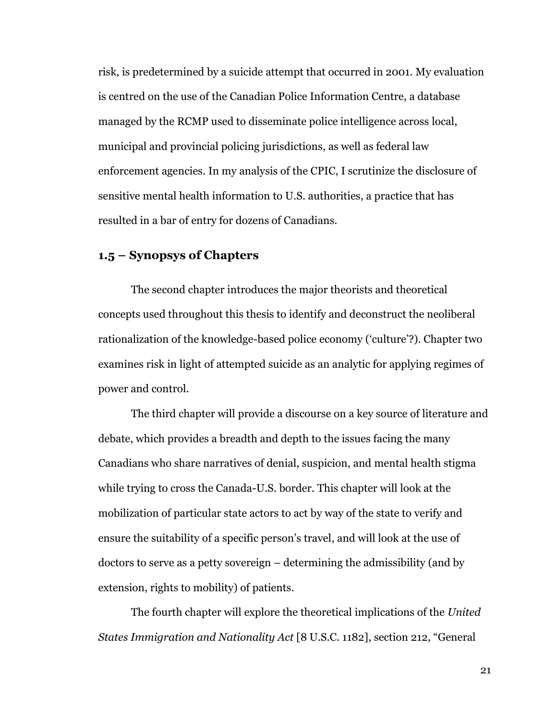risk, is predetermined by a suicide attempt that occurred in 2001. My evaluation is centred on the use of the Canadian Police Information Centre, a database managed by the RCMP used to disseminate police intelligence across local, municipal and provincial policing jurisdictions, as well as federal law enforcement agencies. In my analysis of the CPIC, I scrutinize the disclosure of sensitive mental health information to U.S. authorities, a practice that has resulted in a bar of entry for dozens of Canadians.

#### <span id="page-25-0"></span>**1.5 – Synopsys of Chapters**

The second chapter introduces the major theorists and theoretical concepts used throughout this thesis to identify and deconstruct the neoliberal rationalization of the knowledge-based police economy ('culture'?). Chapter two examines risk in light of attempted suicide as an analytic for applying regimes of power and control.

The third chapter will provide a discourse on a key source of literature and debate, which provides a breadth and depth to the issues facing the many Canadians who share narratives of denial, suspicion, and mental health stigma while trying to cross the Canada-U.S. border. This chapter will look at the mobilization of particular state actors to act by way of the state to verify and ensure the suitability of a specific person's travel, and will look at the use of doctors to serve as a petty sovereign – determining the admissibility (and by extension, rights to mobility) of patients.

The fourth chapter will explore the theoretical implications of the *United States Immigration and Nationality Act* [8 U.S.C. 1182], section 212, "General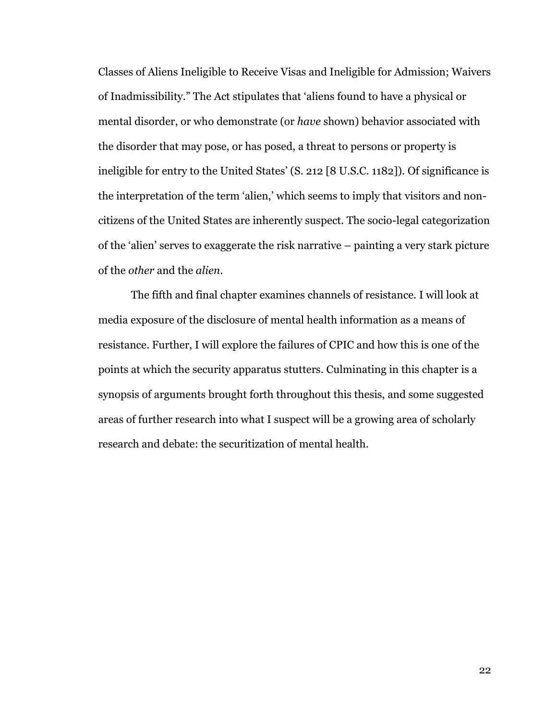Classes of Aliens Ineligible to Receive Visas and Ineligible for Admission; Waivers of Inadmissibility." The Act stipulates that 'aliens found to have a physical or mental disorder, or who demonstrate (or *have* shown) behavior associated with the disorder that may pose, or has posed, a threat to persons or property is ineligible for entry to the United States' (S. 212 [8 U.S.C. 1182]). Of significance is the interpretation of the term 'alien,' which seems to imply that visitors and noncitizens of the United States are inherently suspect. The socio-legal categorization of the 'alien' serves to exaggerate the risk narrative – painting a very stark picture of the *other* and the *alien*.

The fifth and final chapter examines channels of resistance. I will look at media exposure of the disclosure of mental health information as a means of resistance. Further, I will explore the failures of CPIC and how this is one of the points at which the security apparatus stutters. Culminating in this chapter is a synopsis of arguments brought forth throughout this thesis, and some suggested areas of further research into what I suspect will be a growing area of scholarly research and debate: the securitization of mental health.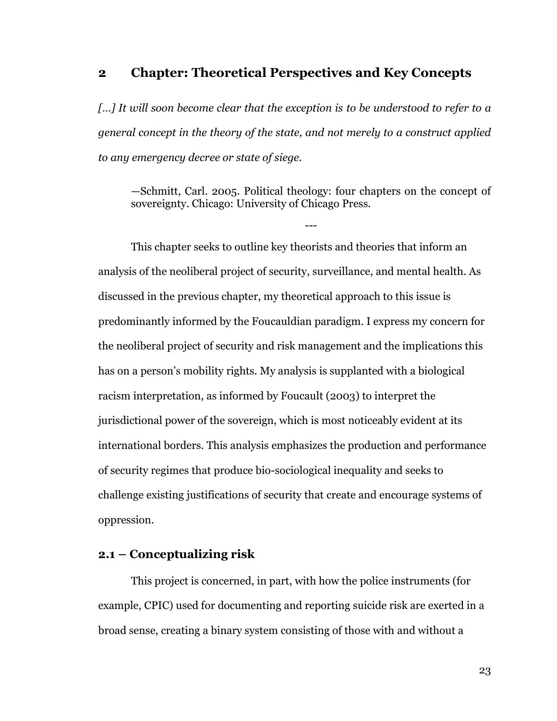#### <span id="page-27-0"></span>**2 Chapter: Theoretical Perspectives and Key Concepts**

*[…] It will soon become clear that the exception is to be understood to refer to a general concept in the theory of the state, and not merely to a construct applied to any emergency decree or state of siege.*

—Schmitt, Carl. 2005. Political theology: four chapters on the concept of sovereignty. Chicago: University of Chicago Press.

---

This chapter seeks to outline key theorists and theories that inform an analysis of the neoliberal project of security, surveillance, and mental health. As discussed in the previous chapter, my theoretical approach to this issue is predominantly informed by the Foucauldian paradigm. I express my concern for the neoliberal project of security and risk management and the implications this has on a person's mobility rights. My analysis is supplanted with a biological racism interpretation, as informed by Foucault (2003) to interpret the jurisdictional power of the sovereign, which is most noticeably evident at its international borders. This analysis emphasizes the production and performance of security regimes that produce bio-sociological inequality and seeks to challenge existing justifications of security that create and encourage systems of oppression.

#### <span id="page-27-1"></span>**2.1 – Conceptualizing risk**

This project is concerned, in part, with how the police instruments (for example, CPIC) used for documenting and reporting suicide risk are exerted in a broad sense, creating a binary system consisting of those with and without a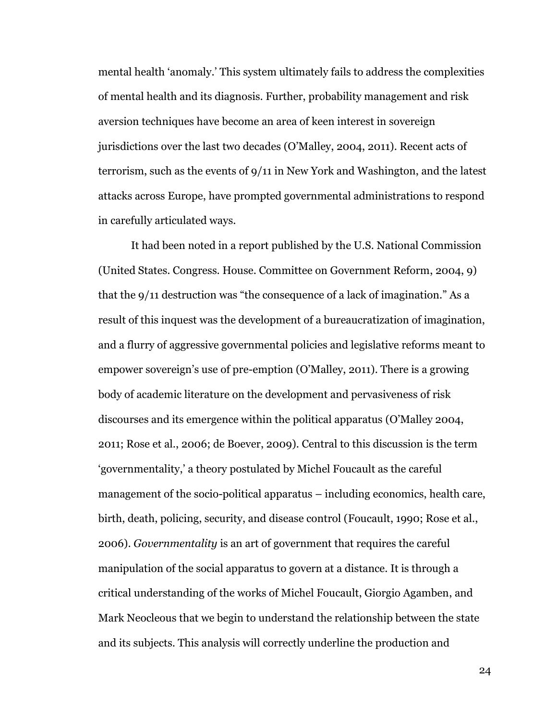mental health 'anomaly.' This system ultimately fails to address the complexities of mental health and its diagnosis. Further, probability management and risk aversion techniques have become an area of keen interest in sovereign jurisdictions over the last two decades (O'Malley, 2004, 2011). Recent acts of terrorism, such as the events of 9/11 in New York and Washington, and the latest attacks across Europe, have prompted governmental administrations to respond in carefully articulated ways.

It had been noted in a report published by the U.S. National Commission (United States. Congress. House. Committee on Government Reform, 2004, 9) that the 9/11 destruction was "the consequence of a lack of imagination." As a result of this inquest was the development of a bureaucratization of imagination, and a flurry of aggressive governmental policies and legislative reforms meant to empower sovereign's use of pre-emption (O'Malley, 2011). There is a growing body of academic literature on the development and pervasiveness of risk discourses and its emergence within the political apparatus (O'Malley 2004, 2011; Rose et al., 2006; de Boever, 2009). Central to this discussion is the term 'governmentality,' a theory postulated by Michel Foucault as the careful management of the socio-political apparatus – including economics, health care, birth, death, policing, security, and disease control (Foucault, 1990; Rose et al., 2006). *Governmentality* is an art of government that requires the careful manipulation of the social apparatus to govern at a distance. It is through a critical understanding of the works of Michel Foucault, Giorgio Agamben, and Mark Neocleous that we begin to understand the relationship between the state and its subjects. This analysis will correctly underline the production and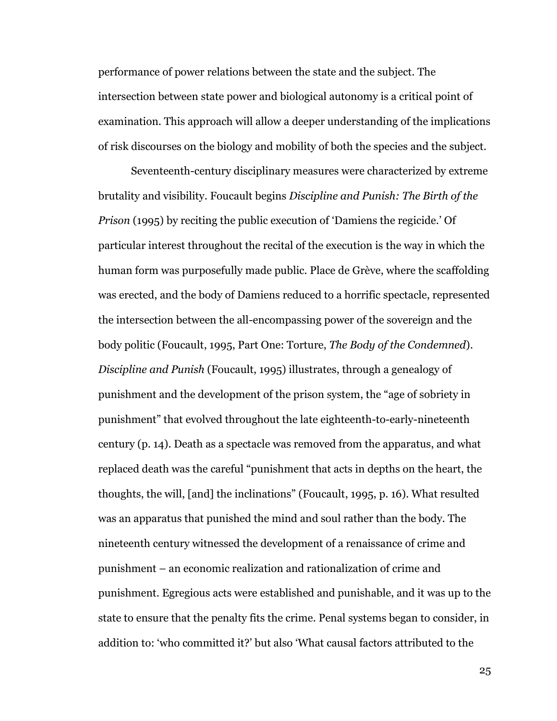performance of power relations between the state and the subject. The intersection between state power and biological autonomy is a critical point of examination. This approach will allow a deeper understanding of the implications of risk discourses on the biology and mobility of both the species and the subject.

Seventeenth-century disciplinary measures were characterized by extreme brutality and visibility. Foucault begins *Discipline and Punish: The Birth of the Prison* (1995) by reciting the public execution of 'Damiens the regicide.' Of particular interest throughout the recital of the execution is the way in which the human form was purposefully made public. Place de Grève, where the scaffolding was erected, and the body of Damiens reduced to a horrific spectacle, represented the intersection between the all-encompassing power of the sovereign and the body politic (Foucault, 1995, Part One: Torture, *The Body of the Condemned*). *Discipline and Punish* (Foucault, 1995) illustrates, through a genealogy of punishment and the development of the prison system, the "age of sobriety in punishment" that evolved throughout the late eighteenth-to-early-nineteenth century (p. 14). Death as a spectacle was removed from the apparatus, and what replaced death was the careful "punishment that acts in depths on the heart, the thoughts, the will, [and] the inclinations" (Foucault, 1995, p. 16). What resulted was an apparatus that punished the mind and soul rather than the body. The nineteenth century witnessed the development of a renaissance of crime and punishment – an economic realization and rationalization of crime and punishment. Egregious acts were established and punishable, and it was up to the state to ensure that the penalty fits the crime. Penal systems began to consider, in addition to: 'who committed it?' but also 'What causal factors attributed to the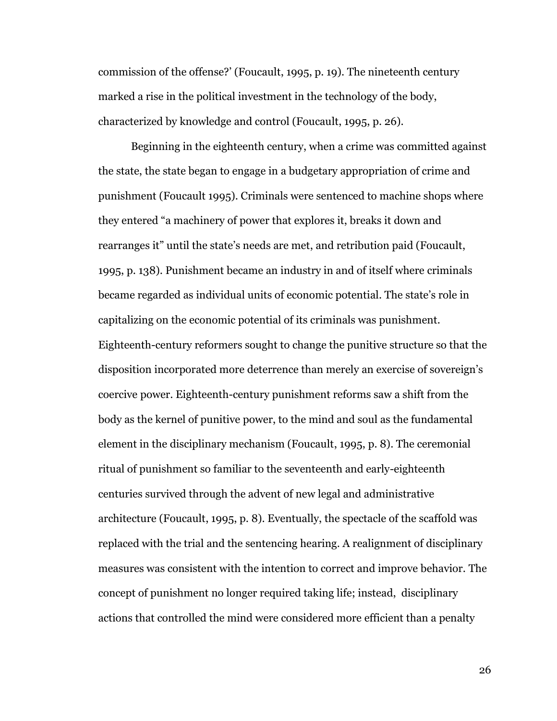commission of the offense?' (Foucault, 1995, p. 19). The nineteenth century marked a rise in the political investment in the technology of the body, characterized by knowledge and control (Foucault, 1995, p. 26).

Beginning in the eighteenth century, when a crime was committed against the state, the state began to engage in a budgetary appropriation of crime and punishment (Foucault 1995). Criminals were sentenced to machine shops where they entered "a machinery of power that explores it, breaks it down and rearranges it" until the state's needs are met, and retribution paid (Foucault, 1995, p. 138). Punishment became an industry in and of itself where criminals became regarded as individual units of economic potential. The state's role in capitalizing on the economic potential of its criminals was punishment. Eighteenth-century reformers sought to change the punitive structure so that the disposition incorporated more deterrence than merely an exercise of sovereign's coercive power. Eighteenth-century punishment reforms saw a shift from the body as the kernel of punitive power, to the mind and soul as the fundamental element in the disciplinary mechanism (Foucault, 1995, p. 8). The ceremonial ritual of punishment so familiar to the seventeenth and early-eighteenth centuries survived through the advent of new legal and administrative architecture (Foucault, 1995, p. 8). Eventually, the spectacle of the scaffold was replaced with the trial and the sentencing hearing. A realignment of disciplinary measures was consistent with the intention to correct and improve behavior. The concept of punishment no longer required taking life; instead, disciplinary actions that controlled the mind were considered more efficient than a penalty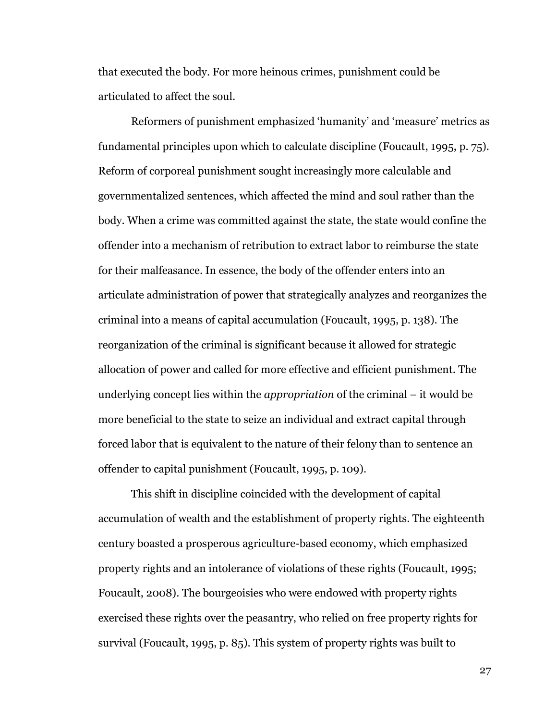that executed the body. For more heinous crimes, punishment could be articulated to affect the soul.

Reformers of punishment emphasized 'humanity' and 'measure' metrics as fundamental principles upon which to calculate discipline (Foucault, 1995, p. 75). Reform of corporeal punishment sought increasingly more calculable and governmentalized sentences, which affected the mind and soul rather than the body. When a crime was committed against the state, the state would confine the offender into a mechanism of retribution to extract labor to reimburse the state for their malfeasance. In essence, the body of the offender enters into an articulate administration of power that strategically analyzes and reorganizes the criminal into a means of capital accumulation (Foucault, 1995, p. 138). The reorganization of the criminal is significant because it allowed for strategic allocation of power and called for more effective and efficient punishment. The underlying concept lies within the *appropriation* of the criminal – it would be more beneficial to the state to seize an individual and extract capital through forced labor that is equivalent to the nature of their felony than to sentence an offender to capital punishment (Foucault, 1995, p. 109).

This shift in discipline coincided with the development of capital accumulation of wealth and the establishment of property rights. The eighteenth century boasted a prosperous agriculture-based economy, which emphasized property rights and an intolerance of violations of these rights (Foucault, 1995; Foucault, 2008). The bourgeoisies who were endowed with property rights exercised these rights over the peasantry, who relied on free property rights for survival (Foucault, 1995, p. 85). This system of property rights was built to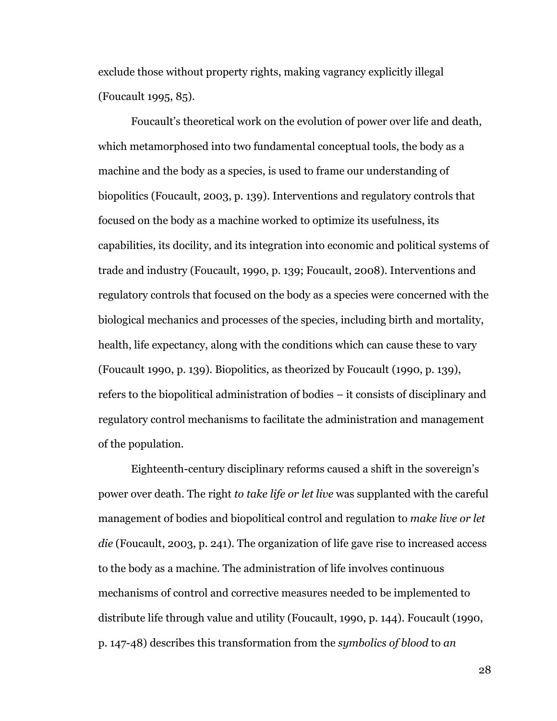exclude those without property rights, making vagrancy explicitly illegal (Foucault 1995, 85).

Foucault's theoretical work on the evolution of power over life and death, which metamorphosed into two fundamental conceptual tools, the body as a machine and the body as a species, is used to frame our understanding of biopolitics (Foucault, 2003, p. 139). Interventions and regulatory controls that focused on the body as a machine worked to optimize its usefulness, its capabilities, its docility, and its integration into economic and political systems of trade and industry (Foucault, 1990, p. 139; Foucault, 2008). Interventions and regulatory controls that focused on the body as a species were concerned with the biological mechanics and processes of the species, including birth and mortality, health, life expectancy, along with the conditions which can cause these to vary (Foucault 1990, p. 139). Biopolitics, as theorized by Foucault (1990, p. 139), refers to the biopolitical administration of bodies – it consists of disciplinary and regulatory control mechanisms to facilitate the administration and management of the population.

Eighteenth-century disciplinary reforms caused a shift in the sovereign's power over death. The right *to take life or let live* was supplanted with the careful management of bodies and biopolitical control and regulation to *make live or let die* (Foucault, 2003, p. 241). The organization of life gave rise to increased access to the body as a machine. The administration of life involves continuous mechanisms of control and corrective measures needed to be implemented to distribute life through value and utility (Foucault, 1990, p. 144). Foucault (1990, p. 147-48) describes this transformation from the *symbolics of blood* to *an*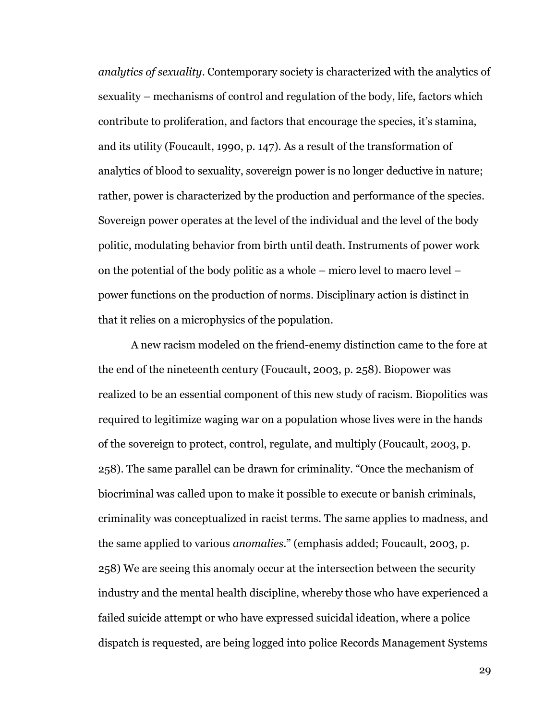*analytics of sexuality*. Contemporary society is characterized with the analytics of sexuality – mechanisms of control and regulation of the body, life, factors which contribute to proliferation, and factors that encourage the species, it's stamina, and its utility (Foucault, 1990, p. 147). As a result of the transformation of analytics of blood to sexuality, sovereign power is no longer deductive in nature; rather, power is characterized by the production and performance of the species. Sovereign power operates at the level of the individual and the level of the body politic, modulating behavior from birth until death. Instruments of power work on the potential of the body politic as a whole  $-$  micro level to macro level  $$ power functions on the production of norms. Disciplinary action is distinct in that it relies on a microphysics of the population.

A new racism modeled on the friend-enemy distinction came to the fore at the end of the nineteenth century (Foucault, 2003, p. 258). Biopower was realized to be an essential component of this new study of racism. Biopolitics was required to legitimize waging war on a population whose lives were in the hands of the sovereign to protect, control, regulate, and multiply (Foucault, 2003, p. 258). The same parallel can be drawn for criminality. "Once the mechanism of biocriminal was called upon to make it possible to execute or banish criminals, criminality was conceptualized in racist terms. The same applies to madness, and the same applied to various *anomalies*." (emphasis added; Foucault, 2003, p. 258) We are seeing this anomaly occur at the intersection between the security industry and the mental health discipline, whereby those who have experienced a failed suicide attempt or who have expressed suicidal ideation, where a police dispatch is requested, are being logged into police Records Management Systems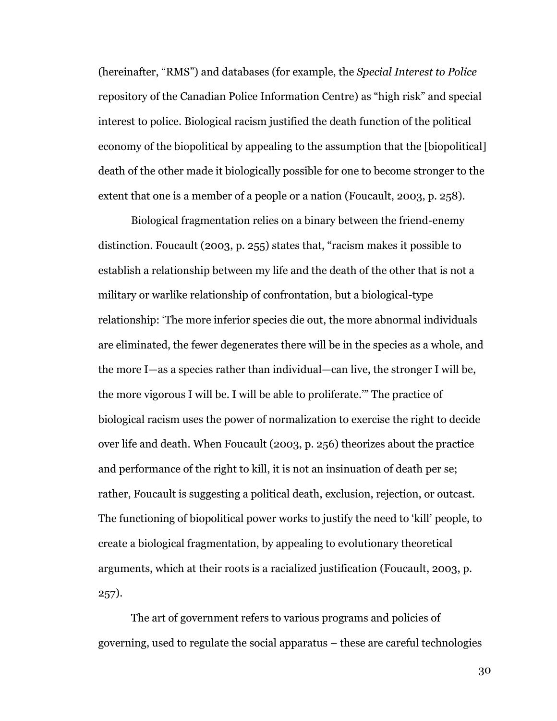(hereinafter, "RMS") and databases (for example, the *Special Interest to Police*  repository of the Canadian Police Information Centre) as "high risk" and special interest to police. Biological racism justified the death function of the political economy of the biopolitical by appealing to the assumption that the [biopolitical] death of the other made it biologically possible for one to become stronger to the extent that one is a member of a people or a nation (Foucault, 2003, p. 258).

Biological fragmentation relies on a binary between the friend-enemy distinction. Foucault (2003, p. 255) states that, "racism makes it possible to establish a relationship between my life and the death of the other that is not a military or warlike relationship of confrontation, but a biological-type relationship: 'The more inferior species die out, the more abnormal individuals are eliminated, the fewer degenerates there will be in the species as a whole, and the more I—as a species rather than individual—can live, the stronger I will be, the more vigorous I will be. I will be able to proliferate.'" The practice of biological racism uses the power of normalization to exercise the right to decide over life and death. When Foucault (2003, p. 256) theorizes about the practice and performance of the right to kill, it is not an insinuation of death per se; rather, Foucault is suggesting a political death, exclusion, rejection, or outcast. The functioning of biopolitical power works to justify the need to 'kill' people, to create a biological fragmentation, by appealing to evolutionary theoretical arguments, which at their roots is a racialized justification (Foucault, 2003, p. 257).

The art of government refers to various programs and policies of governing, used to regulate the social apparatus – these are careful technologies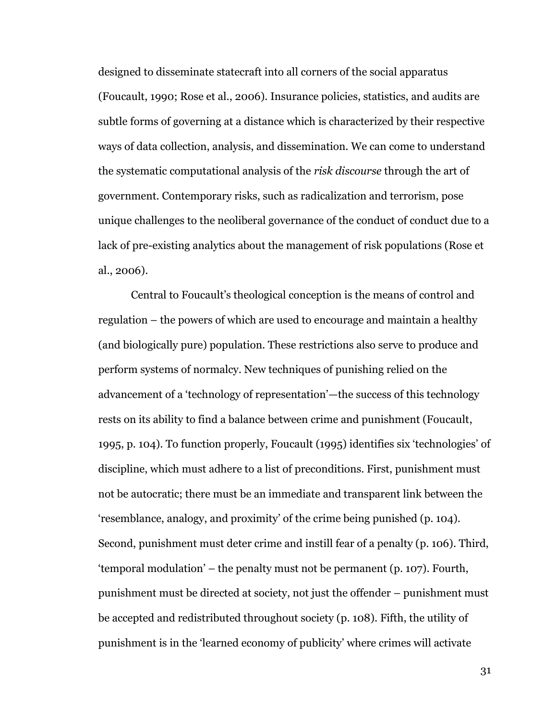designed to disseminate statecraft into all corners of the social apparatus (Foucault, 1990; Rose et al., 2006). Insurance policies, statistics, and audits are subtle forms of governing at a distance which is characterized by their respective ways of data collection, analysis, and dissemination. We can come to understand the systematic computational analysis of the *risk discourse* through the art of government. Contemporary risks, such as radicalization and terrorism, pose unique challenges to the neoliberal governance of the conduct of conduct due to a lack of pre-existing analytics about the management of risk populations (Rose et al., 2006).

Central to Foucault's theological conception is the means of control and regulation – the powers of which are used to encourage and maintain a healthy (and biologically pure) population. These restrictions also serve to produce and perform systems of normalcy. New techniques of punishing relied on the advancement of a 'technology of representation'—the success of this technology rests on its ability to find a balance between crime and punishment (Foucault, 1995, p. 104). To function properly, Foucault (1995) identifies six 'technologies' of discipline, which must adhere to a list of preconditions. First, punishment must not be autocratic; there must be an immediate and transparent link between the 'resemblance, analogy, and proximity' of the crime being punished (p. 104). Second, punishment must deter crime and instill fear of a penalty (p. 106). Third, 'temporal modulation' – the penalty must not be permanent (p. 107). Fourth, punishment must be directed at society, not just the offender – punishment must be accepted and redistributed throughout society (p. 108). Fifth, the utility of punishment is in the 'learned economy of publicity' where crimes will activate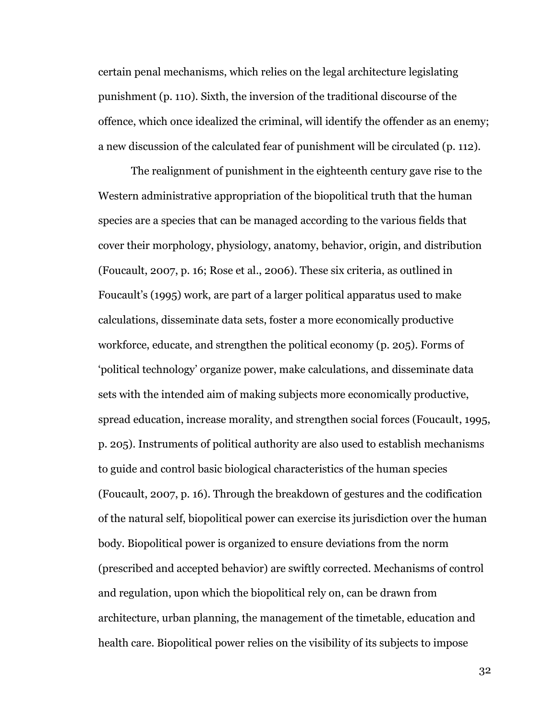certain penal mechanisms, which relies on the legal architecture legislating punishment (p. 110). Sixth, the inversion of the traditional discourse of the offence, which once idealized the criminal, will identify the offender as an enemy; a new discussion of the calculated fear of punishment will be circulated (p. 112).

The realignment of punishment in the eighteenth century gave rise to the Western administrative appropriation of the biopolitical truth that the human species are a species that can be managed according to the various fields that cover their morphology, physiology, anatomy, behavior, origin, and distribution (Foucault, 2007, p. 16; Rose et al., 2006). These six criteria, as outlined in Foucault's (1995) work, are part of a larger political apparatus used to make calculations, disseminate data sets, foster a more economically productive workforce, educate, and strengthen the political economy (p. 205). Forms of 'political technology' organize power, make calculations, and disseminate data sets with the intended aim of making subjects more economically productive, spread education, increase morality, and strengthen social forces (Foucault, 1995, p. 205). Instruments of political authority are also used to establish mechanisms to guide and control basic biological characteristics of the human species (Foucault, 2007, p. 16). Through the breakdown of gestures and the codification of the natural self, biopolitical power can exercise its jurisdiction over the human body. Biopolitical power is organized to ensure deviations from the norm (prescribed and accepted behavior) are swiftly corrected. Mechanisms of control and regulation, upon which the biopolitical rely on, can be drawn from architecture, urban planning, the management of the timetable, education and health care. Biopolitical power relies on the visibility of its subjects to impose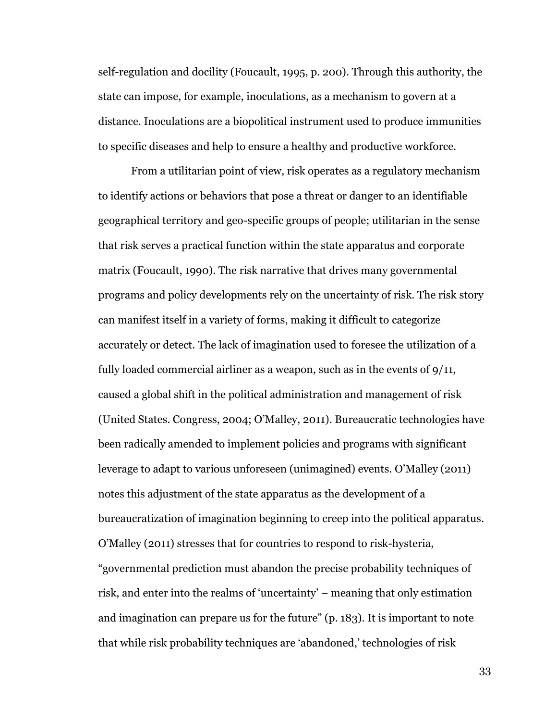self-regulation and docility (Foucault, 1995, p. 200). Through this authority, the state can impose, for example, inoculations, as a mechanism to govern at a distance. Inoculations are a biopolitical instrument used to produce immunities to specific diseases and help to ensure a healthy and productive workforce.

From a utilitarian point of view, risk operates as a regulatory mechanism to identify actions or behaviors that pose a threat or danger to an identifiable geographical territory and geo-specific groups of people; utilitarian in the sense that risk serves a practical function within the state apparatus and corporate matrix (Foucault, 1990). The risk narrative that drives many governmental programs and policy developments rely on the uncertainty of risk. The risk story can manifest itself in a variety of forms, making it difficult to categorize accurately or detect. The lack of imagination used to foresee the utilization of a fully loaded commercial airliner as a weapon, such as in the events of 9/11, caused a global shift in the political administration and management of risk (United States. Congress, 2004; O'Malley, 2011). Bureaucratic technologies have been radically amended to implement policies and programs with significant leverage to adapt to various unforeseen (unimagined) events. O'Malley (2011) notes this adjustment of the state apparatus as the development of a bureaucratization of imagination beginning to creep into the political apparatus. O'Malley (2011) stresses that for countries to respond to risk-hysteria, "governmental prediction must abandon the precise probability techniques of risk, and enter into the realms of 'uncertainty' – meaning that only estimation and imagination can prepare us for the future" (p. 183). It is important to note that while risk probability techniques are 'abandoned,' technologies of risk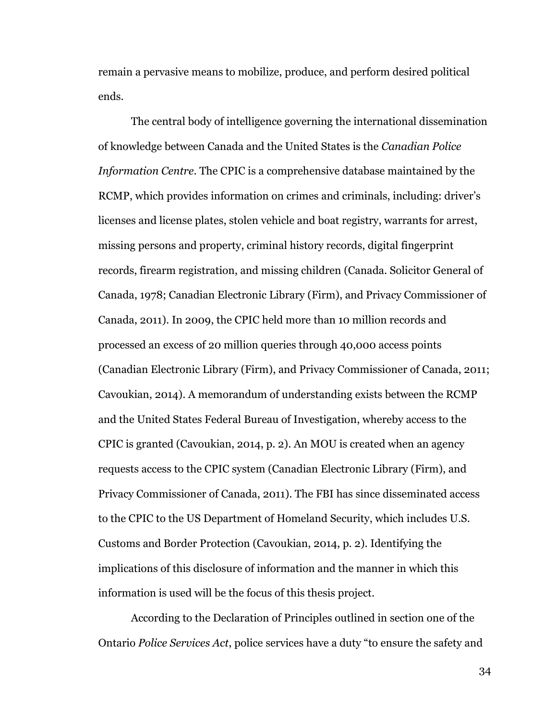remain a pervasive means to mobilize, produce, and perform desired political ends.

The central body of intelligence governing the international dissemination of knowledge between Canada and the United States is the *Canadian Police Information Centre*. The CPIC is a comprehensive database maintained by the RCMP, which provides information on crimes and criminals, including: driver's licenses and license plates, stolen vehicle and boat registry, warrants for arrest, missing persons and property, criminal history records, digital fingerprint records, firearm registration, and missing children (Canada. Solicitor General of Canada, 1978; Canadian Electronic Library (Firm), and Privacy Commissioner of Canada, 2011). In 2009, the CPIC held more than 10 million records and processed an excess of 20 million queries through 40,000 access points (Canadian Electronic Library (Firm), and Privacy Commissioner of Canada, 2011; Cavoukian, 2014). A memorandum of understanding exists between the RCMP and the United States Federal Bureau of Investigation, whereby access to the CPIC is granted (Cavoukian, 2014, p. 2). An MOU is created when an agency requests access to the CPIC system (Canadian Electronic Library (Firm), and Privacy Commissioner of Canada, 2011). The FBI has since disseminated access to the CPIC to the US Department of Homeland Security, which includes U.S. Customs and Border Protection (Cavoukian, 2014, p. 2). Identifying the implications of this disclosure of information and the manner in which this information is used will be the focus of this thesis project.

According to the Declaration of Principles outlined in section one of the Ontario *Police Services Act*, police services have a duty "to ensure the safety and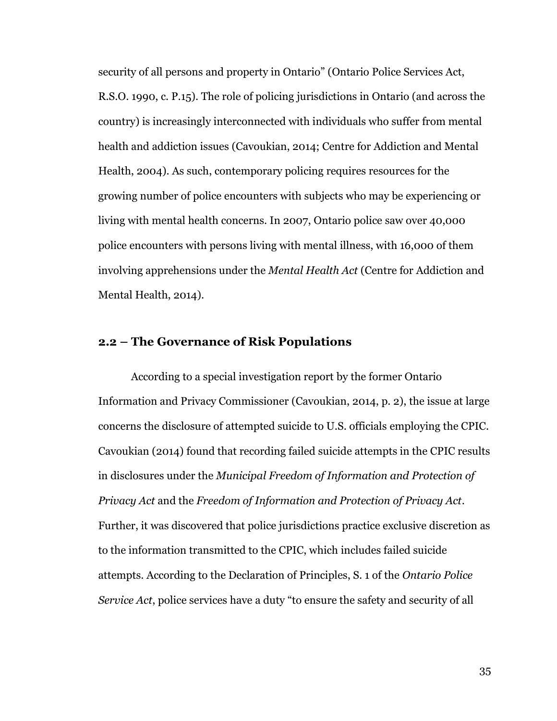security of all persons and property in Ontario" (Ontario Police Services Act, R.S.O. 1990, c. P.15). The role of policing jurisdictions in Ontario (and across the country) is increasingly interconnected with individuals who suffer from mental health and addiction issues (Cavoukian, 2014; Centre for Addiction and Mental Health, 2004). As such, contemporary policing requires resources for the growing number of police encounters with subjects who may be experiencing or living with mental health concerns. In 2007, Ontario police saw over 40,000 police encounters with persons living with mental illness, with 16,000 of them involving apprehensions under the *Mental Health Act* (Centre for Addiction and Mental Health, 2014).

# **2.2 – The Governance of Risk Populations**

According to a special investigation report by the former Ontario Information and Privacy Commissioner (Cavoukian, 2014, p. 2), the issue at large concerns the disclosure of attempted suicide to U.S. officials employing the CPIC. Cavoukian (2014) found that recording failed suicide attempts in the CPIC results in disclosures under the *Municipal Freedom of Information and Protection of Privacy Act* and the *Freedom of Information and Protection of Privacy Act*. Further, it was discovered that police jurisdictions practice exclusive discretion as to the information transmitted to the CPIC, which includes failed suicide attempts. According to the Declaration of Principles, S. 1 of the *Ontario Police Service Act*, police services have a duty "to ensure the safety and security of all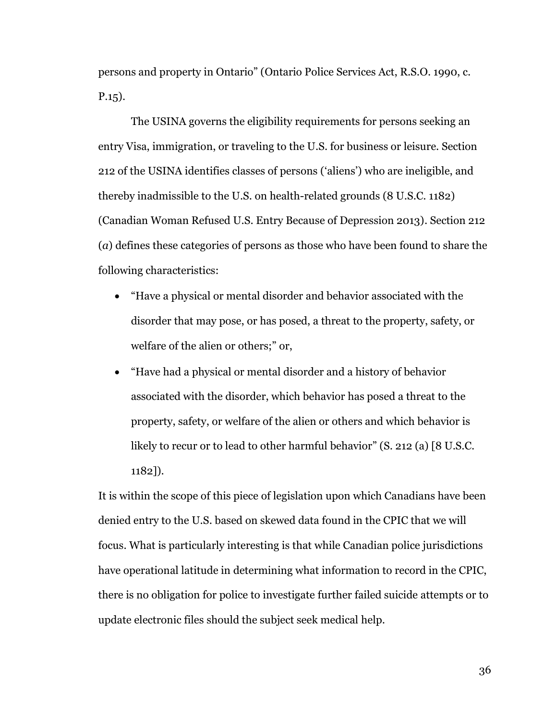persons and property in Ontario" (Ontario Police Services Act, R.S.O. 1990, c. P.15).

The USINA governs the eligibility requirements for persons seeking an entry Visa, immigration, or traveling to the U.S. for business or leisure. Section 212 of the USINA identifies classes of persons ('aliens') who are ineligible, and thereby inadmissible to the U.S. on health-related grounds (8 U.S.C. 1182) (Canadian Woman Refused U.S. Entry Because of Depression 2013). Section 212 (*a*) defines these categories of persons as those who have been found to share the following characteristics:

- "Have a physical or mental disorder and behavior associated with the disorder that may pose, or has posed, a threat to the property, safety, or welfare of the alien or others;" or,
- "Have had a physical or mental disorder and a history of behavior associated with the disorder, which behavior has posed a threat to the property, safety, or welfare of the alien or others and which behavior is likely to recur or to lead to other harmful behavior" (S. 212 (a) [8 U.S.C. 1182]).

It is within the scope of this piece of legislation upon which Canadians have been denied entry to the U.S. based on skewed data found in the CPIC that we will focus. What is particularly interesting is that while Canadian police jurisdictions have operational latitude in determining what information to record in the CPIC, there is no obligation for police to investigate further failed suicide attempts or to update electronic files should the subject seek medical help.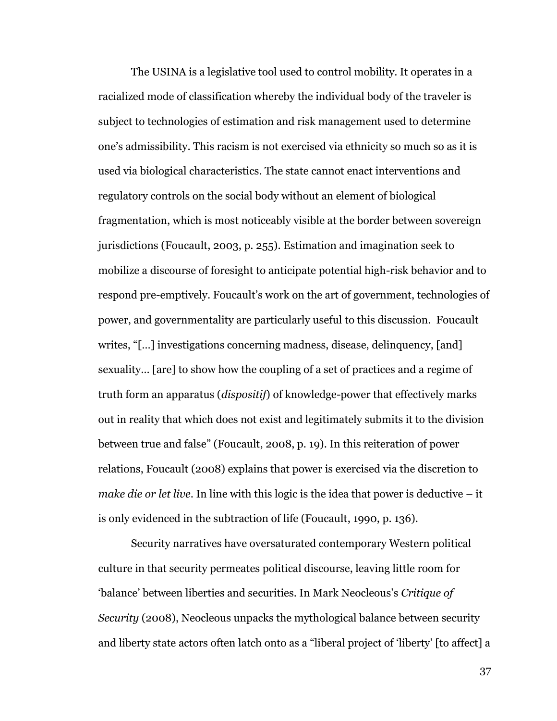The USINA is a legislative tool used to control mobility. It operates in a racialized mode of classification whereby the individual body of the traveler is subject to technologies of estimation and risk management used to determine one's admissibility. This racism is not exercised via ethnicity so much so as it is used via biological characteristics. The state cannot enact interventions and regulatory controls on the social body without an element of biological fragmentation, which is most noticeably visible at the border between sovereign jurisdictions (Foucault, 2003, p. 255). Estimation and imagination seek to mobilize a discourse of foresight to anticipate potential high-risk behavior and to respond pre-emptively. Foucault's work on the art of government, technologies of power, and governmentality are particularly useful to this discussion. Foucault writes, "[…] investigations concerning madness, disease, delinquency, [and] sexuality… [are] to show how the coupling of a set of practices and a regime of truth form an apparatus (*dispositif*) of knowledge-power that effectively marks out in reality that which does not exist and legitimately submits it to the division between true and false" (Foucault, 2008, p. 19). In this reiteration of power relations, Foucault (2008) explains that power is exercised via the discretion to *make die or let live*. In line with this logic is the idea that power is deductive – it is only evidenced in the subtraction of life (Foucault, 1990, p. 136).

Security narratives have oversaturated contemporary Western political culture in that security permeates political discourse, leaving little room for 'balance' between liberties and securities. In Mark Neocleous's *Critique of Security* (2008), Neocleous unpacks the mythological balance between security and liberty state actors often latch onto as a "liberal project of 'liberty' [to affect] a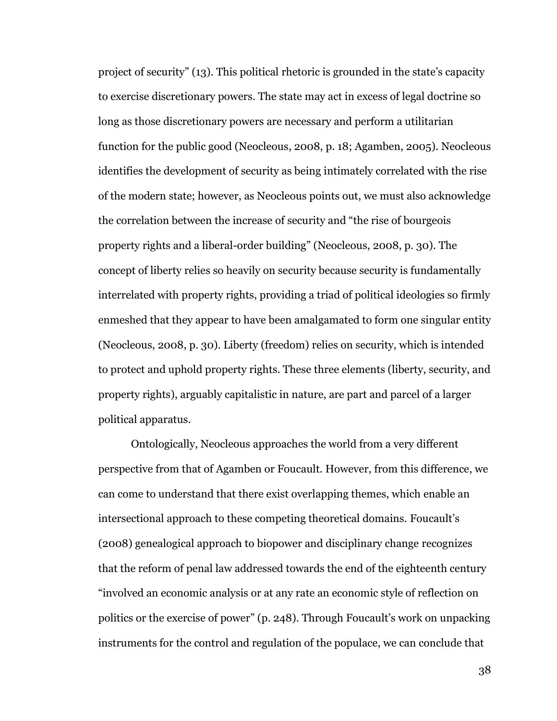project of security" (13). This political rhetoric is grounded in the state's capacity to exercise discretionary powers. The state may act in excess of legal doctrine so long as those discretionary powers are necessary and perform a utilitarian function for the public good (Neocleous, 2008, p. 18; Agamben, 2005). Neocleous identifies the development of security as being intimately correlated with the rise of the modern state; however, as Neocleous points out, we must also acknowledge the correlation between the increase of security and "the rise of bourgeois property rights and a liberal-order building" (Neocleous, 2008, p. 30). The concept of liberty relies so heavily on security because security is fundamentally interrelated with property rights, providing a triad of political ideologies so firmly enmeshed that they appear to have been amalgamated to form one singular entity (Neocleous, 2008, p. 30). Liberty (freedom) relies on security, which is intended to protect and uphold property rights. These three elements (liberty, security, and property rights), arguably capitalistic in nature, are part and parcel of a larger political apparatus.

Ontologically, Neocleous approaches the world from a very different perspective from that of Agamben or Foucault. However, from this difference, we can come to understand that there exist overlapping themes, which enable an intersectional approach to these competing theoretical domains. Foucault's (2008) genealogical approach to biopower and disciplinary change recognizes that the reform of penal law addressed towards the end of the eighteenth century "involved an economic analysis or at any rate an economic style of reflection on politics or the exercise of power" (p. 248). Through Foucault's work on unpacking instruments for the control and regulation of the populace, we can conclude that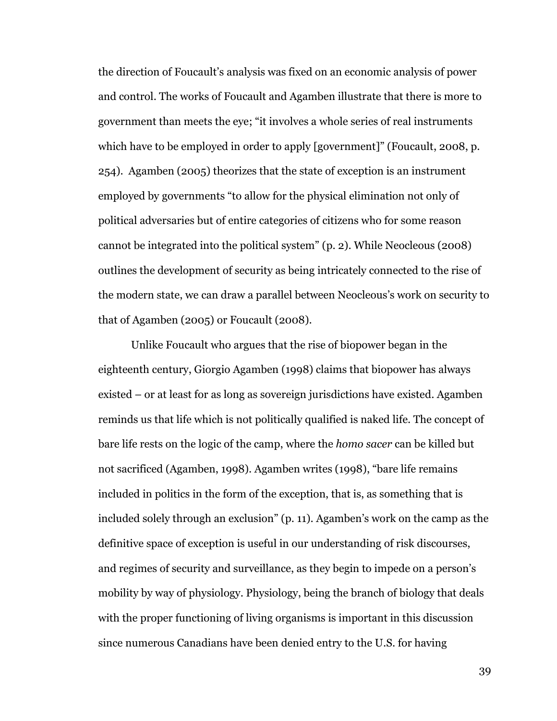the direction of Foucault's analysis was fixed on an economic analysis of power and control. The works of Foucault and Agamben illustrate that there is more to government than meets the eye; "it involves a whole series of real instruments which have to be employed in order to apply [government]" (Foucault, 2008, p. 254). Agamben (2005) theorizes that the state of exception is an instrument employed by governments "to allow for the physical elimination not only of political adversaries but of entire categories of citizens who for some reason cannot be integrated into the political system" (p. 2). While Neocleous (2008) outlines the development of security as being intricately connected to the rise of the modern state, we can draw a parallel between Neocleous's work on security to that of Agamben (2005) or Foucault (2008).

Unlike Foucault who argues that the rise of biopower began in the eighteenth century, Giorgio Agamben (1998) claims that biopower has always existed – or at least for as long as sovereign jurisdictions have existed. Agamben reminds us that life which is not politically qualified is naked life. The concept of bare life rests on the logic of the camp, where the *homo sacer* can be killed but not sacrificed (Agamben, 1998). Agamben writes (1998), "bare life remains included in politics in the form of the exception, that is, as something that is included solely through an exclusion" (p. 11). Agamben's work on the camp as the definitive space of exception is useful in our understanding of risk discourses, and regimes of security and surveillance, as they begin to impede on a person's mobility by way of physiology. Physiology, being the branch of biology that deals with the proper functioning of living organisms is important in this discussion since numerous Canadians have been denied entry to the U.S. for having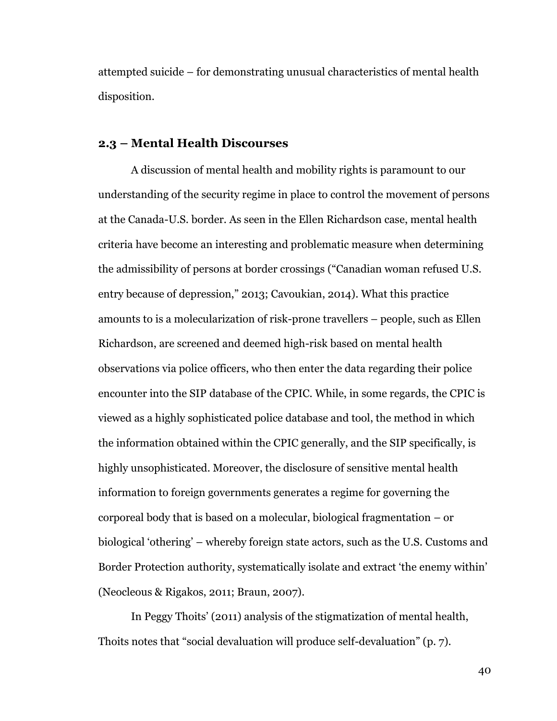attempted suicide – for demonstrating unusual characteristics of mental health disposition.

### **2.3 – Mental Health Discourses**

A discussion of mental health and mobility rights is paramount to our understanding of the security regime in place to control the movement of persons at the Canada-U.S. border. As seen in the Ellen Richardson case, mental health criteria have become an interesting and problematic measure when determining the admissibility of persons at border crossings ("Canadian woman refused U.S. entry because of depression," 2013; Cavoukian, 2014). What this practice amounts to is a molecularization of risk-prone travellers – people, such as Ellen Richardson, are screened and deemed high-risk based on mental health observations via police officers, who then enter the data regarding their police encounter into the SIP database of the CPIC. While, in some regards, the CPIC is viewed as a highly sophisticated police database and tool, the method in which the information obtained within the CPIC generally, and the SIP specifically, is highly unsophisticated. Moreover, the disclosure of sensitive mental health information to foreign governments generates a regime for governing the corporeal body that is based on a molecular, biological fragmentation – or biological 'othering' – whereby foreign state actors, such as the U.S. Customs and Border Protection authority, systematically isolate and extract 'the enemy within' (Neocleous & Rigakos, 2011; Braun, 2007).

In Peggy Thoits' (2011) analysis of the stigmatization of mental health, Thoits notes that "social devaluation will produce self-devaluation" (p. 7).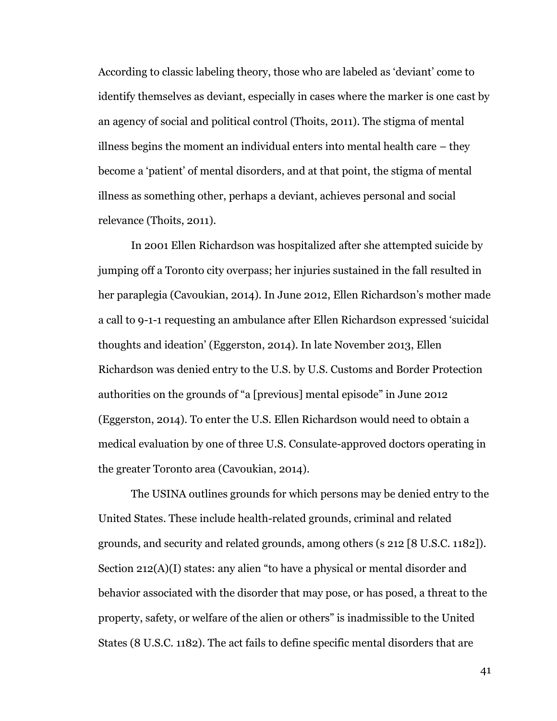According to classic labeling theory, those who are labeled as 'deviant' come to identify themselves as deviant, especially in cases where the marker is one cast by an agency of social and political control (Thoits, 2011). The stigma of mental illness begins the moment an individual enters into mental health care – they become a 'patient' of mental disorders, and at that point, the stigma of mental illness as something other, perhaps a deviant, achieves personal and social relevance (Thoits, 2011).

In 2001 Ellen Richardson was hospitalized after she attempted suicide by jumping off a Toronto city overpass; her injuries sustained in the fall resulted in her paraplegia (Cavoukian, 2014). In June 2012, Ellen Richardson's mother made a call to 9-1-1 requesting an ambulance after Ellen Richardson expressed 'suicidal thoughts and ideation' (Eggerston, 2014). In late November 2013, Ellen Richardson was denied entry to the U.S. by U.S. Customs and Border Protection authorities on the grounds of "a [previous] mental episode" in June 2012 (Eggerston, 2014). To enter the U.S. Ellen Richardson would need to obtain a medical evaluation by one of three U.S. Consulate-approved doctors operating in the greater Toronto area (Cavoukian, 2014).

The USINA outlines grounds for which persons may be denied entry to the United States. These include health-related grounds, criminal and related grounds, and security and related grounds, among others (s 212 [8 U.S.C. 1182]). Section 212(A)(I) states: any alien "to have a physical or mental disorder and behavior associated with the disorder that may pose, or has posed, a threat to the property, safety, or welfare of the alien or others" is inadmissible to the United States (8 U.S.C. 1182). The act fails to define specific mental disorders that are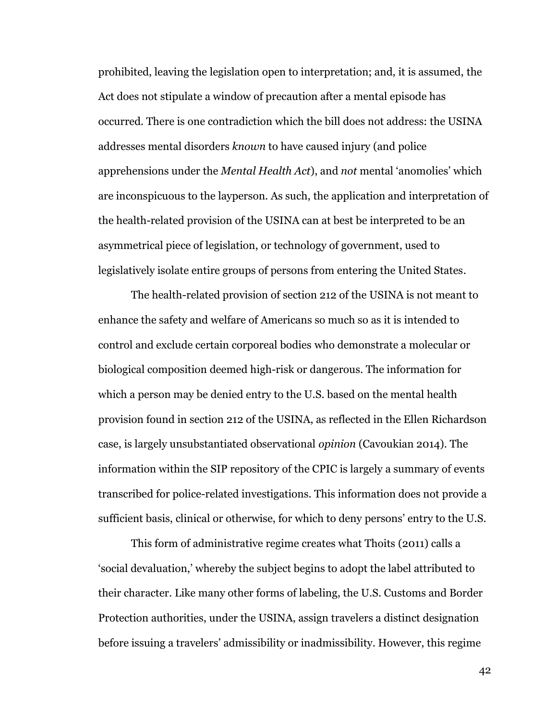prohibited, leaving the legislation open to interpretation; and, it is assumed, the Act does not stipulate a window of precaution after a mental episode has occurred. There is one contradiction which the bill does not address: the USINA addresses mental disorders *known* to have caused injury (and police apprehensions under the *Mental Health Act*), and *not* mental 'anomolies' which are inconspicuous to the layperson. As such, the application and interpretation of the health-related provision of the USINA can at best be interpreted to be an asymmetrical piece of legislation, or technology of government, used to legislatively isolate entire groups of persons from entering the United States.

The health-related provision of section 212 of the USINA is not meant to enhance the safety and welfare of Americans so much so as it is intended to control and exclude certain corporeal bodies who demonstrate a molecular or biological composition deemed high-risk or dangerous. The information for which a person may be denied entry to the U.S. based on the mental health provision found in section 212 of the USINA, as reflected in the Ellen Richardson case, is largely unsubstantiated observational *opinion* (Cavoukian 2014). The information within the SIP repository of the CPIC is largely a summary of events transcribed for police-related investigations. This information does not provide a sufficient basis, clinical or otherwise, for which to deny persons' entry to the U.S.

This form of administrative regime creates what Thoits (2011) calls a 'social devaluation,' whereby the subject begins to adopt the label attributed to their character. Like many other forms of labeling, the U.S. Customs and Border Protection authorities, under the USINA, assign travelers a distinct designation before issuing a travelers' admissibility or inadmissibility. However, this regime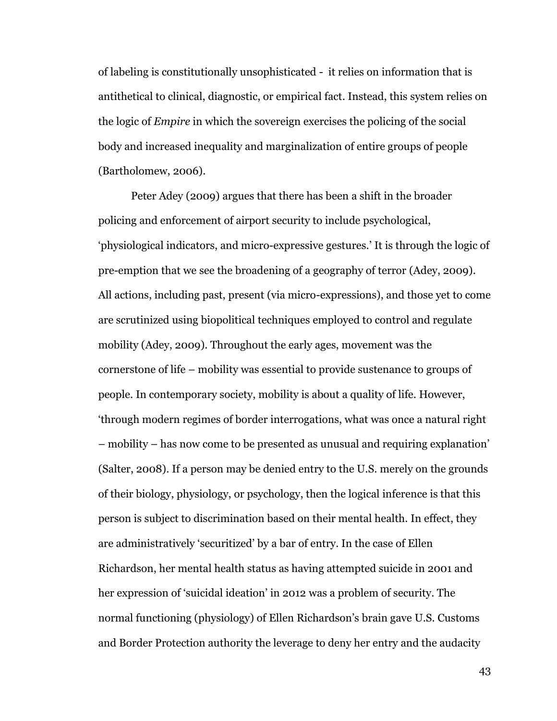of labeling is constitutionally unsophisticated - it relies on information that is antithetical to clinical, diagnostic, or empirical fact. Instead, this system relies on the logic of *Empire* in which the sovereign exercises the policing of the social body and increased inequality and marginalization of entire groups of people (Bartholomew, 2006).

Peter Adey (2009) argues that there has been a shift in the broader policing and enforcement of airport security to include psychological, 'physiological indicators, and micro-expressive gestures.' It is through the logic of pre-emption that we see the broadening of a geography of terror (Adey, 2009). All actions, including past, present (via micro-expressions), and those yet to come are scrutinized using biopolitical techniques employed to control and regulate mobility (Adey, 2009). Throughout the early ages, movement was the cornerstone of life – mobility was essential to provide sustenance to groups of people. In contemporary society, mobility is about a quality of life. However, 'through modern regimes of border interrogations, what was once a natural right – mobility – has now come to be presented as unusual and requiring explanation' (Salter, 2008). If a person may be denied entry to the U.S. merely on the grounds of their biology, physiology, or psychology, then the logical inference is that this person is subject to discrimination based on their mental health. In effect, they are administratively 'securitized' by a bar of entry. In the case of Ellen Richardson, her mental health status as having attempted suicide in 2001 and her expression of 'suicidal ideation' in 2012 was a problem of security. The normal functioning (physiology) of Ellen Richardson's brain gave U.S. Customs and Border Protection authority the leverage to deny her entry and the audacity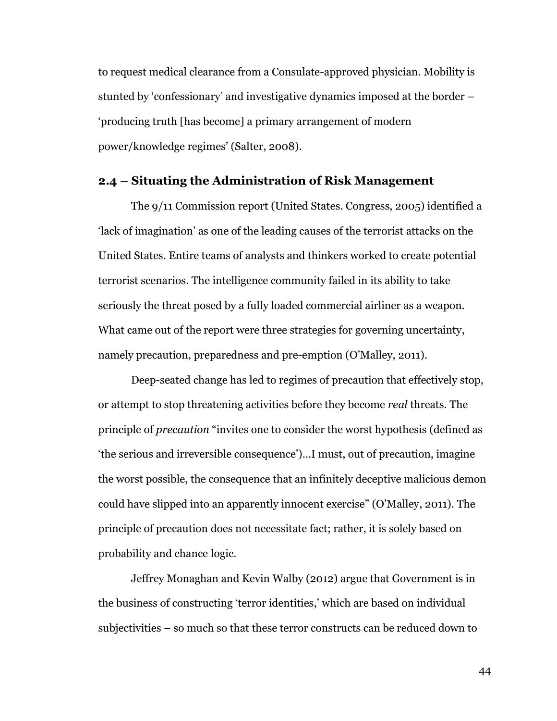to request medical clearance from a Consulate-approved physician. Mobility is stunted by 'confessionary' and investigative dynamics imposed at the border – 'producing truth [has become] a primary arrangement of modern power/knowledge regimes' (Salter, 2008).

## **2.4 – Situating the Administration of Risk Management**

The 9/11 Commission report (United States. Congress, 2005) identified a 'lack of imagination' as one of the leading causes of the terrorist attacks on the United States. Entire teams of analysts and thinkers worked to create potential terrorist scenarios. The intelligence community failed in its ability to take seriously the threat posed by a fully loaded commercial airliner as a weapon. What came out of the report were three strategies for governing uncertainty, namely precaution, preparedness and pre-emption (O'Malley, 2011).

Deep-seated change has led to regimes of precaution that effectively stop, or attempt to stop threatening activities before they become *real* threats. The principle of *precaution* "invites one to consider the worst hypothesis (defined as 'the serious and irreversible consequence')…I must, out of precaution, imagine the worst possible, the consequence that an infinitely deceptive malicious demon could have slipped into an apparently innocent exercise" (O'Malley, 2011). The principle of precaution does not necessitate fact; rather, it is solely based on probability and chance logic.

Jeffrey Monaghan and Kevin Walby (2012) argue that Government is in the business of constructing 'terror identities,' which are based on individual subjectivities – so much so that these terror constructs can be reduced down to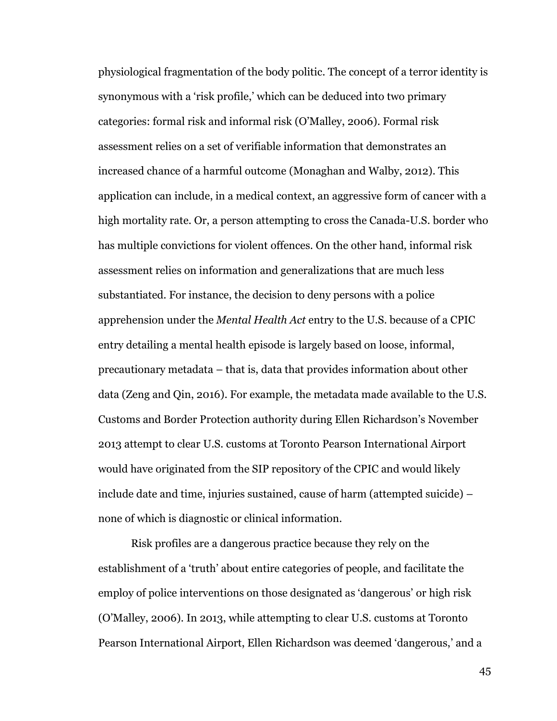physiological fragmentation of the body politic. The concept of a terror identity is synonymous with a 'risk profile,' which can be deduced into two primary categories: formal risk and informal risk (O'Malley, 2006). Formal risk assessment relies on a set of verifiable information that demonstrates an increased chance of a harmful outcome (Monaghan and Walby, 2012). This application can include, in a medical context, an aggressive form of cancer with a high mortality rate. Or, a person attempting to cross the Canada-U.S. border who has multiple convictions for violent offences. On the other hand, informal risk assessment relies on information and generalizations that are much less substantiated. For instance, the decision to deny persons with a police apprehension under the *Mental Health Act* entry to the U.S. because of a CPIC entry detailing a mental health episode is largely based on loose, informal, precautionary metadata – that is, data that provides information about other data (Zeng and Qin, 2016). For example, the metadata made available to the U.S. Customs and Border Protection authority during Ellen Richardson's November 2013 attempt to clear U.S. customs at Toronto Pearson International Airport would have originated from the SIP repository of the CPIC and would likely include date and time, injuries sustained, cause of harm (attempted suicide) – none of which is diagnostic or clinical information.

Risk profiles are a dangerous practice because they rely on the establishment of a 'truth' about entire categories of people, and facilitate the employ of police interventions on those designated as 'dangerous' or high risk (O'Malley, 2006). In 2013, while attempting to clear U.S. customs at Toronto Pearson International Airport, Ellen Richardson was deemed 'dangerous,' and a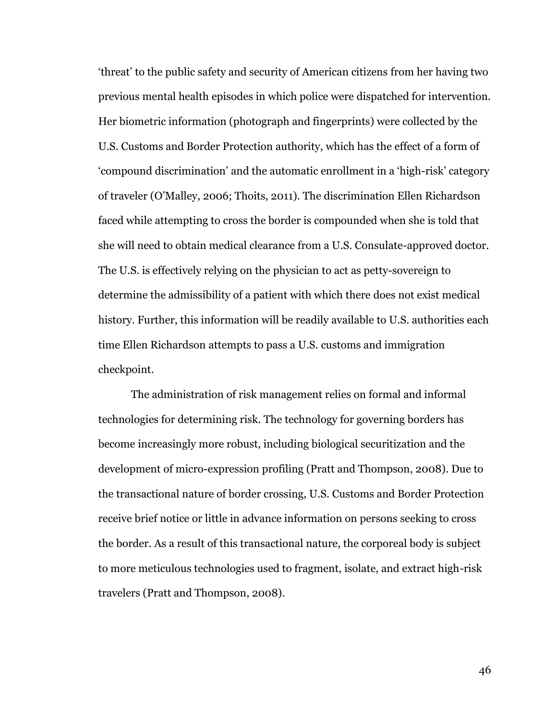'threat' to the public safety and security of American citizens from her having two previous mental health episodes in which police were dispatched for intervention. Her biometric information (photograph and fingerprints) were collected by the U.S. Customs and Border Protection authority, which has the effect of a form of 'compound discrimination' and the automatic enrollment in a 'high-risk' category of traveler (O'Malley, 2006; Thoits, 2011). The discrimination Ellen Richardson faced while attempting to cross the border is compounded when she is told that she will need to obtain medical clearance from a U.S. Consulate-approved doctor. The U.S. is effectively relying on the physician to act as petty-sovereign to determine the admissibility of a patient with which there does not exist medical history. Further, this information will be readily available to U.S. authorities each time Ellen Richardson attempts to pass a U.S. customs and immigration checkpoint.

The administration of risk management relies on formal and informal technologies for determining risk. The technology for governing borders has become increasingly more robust, including biological securitization and the development of micro-expression profiling (Pratt and Thompson, 2008). Due to the transactional nature of border crossing, U.S. Customs and Border Protection receive brief notice or little in advance information on persons seeking to cross the border. As a result of this transactional nature, the corporeal body is subject to more meticulous technologies used to fragment, isolate, and extract high-risk travelers (Pratt and Thompson, 2008).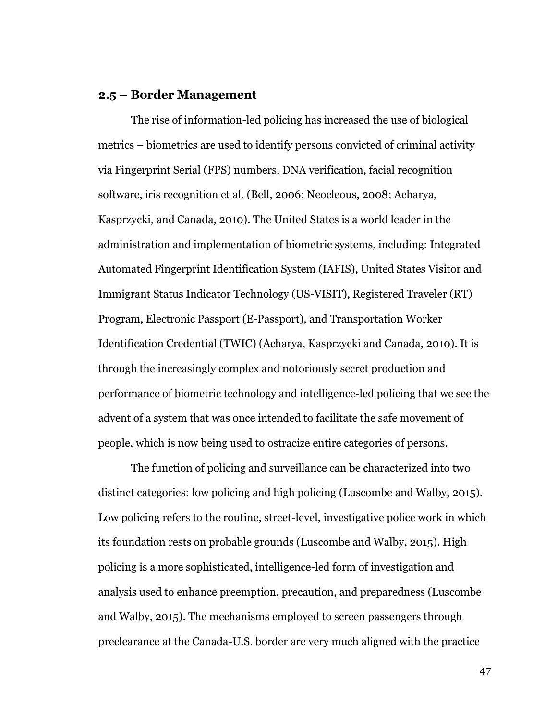### **2.5 – Border Management**

The rise of information-led policing has increased the use of biological metrics – biometrics are used to identify persons convicted of criminal activity via Fingerprint Serial (FPS) numbers, DNA verification, facial recognition software, iris recognition et al. (Bell, 2006; Neocleous, 2008; Acharya, Kasprzycki, and Canada, 2010). The United States is a world leader in the administration and implementation of biometric systems, including: Integrated Automated Fingerprint Identification System (IAFIS), United States Visitor and Immigrant Status Indicator Technology (US-VISIT), Registered Traveler (RT) Program, Electronic Passport (E-Passport), and Transportation Worker Identification Credential (TWIC) (Acharya, Kasprzycki and Canada, 2010). It is through the increasingly complex and notoriously secret production and performance of biometric technology and intelligence-led policing that we see the advent of a system that was once intended to facilitate the safe movement of people, which is now being used to ostracize entire categories of persons.

The function of policing and surveillance can be characterized into two distinct categories: low policing and high policing (Luscombe and Walby, 2015). Low policing refers to the routine, street-level, investigative police work in which its foundation rests on probable grounds (Luscombe and Walby, 2015). High policing is a more sophisticated, intelligence-led form of investigation and analysis used to enhance preemption, precaution, and preparedness (Luscombe and Walby, 2015). The mechanisms employed to screen passengers through preclearance at the Canada-U.S. border are very much aligned with the practice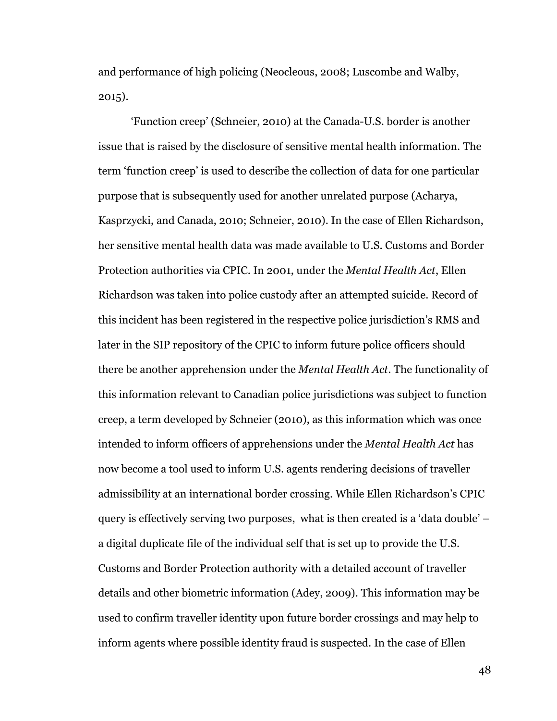and performance of high policing (Neocleous, 2008; Luscombe and Walby, 2015).

'Function creep' (Schneier, 2010) at the Canada-U.S. border is another issue that is raised by the disclosure of sensitive mental health information. The term 'function creep' is used to describe the collection of data for one particular purpose that is subsequently used for another unrelated purpose (Acharya, Kasprzycki, and Canada, 2010; Schneier, 2010). In the case of Ellen Richardson, her sensitive mental health data was made available to U.S. Customs and Border Protection authorities via CPIC. In 2001, under the *Mental Health Act*, Ellen Richardson was taken into police custody after an attempted suicide. Record of this incident has been registered in the respective police jurisdiction's RMS and later in the SIP repository of the CPIC to inform future police officers should there be another apprehension under the *Mental Health Act*. The functionality of this information relevant to Canadian police jurisdictions was subject to function creep, a term developed by Schneier (2010), as this information which was once intended to inform officers of apprehensions under the *Mental Health Act* has now become a tool used to inform U.S. agents rendering decisions of traveller admissibility at an international border crossing. While Ellen Richardson's CPIC query is effectively serving two purposes, what is then created is a 'data double' – a digital duplicate file of the individual self that is set up to provide the U.S. Customs and Border Protection authority with a detailed account of traveller details and other biometric information (Adey, 2009). This information may be used to confirm traveller identity upon future border crossings and may help to inform agents where possible identity fraud is suspected. In the case of Ellen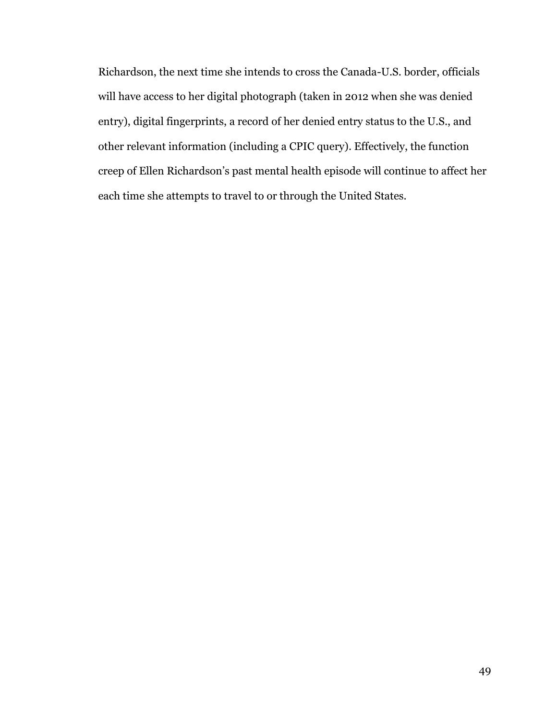Richardson, the next time she intends to cross the Canada-U.S. border, officials will have access to her digital photograph (taken in 2012 when she was denied entry), digital fingerprints, a record of her denied entry status to the U.S., and other relevant information (including a CPIC query). Effectively, the function creep of Ellen Richardson's past mental health episode will continue to affect her each time she attempts to travel to or through the United States.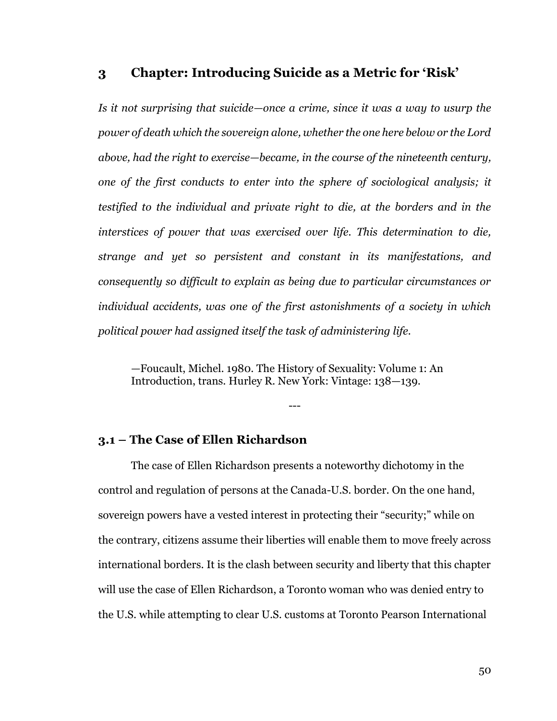## **3 Chapter: Introducing Suicide as a Metric for 'Risk'**

*Is it not surprising that suicide—once a crime, since it was a way to usurp the power of death which the sovereign alone, whether the one here below or the Lord above, had the right to exercise—became, in the course of the nineteenth century, one of the first conducts to enter into the sphere of sociological analysis; it testified to the individual and private right to die, at the borders and in the interstices of power that was exercised over life. This determination to die, strange and yet so persistent and constant in its manifestations, and consequently so difficult to explain as being due to particular circumstances or individual accidents, was one of the first astonishments of a society in which political power had assigned itself the task of administering life.*

*—*Foucault, Michel. 1980. The History of Sexuality: Volume 1: An Introduction, trans. Hurley R. New York: Vintage: 138—139.

---

### **3.1 – The Case of Ellen Richardson**

The case of Ellen Richardson presents a noteworthy dichotomy in the control and regulation of persons at the Canada-U.S. border. On the one hand, sovereign powers have a vested interest in protecting their "security;" while on the contrary, citizens assume their liberties will enable them to move freely across international borders. It is the clash between security and liberty that this chapter will use the case of Ellen Richardson, a Toronto woman who was denied entry to the U.S. while attempting to clear U.S. customs at Toronto Pearson International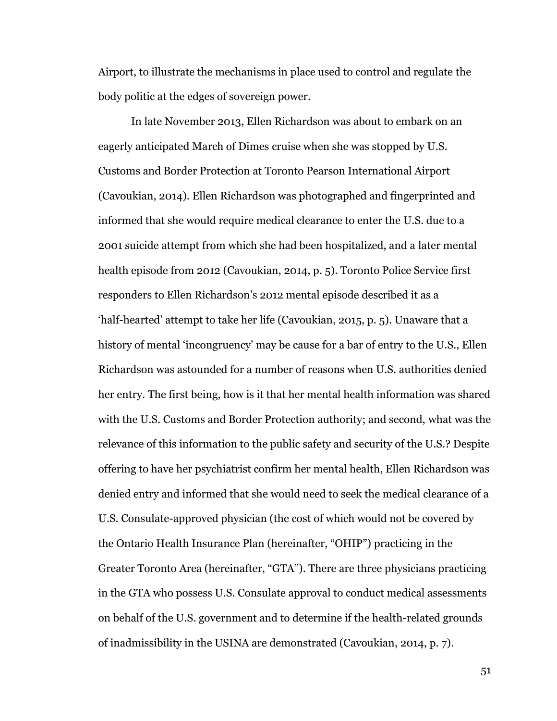Airport, to illustrate the mechanisms in place used to control and regulate the body politic at the edges of sovereign power.

In late November 2013, Ellen Richardson was about to embark on an eagerly anticipated March of Dimes cruise when she was stopped by U.S. Customs and Border Protection at Toronto Pearson International Airport (Cavoukian, 2014). Ellen Richardson was photographed and fingerprinted and informed that she would require medical clearance to enter the U.S. due to a 2001 suicide attempt from which she had been hospitalized, and a later mental health episode from 2012 (Cavoukian, 2014, p. 5). Toronto Police Service first responders to Ellen Richardson's 2012 mental episode described it as a 'half-hearted' attempt to take her life (Cavoukian, 2015, p. 5). Unaware that a history of mental 'incongruency' may be cause for a bar of entry to the U.S., Ellen Richardson was astounded for a number of reasons when U.S. authorities denied her entry. The first being, how is it that her mental health information was shared with the U.S. Customs and Border Protection authority; and second, what was the relevance of this information to the public safety and security of the U.S.? Despite offering to have her psychiatrist confirm her mental health, Ellen Richardson was denied entry and informed that she would need to seek the medical clearance of a U.S. Consulate-approved physician (the cost of which would not be covered by the Ontario Health Insurance Plan (hereinafter, "OHIP") practicing in the Greater Toronto Area (hereinafter, "GTA"). There are three physicians practicing in the GTA who possess U.S. Consulate approval to conduct medical assessments on behalf of the U.S. government and to determine if the health-related grounds of inadmissibility in the USINA are demonstrated (Cavoukian, 2014, p. 7).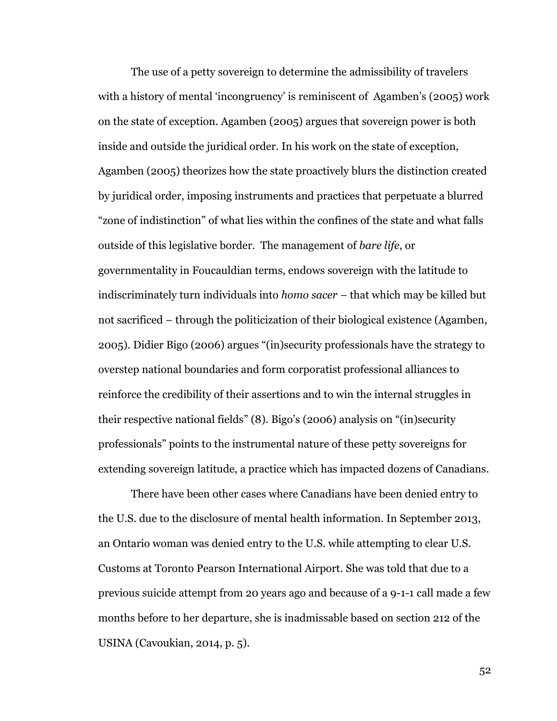The use of a petty sovereign to determine the admissibility of travelers with a history of mental 'incongruency' is reminiscent of Agamben's (2005) work on the state of exception. Agamben (2005) argues that sovereign power is both inside and outside the juridical order. In his work on the state of exception, Agamben (2005) theorizes how the state proactively blurs the distinction created by juridical order, imposing instruments and practices that perpetuate a blurred "zone of indistinction" of what lies within the confines of the state and what falls outside of this legislative border. The management of *bare life*, or governmentality in Foucauldian terms, endows sovereign with the latitude to indiscriminately turn individuals into *homo sacer –* that which may be killed but not sacrificed *–* through the politicization of their biological existence (Agamben, 2005). Didier Bigo (2006) argues "(in)security professionals have the strategy to overstep national boundaries and form corporatist professional alliances to reinforce the credibility of their assertions and to win the internal struggles in their respective national fields" (8). Bigo's (2006) analysis on "(in)security professionals" points to the instrumental nature of these petty sovereigns for extending sovereign latitude, a practice which has impacted dozens of Canadians.

There have been other cases where Canadians have been denied entry to the U.S. due to the disclosure of mental health information. In September 2013, an Ontario woman was denied entry to the U.S. while attempting to clear U.S. Customs at Toronto Pearson International Airport. She was told that due to a previous suicide attempt from 20 years ago and because of a 9-1-1 call made a few months before to her departure, she is inadmissable based on section 212 of the USINA (Cavoukian, 2014, p. 5).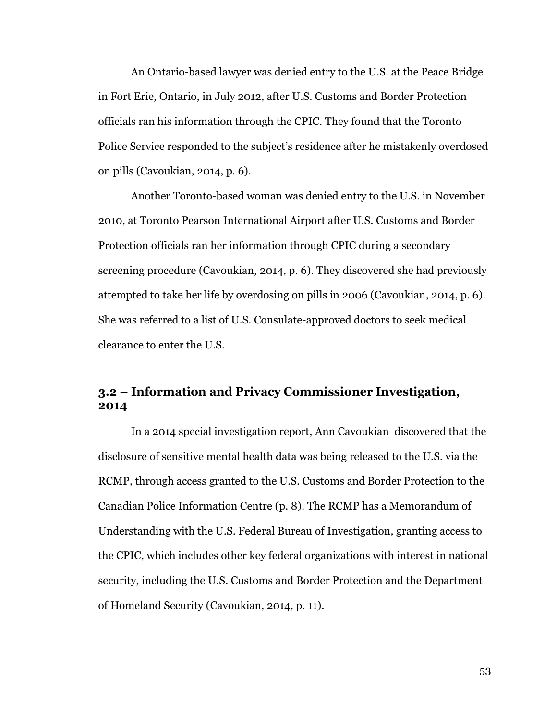An Ontario-based lawyer was denied entry to the U.S. at the Peace Bridge in Fort Erie, Ontario, in July 2012, after U.S. Customs and Border Protection officials ran his information through the CPIC. They found that the Toronto Police Service responded to the subject's residence after he mistakenly overdosed on pills (Cavoukian, 2014, p. 6).

Another Toronto-based woman was denied entry to the U.S. in November 2010, at Toronto Pearson International Airport after U.S. Customs and Border Protection officials ran her information through CPIC during a secondary screening procedure (Cavoukian, 2014, p. 6). They discovered she had previously attempted to take her life by overdosing on pills in 2006 (Cavoukian, 2014, p. 6). She was referred to a list of U.S. Consulate-approved doctors to seek medical clearance to enter the U.S.

# **3.2 – Information and Privacy Commissioner Investigation, 2014**

In a 2014 special investigation report, Ann Cavoukian discovered that the disclosure of sensitive mental health data was being released to the U.S. via the RCMP, through access granted to the U.S. Customs and Border Protection to the Canadian Police Information Centre (p. 8). The RCMP has a Memorandum of Understanding with the U.S. Federal Bureau of Investigation, granting access to the CPIC, which includes other key federal organizations with interest in national security, including the U.S. Customs and Border Protection and the Department of Homeland Security (Cavoukian, 2014, p. 11).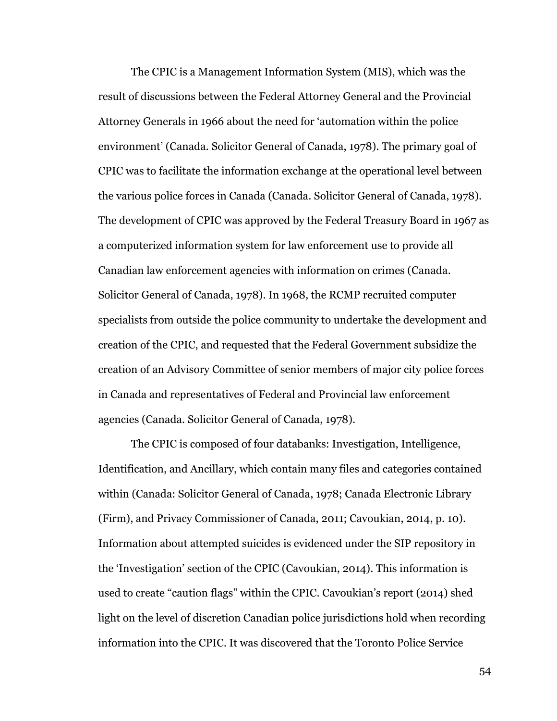The CPIC is a Management Information System (MIS), which was the result of discussions between the Federal Attorney General and the Provincial Attorney Generals in 1966 about the need for 'automation within the police environment' (Canada. Solicitor General of Canada, 1978). The primary goal of CPIC was to facilitate the information exchange at the operational level between the various police forces in Canada (Canada. Solicitor General of Canada, 1978). The development of CPIC was approved by the Federal Treasury Board in 1967 as a computerized information system for law enforcement use to provide all Canadian law enforcement agencies with information on crimes (Canada. Solicitor General of Canada, 1978). In 1968, the RCMP recruited computer specialists from outside the police community to undertake the development and creation of the CPIC, and requested that the Federal Government subsidize the creation of an Advisory Committee of senior members of major city police forces in Canada and representatives of Federal and Provincial law enforcement agencies (Canada. Solicitor General of Canada, 1978).

The CPIC is composed of four databanks: Investigation, Intelligence, Identification, and Ancillary, which contain many files and categories contained within (Canada: Solicitor General of Canada, 1978; Canada Electronic Library (Firm), and Privacy Commissioner of Canada, 2011; Cavoukian, 2014, p. 10). Information about attempted suicides is evidenced under the SIP repository in the 'Investigation' section of the CPIC (Cavoukian, 2014). This information is used to create "caution flags" within the CPIC. Cavoukian's report (2014) shed light on the level of discretion Canadian police jurisdictions hold when recording information into the CPIC. It was discovered that the Toronto Police Service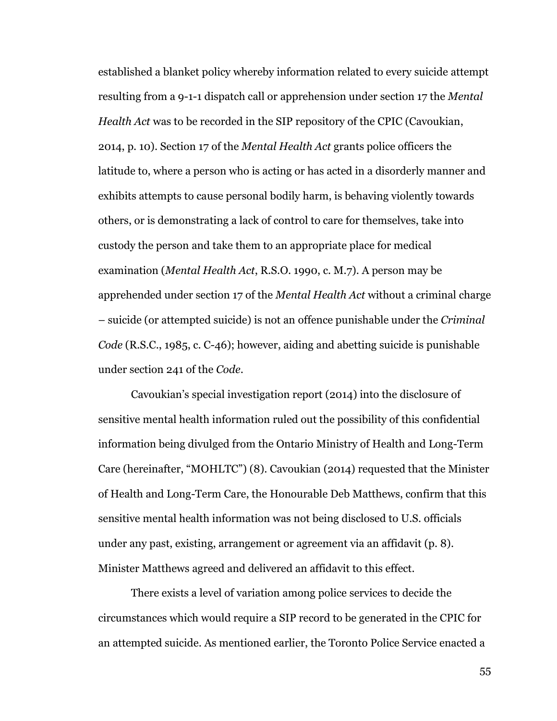established a blanket policy whereby information related to every suicide attempt resulting from a 9-1-1 dispatch call or apprehension under section 17 the *Mental Health Act* was to be recorded in the SIP repository of the CPIC (Cavoukian, 2014, p. 10). Section 17 of the *Mental Health Act* grants police officers the latitude to, where a person who is acting or has acted in a disorderly manner and exhibits attempts to cause personal bodily harm, is behaving violently towards others, or is demonstrating a lack of control to care for themselves, take into custody the person and take them to an appropriate place for medical examination (*Mental Health Act*, R.S.O. 1990, c. M.7). A person may be apprehended under section 17 of the *Mental Health Act* without a criminal charge – suicide (or attempted suicide) is not an offence punishable under the *Criminal Code* (R.S.C., 1985, c. C-46); however, aiding and abetting suicide is punishable under section 241 of the *Code*.

Cavoukian's special investigation report (2014) into the disclosure of sensitive mental health information ruled out the possibility of this confidential information being divulged from the Ontario Ministry of Health and Long-Term Care (hereinafter, "MOHLTC") (8). Cavoukian (2014) requested that the Minister of Health and Long-Term Care, the Honourable Deb Matthews, confirm that this sensitive mental health information was not being disclosed to U.S. officials under any past, existing, arrangement or agreement via an affidavit (p. 8). Minister Matthews agreed and delivered an affidavit to this effect.

There exists a level of variation among police services to decide the circumstances which would require a SIP record to be generated in the CPIC for an attempted suicide. As mentioned earlier, the Toronto Police Service enacted a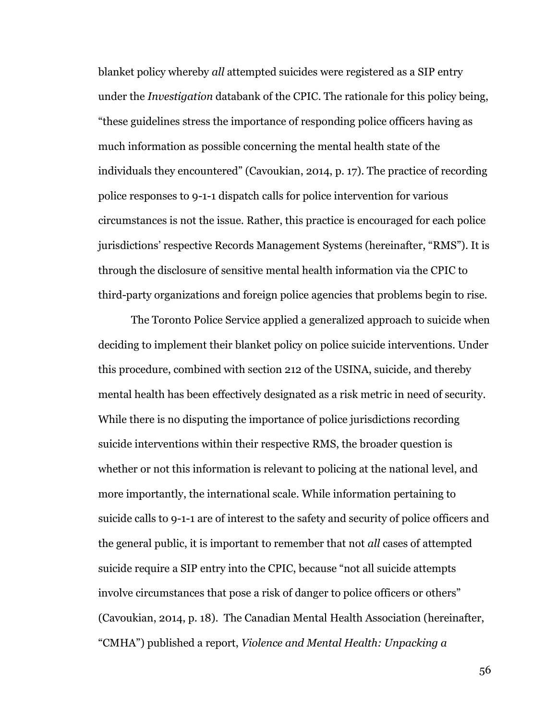blanket policy whereby *all* attempted suicides were registered as a SIP entry under the *Investigation* databank of the CPIC. The rationale for this policy being, "these guidelines stress the importance of responding police officers having as much information as possible concerning the mental health state of the individuals they encountered" (Cavoukian, 2014, p. 17). The practice of recording police responses to 9-1-1 dispatch calls for police intervention for various circumstances is not the issue. Rather, this practice is encouraged for each police jurisdictions' respective Records Management Systems (hereinafter, "RMS"). It is through the disclosure of sensitive mental health information via the CPIC to third-party organizations and foreign police agencies that problems begin to rise.

The Toronto Police Service applied a generalized approach to suicide when deciding to implement their blanket policy on police suicide interventions. Under this procedure, combined with section 212 of the USINA, suicide, and thereby mental health has been effectively designated as a risk metric in need of security. While there is no disputing the importance of police jurisdictions recording suicide interventions within their respective RMS, the broader question is whether or not this information is relevant to policing at the national level, and more importantly, the international scale. While information pertaining to suicide calls to 9-1-1 are of interest to the safety and security of police officers and the general public, it is important to remember that not *all* cases of attempted suicide require a SIP entry into the CPIC, because "not all suicide attempts involve circumstances that pose a risk of danger to police officers or others" (Cavoukian, 2014, p. 18). The Canadian Mental Health Association (hereinafter, "CMHA") published a report, *Violence and Mental Health: Unpacking a*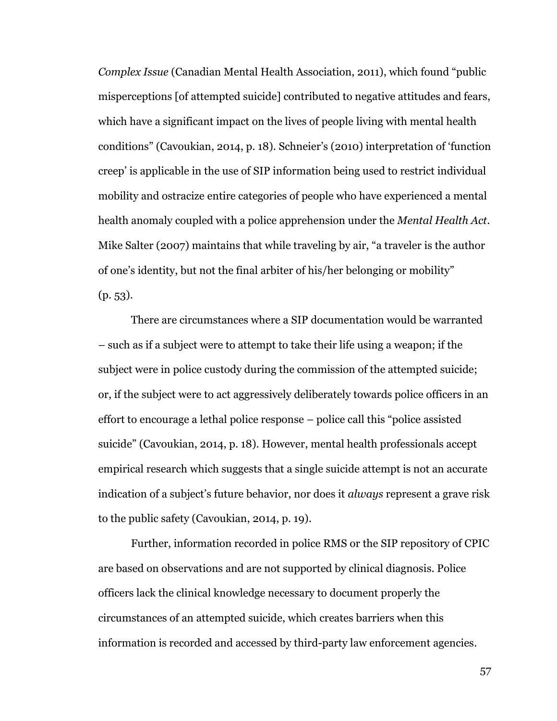*Complex Issue* (Canadian Mental Health Association, 2011), which found "public misperceptions [of attempted suicide] contributed to negative attitudes and fears, which have a significant impact on the lives of people living with mental health conditions" (Cavoukian, 2014, p. 18). Schneier's (2010) interpretation of 'function creep' is applicable in the use of SIP information being used to restrict individual mobility and ostracize entire categories of people who have experienced a mental health anomaly coupled with a police apprehension under the *Mental Health Act*. Mike Salter (2007) maintains that while traveling by air, "a traveler is the author of one's identity, but not the final arbiter of his/her belonging or mobility" (p. 53).

There are circumstances where a SIP documentation would be warranted – such as if a subject were to attempt to take their life using a weapon; if the subject were in police custody during the commission of the attempted suicide; or, if the subject were to act aggressively deliberately towards police officers in an effort to encourage a lethal police response – police call this "police assisted suicide" (Cavoukian, 2014, p. 18). However, mental health professionals accept empirical research which suggests that a single suicide attempt is not an accurate indication of a subject's future behavior, nor does it *always* represent a grave risk to the public safety (Cavoukian, 2014, p. 19).

Further, information recorded in police RMS or the SIP repository of CPIC are based on observations and are not supported by clinical diagnosis. Police officers lack the clinical knowledge necessary to document properly the circumstances of an attempted suicide, which creates barriers when this information is recorded and accessed by third-party law enforcement agencies.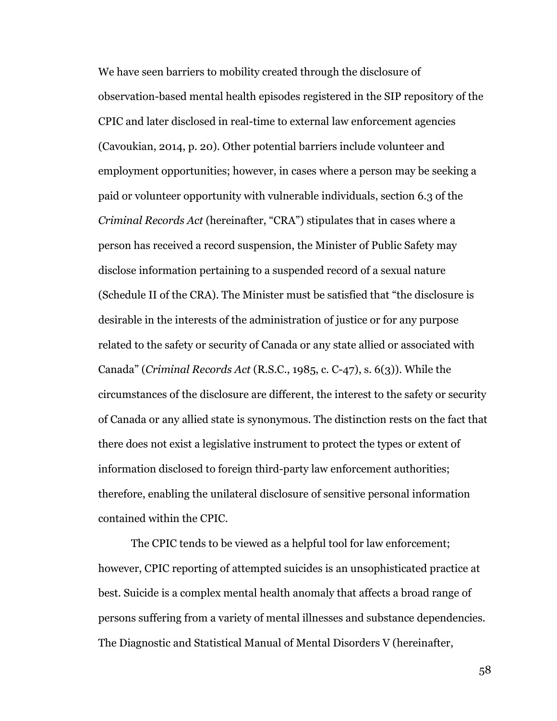We have seen barriers to mobility created through the disclosure of observation-based mental health episodes registered in the SIP repository of the CPIC and later disclosed in real-time to external law enforcement agencies (Cavoukian, 2014, p. 20). Other potential barriers include volunteer and employment opportunities; however, in cases where a person may be seeking a paid or volunteer opportunity with vulnerable individuals, section 6.3 of the *Criminal Records Act* (hereinafter, "CRA") stipulates that in cases where a person has received a record suspension, the Minister of Public Safety may disclose information pertaining to a suspended record of a sexual nature (Schedule II of the CRA). The Minister must be satisfied that "the disclosure is desirable in the interests of the administration of justice or for any purpose related to the safety or security of Canada or any state allied or associated with Canada" (*Criminal Records Act* (R.S.C., 1985, c. C-47), s. 6(3)). While the circumstances of the disclosure are different, the interest to the safety or security of Canada or any allied state is synonymous. The distinction rests on the fact that there does not exist a legislative instrument to protect the types or extent of information disclosed to foreign third-party law enforcement authorities; therefore, enabling the unilateral disclosure of sensitive personal information contained within the CPIC.

The CPIC tends to be viewed as a helpful tool for law enforcement; however, CPIC reporting of attempted suicides is an unsophisticated practice at best. Suicide is a complex mental health anomaly that affects a broad range of persons suffering from a variety of mental illnesses and substance dependencies. The Diagnostic and Statistical Manual of Mental Disorders V (hereinafter,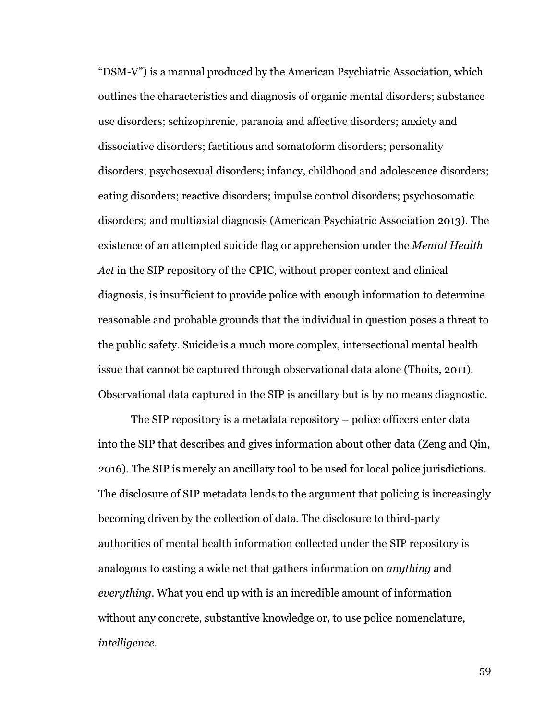"DSM-V") is a manual produced by the American Psychiatric Association, which outlines the characteristics and diagnosis of organic mental disorders; substance use disorders; schizophrenic, paranoia and affective disorders; anxiety and dissociative disorders; factitious and somatoform disorders; personality disorders; psychosexual disorders; infancy, childhood and adolescence disorders; eating disorders; reactive disorders; impulse control disorders; psychosomatic disorders; and multiaxial diagnosis (American Psychiatric Association 2013). The existence of an attempted suicide flag or apprehension under the *Mental Health Act* in the SIP repository of the CPIC, without proper context and clinical diagnosis, is insufficient to provide police with enough information to determine reasonable and probable grounds that the individual in question poses a threat to the public safety. Suicide is a much more complex, intersectional mental health issue that cannot be captured through observational data alone (Thoits, 2011). Observational data captured in the SIP is ancillary but is by no means diagnostic.

The SIP repository is a metadata repository – police officers enter data into the SIP that describes and gives information about other data (Zeng and Qin, 2016). The SIP is merely an ancillary tool to be used for local police jurisdictions. The disclosure of SIP metadata lends to the argument that policing is increasingly becoming driven by the collection of data. The disclosure to third-party authorities of mental health information collected under the SIP repository is analogous to casting a wide net that gathers information on *anything* and *everything*. What you end up with is an incredible amount of information without any concrete, substantive knowledge or, to use police nomenclature, *intelligence*.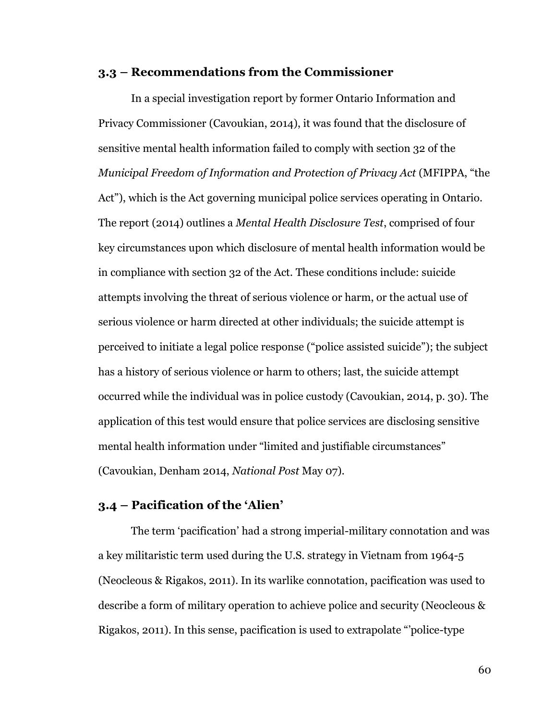### **3.3 – Recommendations from the Commissioner**

In a special investigation report by former Ontario Information and Privacy Commissioner (Cavoukian, 2014), it was found that the disclosure of sensitive mental health information failed to comply with section 32 of the *Municipal Freedom of Information and Protection of Privacy Act* (MFIPPA, "the Act"), which is the Act governing municipal police services operating in Ontario. The report (2014) outlines a *Mental Health Disclosure Test*, comprised of four key circumstances upon which disclosure of mental health information would be in compliance with section 32 of the Act. These conditions include: suicide attempts involving the threat of serious violence or harm, or the actual use of serious violence or harm directed at other individuals; the suicide attempt is perceived to initiate a legal police response ("police assisted suicide"); the subject has a history of serious violence or harm to others; last, the suicide attempt occurred while the individual was in police custody (Cavoukian, 2014, p. 30). The application of this test would ensure that police services are disclosing sensitive mental health information under "limited and justifiable circumstances" (Cavoukian, Denham 2014, *National Post* May 07).

### **3.4 – Pacification of the 'Alien'**

The term 'pacification' had a strong imperial-military connotation and was a key militaristic term used during the U.S. strategy in Vietnam from 1964-5 (Neocleous & Rigakos, 2011). In its warlike connotation, pacification was used to describe a form of military operation to achieve police and security (Neocleous & Rigakos, 2011). In this sense, pacification is used to extrapolate "'police-type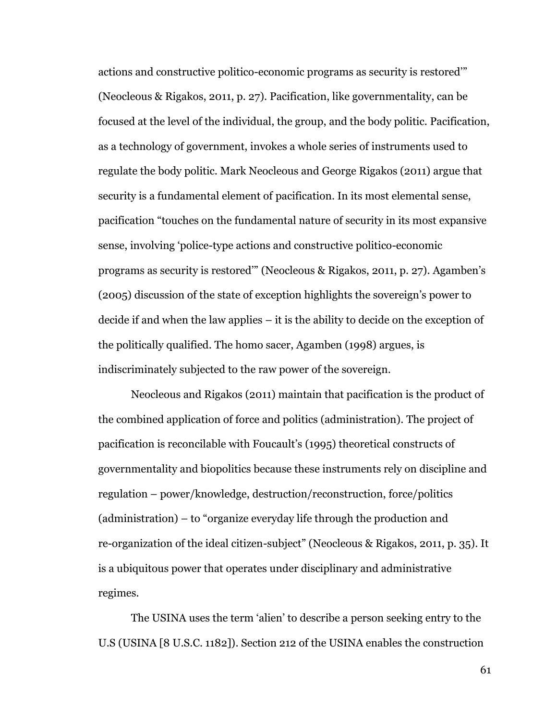actions and constructive politico-economic programs as security is restored'" (Neocleous & Rigakos, 2011, p. 27). Pacification, like governmentality, can be focused at the level of the individual, the group, and the body politic. Pacification, as a technology of government, invokes a whole series of instruments used to regulate the body politic. Mark Neocleous and George Rigakos (2011) argue that security is a fundamental element of pacification. In its most elemental sense, pacification "touches on the fundamental nature of security in its most expansive sense, involving 'police-type actions and constructive politico-economic programs as security is restored'" (Neocleous & Rigakos, 2011, p. 27). Agamben's (2005) discussion of the state of exception highlights the sovereign's power to decide if and when the law applies – it is the ability to decide on the exception of the politically qualified. The homo sacer, Agamben (1998) argues, is indiscriminately subjected to the raw power of the sovereign.

Neocleous and Rigakos (2011) maintain that pacification is the product of the combined application of force and politics (administration). The project of pacification is reconcilable with Foucault's (1995) theoretical constructs of governmentality and biopolitics because these instruments rely on discipline and regulation – power/knowledge, destruction/reconstruction, force/politics (administration) – to "organize everyday life through the production and re-organization of the ideal citizen-subject" (Neocleous & Rigakos, 2011, p. 35). It is a ubiquitous power that operates under disciplinary and administrative regimes.

The USINA uses the term 'alien' to describe a person seeking entry to the U.S (USINA [8 U.S.C. 1182]). Section 212 of the USINA enables the construction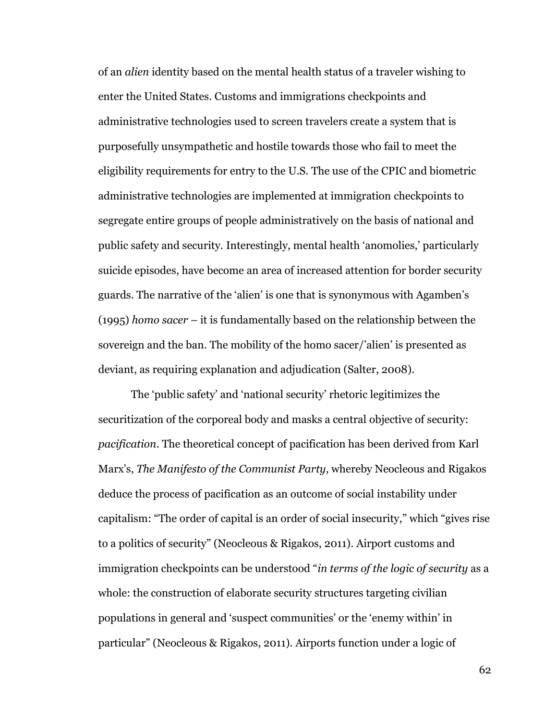of an *alien* identity based on the mental health status of a traveler wishing to enter the United States. Customs and immigrations checkpoints and administrative technologies used to screen travelers create a system that is purposefully unsympathetic and hostile towards those who fail to meet the eligibility requirements for entry to the U.S. The use of the CPIC and biometric administrative technologies are implemented at immigration checkpoints to segregate entire groups of people administratively on the basis of national and public safety and security. Interestingly, mental health 'anomolies,' particularly suicide episodes, have become an area of increased attention for border security guards. The narrative of the 'alien' is one that is synonymous with Agamben's (1995) *homo sacer* – it is fundamentally based on the relationship between the sovereign and the ban. The mobility of the homo sacer/'alien' is presented as deviant, as requiring explanation and adjudication (Salter, 2008).

The 'public safety' and 'national security' rhetoric legitimizes the securitization of the corporeal body and masks a central objective of security: *pacification*. The theoretical concept of pacification has been derived from Karl Marx's, *The Manifesto of the Communist Party*, whereby Neocleous and Rigakos deduce the process of pacification as an outcome of social instability under capitalism: "The order of capital is an order of social insecurity," which "gives rise to a politics of security" (Neocleous & Rigakos, 2011). Airport customs and immigration checkpoints can be understood "*in terms of the logic of security* as a whole: the construction of elaborate security structures targeting civilian populations in general and 'suspect communities' or the 'enemy within' in particular" (Neocleous & Rigakos, 2011). Airports function under a logic of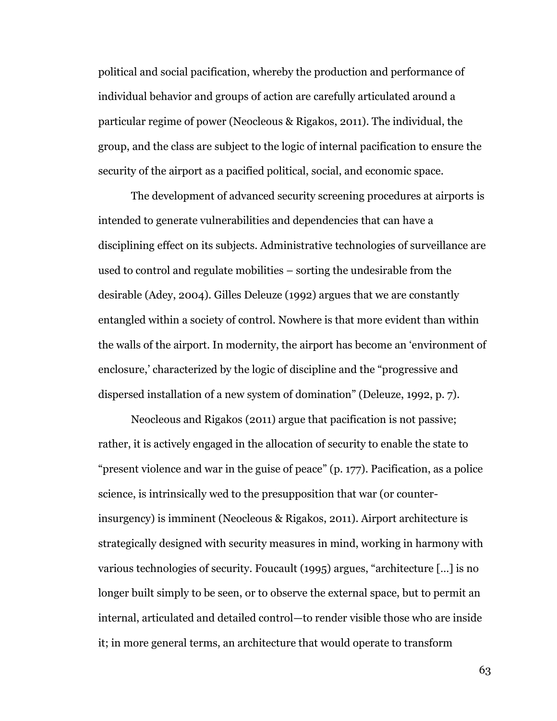political and social pacification, whereby the production and performance of individual behavior and groups of action are carefully articulated around a particular regime of power (Neocleous & Rigakos, 2011). The individual, the group, and the class are subject to the logic of internal pacification to ensure the security of the airport as a pacified political, social, and economic space.

The development of advanced security screening procedures at airports is intended to generate vulnerabilities and dependencies that can have a disciplining effect on its subjects. Administrative technologies of surveillance are used to control and regulate mobilities – sorting the undesirable from the desirable (Adey, 2004). Gilles Deleuze (1992) argues that we are constantly entangled within a society of control. Nowhere is that more evident than within the walls of the airport. In modernity, the airport has become an 'environment of enclosure,' characterized by the logic of discipline and the "progressive and dispersed installation of a new system of domination" (Deleuze, 1992, p. 7).

Neocleous and Rigakos (2011) argue that pacification is not passive; rather, it is actively engaged in the allocation of security to enable the state to "present violence and war in the guise of peace" (p. 177). Pacification, as a police science, is intrinsically wed to the presupposition that war (or counterinsurgency) is imminent (Neocleous & Rigakos, 2011). Airport architecture is strategically designed with security measures in mind, working in harmony with various technologies of security. Foucault (1995) argues, "architecture […] is no longer built simply to be seen, or to observe the external space, but to permit an internal, articulated and detailed control—to render visible those who are inside it; in more general terms, an architecture that would operate to transform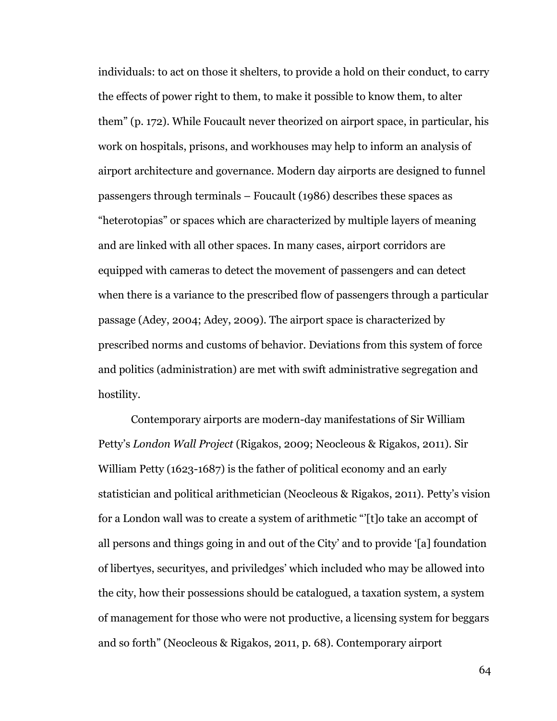individuals: to act on those it shelters, to provide a hold on their conduct, to carry the effects of power right to them, to make it possible to know them, to alter them" (p. 172). While Foucault never theorized on airport space, in particular, his work on hospitals, prisons, and workhouses may help to inform an analysis of airport architecture and governance. Modern day airports are designed to funnel passengers through terminals – Foucault (1986) describes these spaces as "heterotopias" or spaces which are characterized by multiple layers of meaning and are linked with all other spaces. In many cases, airport corridors are equipped with cameras to detect the movement of passengers and can detect when there is a variance to the prescribed flow of passengers through a particular passage (Adey, 2004; Adey, 2009). The airport space is characterized by prescribed norms and customs of behavior. Deviations from this system of force and politics (administration) are met with swift administrative segregation and hostility.

Contemporary airports are modern-day manifestations of Sir William Petty's *London Wall Project* (Rigakos, 2009; Neocleous & Rigakos, 2011). Sir William Petty (1623-1687) is the father of political economy and an early statistician and political arithmetician (Neocleous & Rigakos, 2011). Petty's vision for a London wall was to create a system of arithmetic "'[t]o take an accompt of all persons and things going in and out of the City' and to provide '[a] foundation of libertyes, securityes, and priviledges' which included who may be allowed into the city, how their possessions should be catalogued, a taxation system, a system of management for those who were not productive, a licensing system for beggars and so forth" (Neocleous & Rigakos, 2011, p. 68). Contemporary airport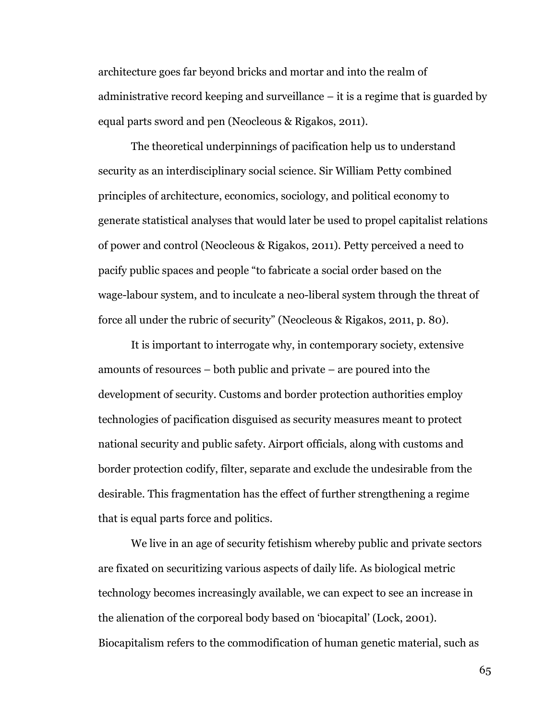architecture goes far beyond bricks and mortar and into the realm of administrative record keeping and surveillance – it is a regime that is guarded by equal parts sword and pen (Neocleous & Rigakos, 2011).

The theoretical underpinnings of pacification help us to understand security as an interdisciplinary social science. Sir William Petty combined principles of architecture, economics, sociology, and political economy to generate statistical analyses that would later be used to propel capitalist relations of power and control (Neocleous & Rigakos, 2011). Petty perceived a need to pacify public spaces and people "to fabricate a social order based on the wage-labour system, and to inculcate a neo-liberal system through the threat of force all under the rubric of security" (Neocleous & Rigakos, 2011, p. 80).

It is important to interrogate why, in contemporary society, extensive amounts of resources – both public and private – are poured into the development of security. Customs and border protection authorities employ technologies of pacification disguised as security measures meant to protect national security and public safety. Airport officials, along with customs and border protection codify, filter, separate and exclude the undesirable from the desirable. This fragmentation has the effect of further strengthening a regime that is equal parts force and politics.

We live in an age of security fetishism whereby public and private sectors are fixated on securitizing various aspects of daily life. As biological metric technology becomes increasingly available, we can expect to see an increase in the alienation of the corporeal body based on 'biocapital' (Lock, 2001). Biocapitalism refers to the commodification of human genetic material, such as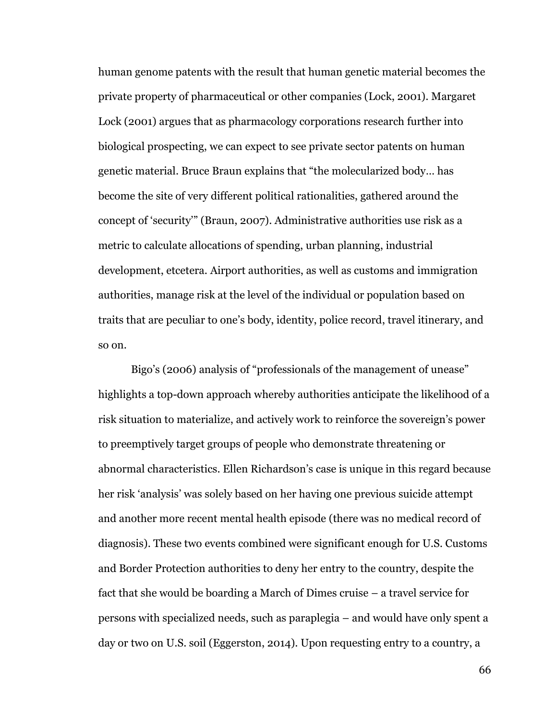human genome patents with the result that human genetic material becomes the private property of pharmaceutical or other companies (Lock, 2001). Margaret Lock (2001) argues that as pharmacology corporations research further into biological prospecting, we can expect to see private sector patents on human genetic material. Bruce Braun explains that "the molecularized body… has become the site of very different political rationalities, gathered around the concept of 'security'" (Braun, 2007). Administrative authorities use risk as a metric to calculate allocations of spending, urban planning, industrial development, etcetera. Airport authorities, as well as customs and immigration authorities, manage risk at the level of the individual or population based on traits that are peculiar to one's body, identity, police record, travel itinerary, and so on.

Bigo's (2006) analysis of "professionals of the management of unease" highlights a top-down approach whereby authorities anticipate the likelihood of a risk situation to materialize, and actively work to reinforce the sovereign's power to preemptively target groups of people who demonstrate threatening or abnormal characteristics. Ellen Richardson's case is unique in this regard because her risk 'analysis' was solely based on her having one previous suicide attempt and another more recent mental health episode (there was no medical record of diagnosis). These two events combined were significant enough for U.S. Customs and Border Protection authorities to deny her entry to the country, despite the fact that she would be boarding a March of Dimes cruise – a travel service for persons with specialized needs, such as paraplegia – and would have only spent a day or two on U.S. soil (Eggerston, 2014). Upon requesting entry to a country, a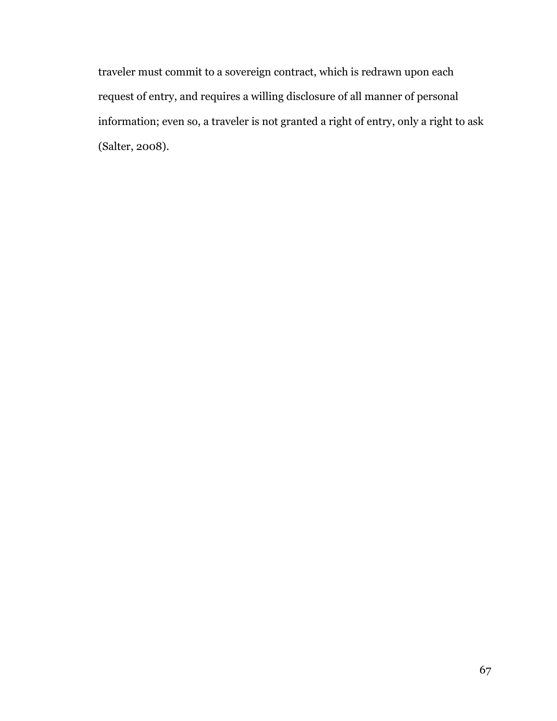traveler must commit to a sovereign contract, which is redrawn upon each request of entry, and requires a willing disclosure of all manner of personal information; even so, a traveler is not granted a right of entry, only a right to ask (Salter, 2008).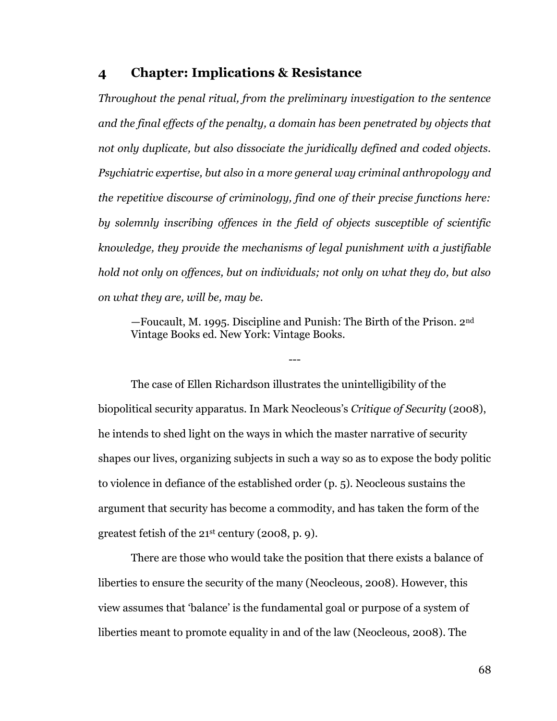## **4 Chapter: Implications & Resistance**

*Throughout the penal ritual, from the preliminary investigation to the sentence and the final effects of the penalty, a domain has been penetrated by objects that not only duplicate, but also dissociate the juridically defined and coded objects. Psychiatric expertise, but also in a more general way criminal anthropology and the repetitive discourse of criminology, find one of their precise functions here: by solemnly inscribing offences in the field of objects susceptible of scientific knowledge, they provide the mechanisms of legal punishment with a justifiable hold not only on offences, but on individuals; not only on what they do, but also on what they are, will be, may be.*

—Foucault, M. 1995. Discipline and Punish: The Birth of the Prison. 2nd Vintage Books ed. New York: Vintage Books.

---

The case of Ellen Richardson illustrates the unintelligibility of the biopolitical security apparatus. In Mark Neocleous's *Critique of Security* (2008), he intends to shed light on the ways in which the master narrative of security shapes our lives, organizing subjects in such a way so as to expose the body politic to violence in defiance of the established order (p. 5). Neocleous sustains the argument that security has become a commodity, and has taken the form of the greatest fetish of the 21st century (2008, p. 9).

There are those who would take the position that there exists a balance of liberties to ensure the security of the many (Neocleous, 2008). However, this view assumes that 'balance' is the fundamental goal or purpose of a system of liberties meant to promote equality in and of the law (Neocleous, 2008). The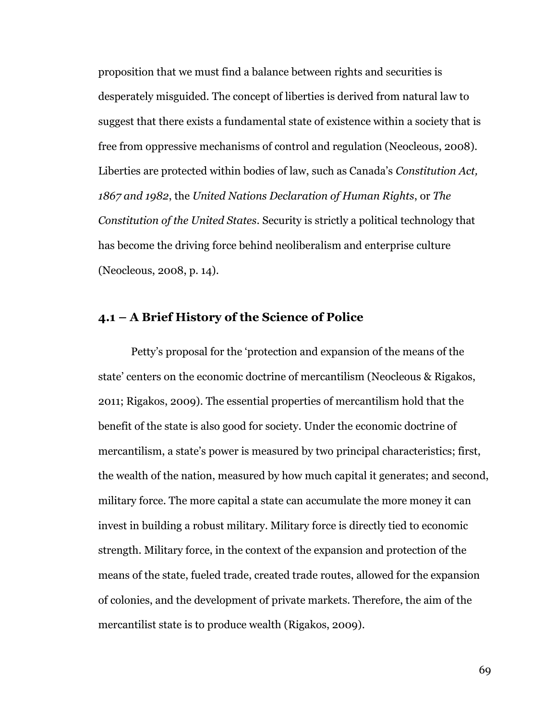proposition that we must find a balance between rights and securities is desperately misguided. The concept of liberties is derived from natural law to suggest that there exists a fundamental state of existence within a society that is free from oppressive mechanisms of control and regulation (Neocleous, 2008). Liberties are protected within bodies of law, such as Canada's *Constitution Act, 1867 and 1982*, the *United Nations Declaration of Human Rights*, or *The Constitution of the United States*. Security is strictly a political technology that has become the driving force behind neoliberalism and enterprise culture (Neocleous, 2008, p. 14).

## **4.1 – A Brief History of the Science of Police**

Petty's proposal for the 'protection and expansion of the means of the state' centers on the economic doctrine of mercantilism (Neocleous & Rigakos, 2011; Rigakos, 2009). The essential properties of mercantilism hold that the benefit of the state is also good for society. Under the economic doctrine of mercantilism, a state's power is measured by two principal characteristics; first, the wealth of the nation, measured by how much capital it generates; and second, military force. The more capital a state can accumulate the more money it can invest in building a robust military. Military force is directly tied to economic strength. Military force, in the context of the expansion and protection of the means of the state, fueled trade, created trade routes, allowed for the expansion of colonies, and the development of private markets. Therefore, the aim of the mercantilist state is to produce wealth (Rigakos, 2009).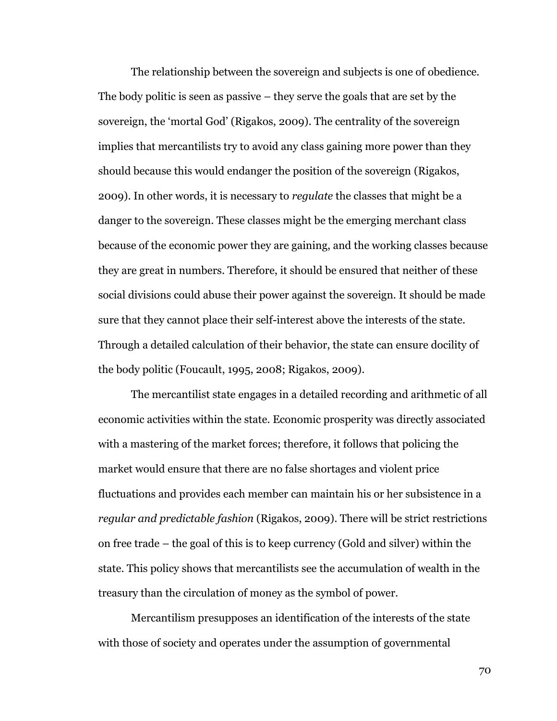The relationship between the sovereign and subjects is one of obedience. The body politic is seen as passive – they serve the goals that are set by the sovereign, the 'mortal God' (Rigakos, 2009). The centrality of the sovereign implies that mercantilists try to avoid any class gaining more power than they should because this would endanger the position of the sovereign (Rigakos, 2009). In other words, it is necessary to *regulate* the classes that might be a danger to the sovereign. These classes might be the emerging merchant class because of the economic power they are gaining, and the working classes because they are great in numbers. Therefore, it should be ensured that neither of these social divisions could abuse their power against the sovereign. It should be made sure that they cannot place their self-interest above the interests of the state. Through a detailed calculation of their behavior, the state can ensure docility of the body politic (Foucault, 1995, 2008; Rigakos, 2009).

The mercantilist state engages in a detailed recording and arithmetic of all economic activities within the state. Economic prosperity was directly associated with a mastering of the market forces; therefore, it follows that policing the market would ensure that there are no false shortages and violent price fluctuations and provides each member can maintain his or her subsistence in a *regular and predictable fashion* (Rigakos, 2009). There will be strict restrictions on free trade – the goal of this is to keep currency (Gold and silver) within the state. This policy shows that mercantilists see the accumulation of wealth in the treasury than the circulation of money as the symbol of power.

Mercantilism presupposes an identification of the interests of the state with those of society and operates under the assumption of governmental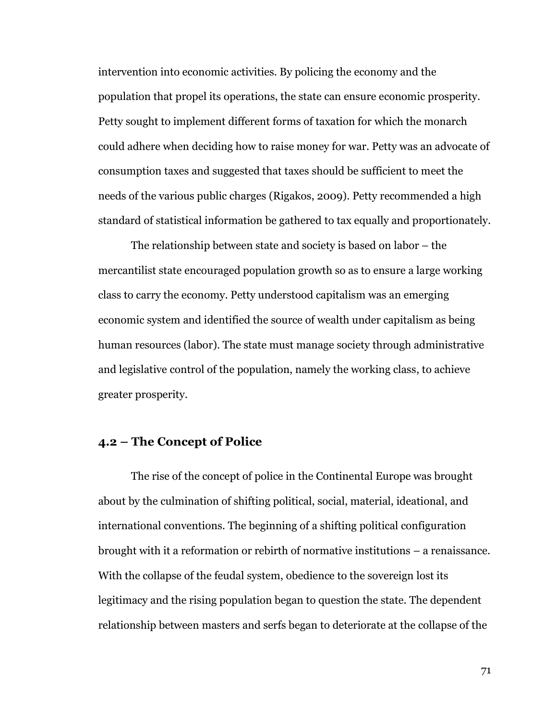intervention into economic activities. By policing the economy and the population that propel its operations, the state can ensure economic prosperity. Petty sought to implement different forms of taxation for which the monarch could adhere when deciding how to raise money for war. Petty was an advocate of consumption taxes and suggested that taxes should be sufficient to meet the needs of the various public charges (Rigakos, 2009). Petty recommended a high standard of statistical information be gathered to tax equally and proportionately.

The relationship between state and society is based on labor – the mercantilist state encouraged population growth so as to ensure a large working class to carry the economy. Petty understood capitalism was an emerging economic system and identified the source of wealth under capitalism as being human resources (labor). The state must manage society through administrative and legislative control of the population, namely the working class, to achieve greater prosperity.

#### **4.2 – The Concept of Police**

The rise of the concept of police in the Continental Europe was brought about by the culmination of shifting political, social, material, ideational, and international conventions. The beginning of a shifting political configuration brought with it a reformation or rebirth of normative institutions – a renaissance. With the collapse of the feudal system, obedience to the sovereign lost its legitimacy and the rising population began to question the state. The dependent relationship between masters and serfs began to deteriorate at the collapse of the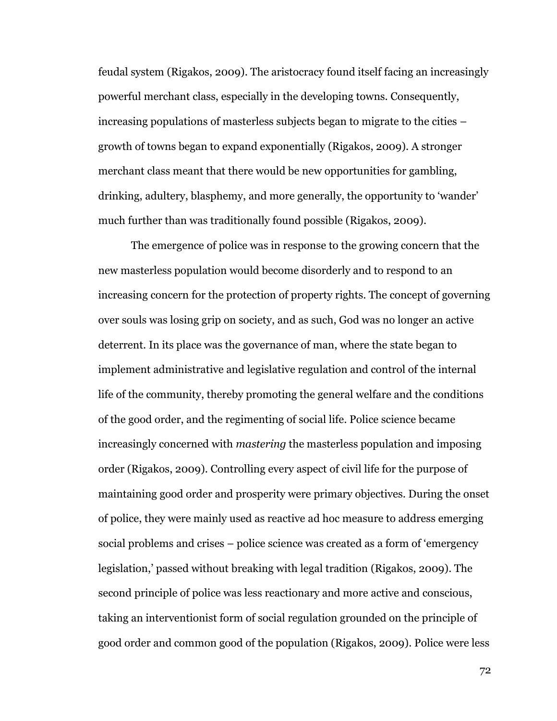feudal system (Rigakos, 2009). The aristocracy found itself facing an increasingly powerful merchant class, especially in the developing towns. Consequently, increasing populations of masterless subjects began to migrate to the cities – growth of towns began to expand exponentially (Rigakos, 2009). A stronger merchant class meant that there would be new opportunities for gambling, drinking, adultery, blasphemy, and more generally, the opportunity to 'wander' much further than was traditionally found possible (Rigakos, 2009).

The emergence of police was in response to the growing concern that the new masterless population would become disorderly and to respond to an increasing concern for the protection of property rights. The concept of governing over souls was losing grip on society, and as such, God was no longer an active deterrent. In its place was the governance of man, where the state began to implement administrative and legislative regulation and control of the internal life of the community, thereby promoting the general welfare and the conditions of the good order, and the regimenting of social life. Police science became increasingly concerned with *mastering* the masterless population and imposing order (Rigakos, 2009). Controlling every aspect of civil life for the purpose of maintaining good order and prosperity were primary objectives. During the onset of police, they were mainly used as reactive ad hoc measure to address emerging social problems and crises – police science was created as a form of 'emergency legislation,' passed without breaking with legal tradition (Rigakos, 2009). The second principle of police was less reactionary and more active and conscious, taking an interventionist form of social regulation grounded on the principle of good order and common good of the population (Rigakos, 2009). Police were less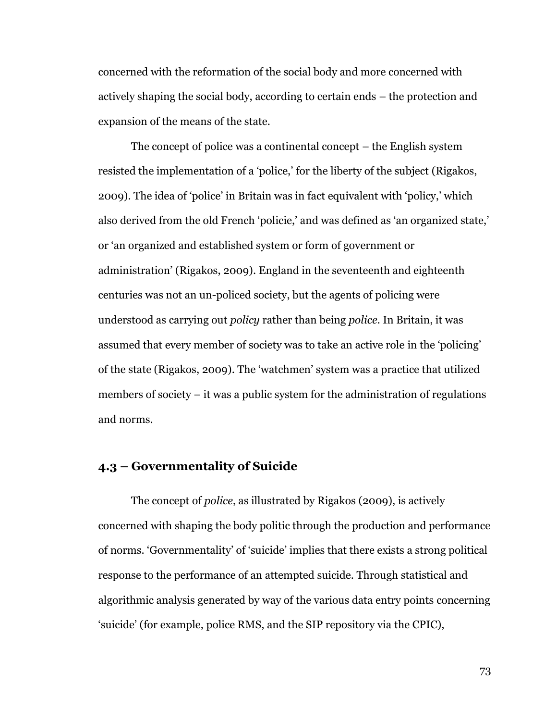concerned with the reformation of the social body and more concerned with actively shaping the social body, according to certain ends – the protection and expansion of the means of the state.

The concept of police was a continental concept – the English system resisted the implementation of a 'police,' for the liberty of the subject (Rigakos, 2009). The idea of 'police' in Britain was in fact equivalent with 'policy,' which also derived from the old French 'policie,' and was defined as 'an organized state,' or 'an organized and established system or form of government or administration' (Rigakos, 2009). England in the seventeenth and eighteenth centuries was not an un-policed society, but the agents of policing were understood as carrying out *policy* rather than being *police.* In Britain, it was assumed that every member of society was to take an active role in the 'policing' of the state (Rigakos, 2009). The 'watchmen' system was a practice that utilized members of society – it was a public system for the administration of regulations and norms.

### **4.3 – Governmentality of Suicide**

The concept of *police*, as illustrated by Rigakos (2009), is actively concerned with shaping the body politic through the production and performance of norms. 'Governmentality' of 'suicide' implies that there exists a strong political response to the performance of an attempted suicide. Through statistical and algorithmic analysis generated by way of the various data entry points concerning 'suicide' (for example, police RMS, and the SIP repository via the CPIC),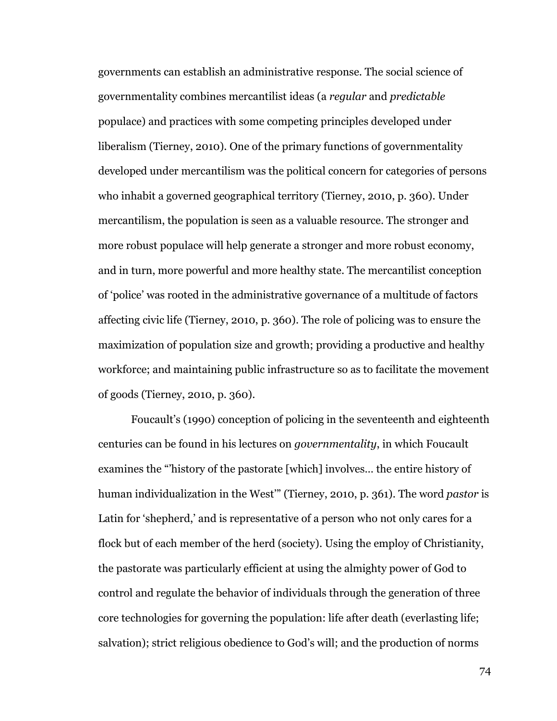governments can establish an administrative response. The social science of governmentality combines mercantilist ideas (a *regular* and *predictable* populace) and practices with some competing principles developed under liberalism (Tierney, 2010). One of the primary functions of governmentality developed under mercantilism was the political concern for categories of persons who inhabit a governed geographical territory (Tierney, 2010, p. 360). Under mercantilism, the population is seen as a valuable resource. The stronger and more robust populace will help generate a stronger and more robust economy, and in turn, more powerful and more healthy state. The mercantilist conception of 'police' was rooted in the administrative governance of a multitude of factors affecting civic life (Tierney, 2010, p. 360). The role of policing was to ensure the maximization of population size and growth; providing a productive and healthy workforce; and maintaining public infrastructure so as to facilitate the movement of goods (Tierney, 2010, p. 360).

Foucault's (1990) conception of policing in the seventeenth and eighteenth centuries can be found in his lectures on *governmentality*, in which Foucault examines the "'history of the pastorate [which] involves… the entire history of human individualization in the West'" (Tierney, 2010, p. 361). The word *pastor* is Latin for 'shepherd,' and is representative of a person who not only cares for a flock but of each member of the herd (society). Using the employ of Christianity, the pastorate was particularly efficient at using the almighty power of God to control and regulate the behavior of individuals through the generation of three core technologies for governing the population: life after death (everlasting life; salvation); strict religious obedience to God's will; and the production of norms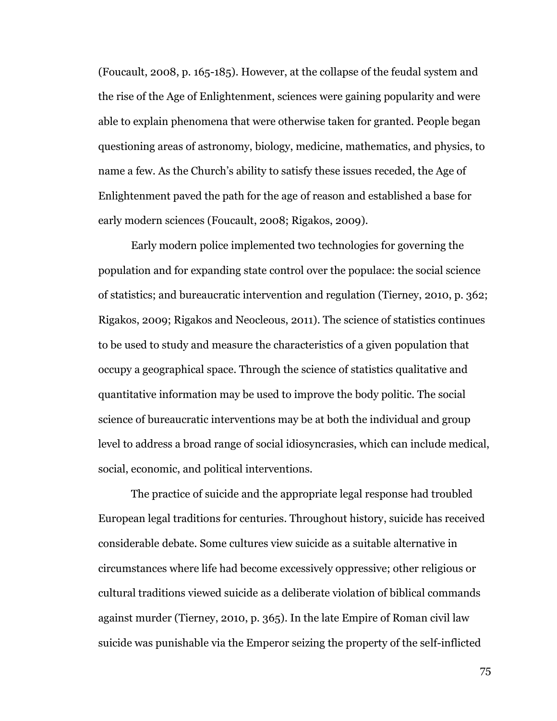(Foucault, 2008, p. 165-185). However, at the collapse of the feudal system and the rise of the Age of Enlightenment, sciences were gaining popularity and were able to explain phenomena that were otherwise taken for granted. People began questioning areas of astronomy, biology, medicine, mathematics, and physics, to name a few. As the Church's ability to satisfy these issues receded, the Age of Enlightenment paved the path for the age of reason and established a base for early modern sciences (Foucault, 2008; Rigakos, 2009).

Early modern police implemented two technologies for governing the population and for expanding state control over the populace: the social science of statistics; and bureaucratic intervention and regulation (Tierney, 2010, p. 362; Rigakos, 2009; Rigakos and Neocleous, 2011). The science of statistics continues to be used to study and measure the characteristics of a given population that occupy a geographical space. Through the science of statistics qualitative and quantitative information may be used to improve the body politic. The social science of bureaucratic interventions may be at both the individual and group level to address a broad range of social idiosyncrasies, which can include medical, social, economic, and political interventions.

The practice of suicide and the appropriate legal response had troubled European legal traditions for centuries. Throughout history, suicide has received considerable debate. Some cultures view suicide as a suitable alternative in circumstances where life had become excessively oppressive; other religious or cultural traditions viewed suicide as a deliberate violation of biblical commands against murder (Tierney, 2010, p. 365). In the late Empire of Roman civil law suicide was punishable via the Emperor seizing the property of the self-inflicted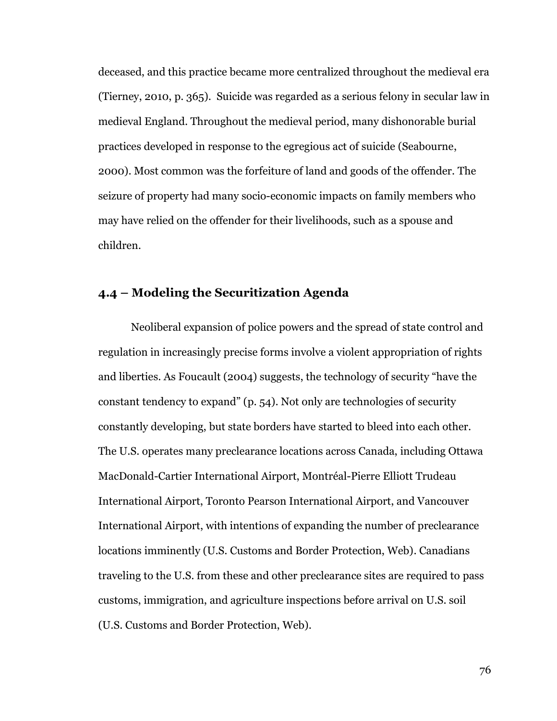deceased, and this practice became more centralized throughout the medieval era (Tierney, 2010, p. 365). Suicide was regarded as a serious felony in secular law in medieval England. Throughout the medieval period, many dishonorable burial practices developed in response to the egregious act of suicide (Seabourne, 2000). Most common was the forfeiture of land and goods of the offender. The seizure of property had many socio-economic impacts on family members who may have relied on the offender for their livelihoods, such as a spouse and children.

## **4.4 – Modeling the Securitization Agenda**

Neoliberal expansion of police powers and the spread of state control and regulation in increasingly precise forms involve a violent appropriation of rights and liberties. As Foucault (2004) suggests, the technology of security "have the constant tendency to expand" (p. 54). Not only are technologies of security constantly developing, but state borders have started to bleed into each other. The U.S. operates many preclearance locations across Canada, including Ottawa MacDonald-Cartier International Airport, Montréal-Pierre Elliott Trudeau International Airport, Toronto Pearson International Airport, and Vancouver International Airport, with intentions of expanding the number of preclearance locations imminently (U.S. Customs and Border Protection, Web). Canadians traveling to the U.S. from these and other preclearance sites are required to pass customs, immigration, and agriculture inspections before arrival on U.S. soil (U.S. Customs and Border Protection, Web).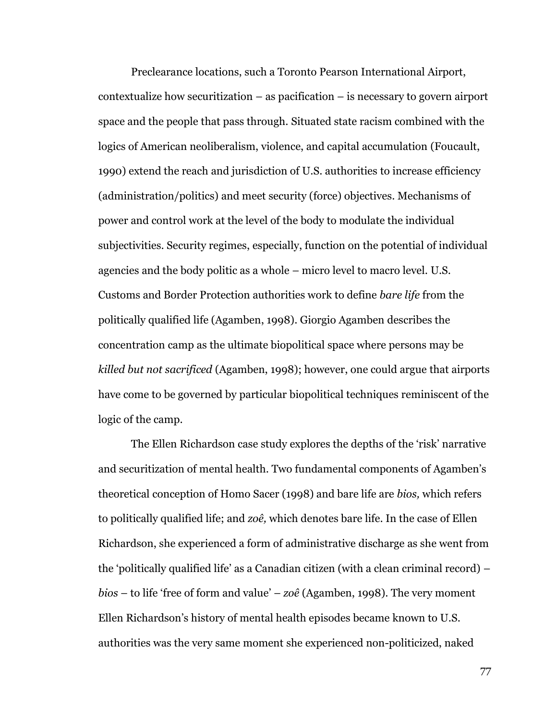Preclearance locations, such a Toronto Pearson International Airport, contextualize how securitization – as pacification – is necessary to govern airport space and the people that pass through. Situated state racism combined with the logics of American neoliberalism, violence, and capital accumulation (Foucault, 1990) extend the reach and jurisdiction of U.S. authorities to increase efficiency (administration/politics) and meet security (force) objectives. Mechanisms of power and control work at the level of the body to modulate the individual subjectivities. Security regimes, especially, function on the potential of individual agencies and the body politic as a whole – micro level to macro level. U.S. Customs and Border Protection authorities work to define *bare life* from the politically qualified life (Agamben, 1998). Giorgio Agamben describes the concentration camp as the ultimate biopolitical space where persons may be *killed but not sacrificed* (Agamben, 1998); however, one could argue that airports have come to be governed by particular biopolitical techniques reminiscent of the logic of the camp.

The Ellen Richardson case study explores the depths of the 'risk' narrative and securitization of mental health. Two fundamental components of Agamben's theoretical conception of Homo Sacer (1998) and bare life are *bios,* which refers to politically qualified life; and *zoê,* which denotes bare life. In the case of Ellen Richardson, she experienced a form of administrative discharge as she went from the 'politically qualified life' as a Canadian citizen (with a clean criminal record) – *bios* – to life 'free of form and value' – *zoê* (Agamben, 1998). The very moment Ellen Richardson's history of mental health episodes became known to U.S. authorities was the very same moment she experienced non-politicized, naked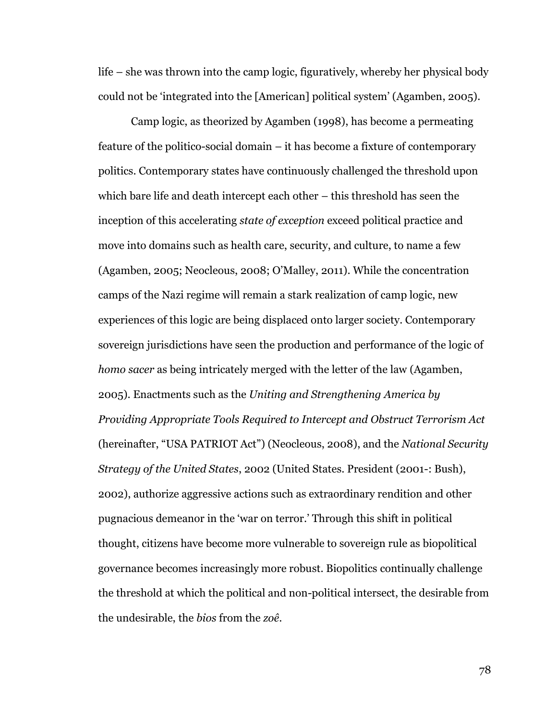life – she was thrown into the camp logic, figuratively, whereby her physical body could not be 'integrated into the [American] political system' (Agamben, 2005).

Camp logic, as theorized by Agamben (1998), has become a permeating feature of the politico-social domain – it has become a fixture of contemporary politics. Contemporary states have continuously challenged the threshold upon which bare life and death intercept each other – this threshold has seen the inception of this accelerating *state of exception* exceed political practice and move into domains such as health care, security, and culture, to name a few (Agamben, 2005; Neocleous, 2008; O'Malley, 2011). While the concentration camps of the Nazi regime will remain a stark realization of camp logic, new experiences of this logic are being displaced onto larger society. Contemporary sovereign jurisdictions have seen the production and performance of the logic of *homo sacer* as being intricately merged with the letter of the law (Agamben, 2005). Enactments such as the *Uniting and Strengthening America by Providing Appropriate Tools Required to Intercept and Obstruct Terrorism Act* (hereinafter, "USA PATRIOT Act") (Neocleous, 2008), and the *National Security Strategy of the United States*, 2002 (United States. President (2001-: Bush), 2002), authorize aggressive actions such as extraordinary rendition and other pugnacious demeanor in the 'war on terror.' Through this shift in political thought, citizens have become more vulnerable to sovereign rule as biopolitical governance becomes increasingly more robust. Biopolitics continually challenge the threshold at which the political and non-political intersect, the desirable from the undesirable, the *bios* from the *zoê*.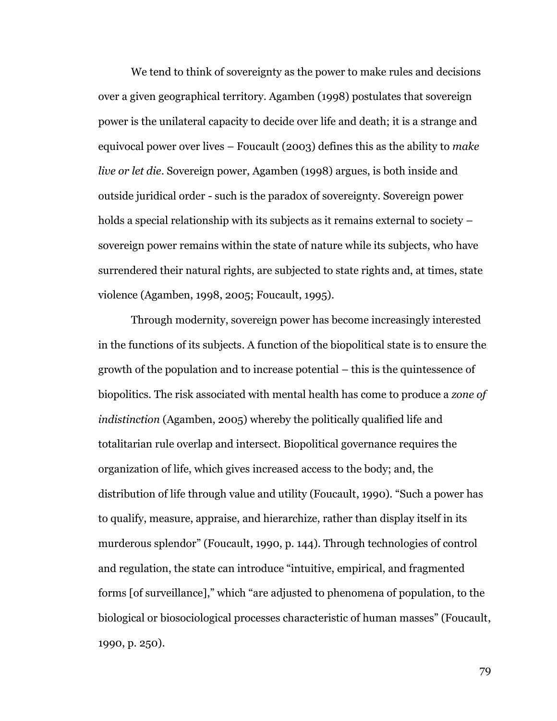We tend to think of sovereignty as the power to make rules and decisions over a given geographical territory. Agamben (1998) postulates that sovereign power is the unilateral capacity to decide over life and death; it is a strange and equivocal power over lives – Foucault (2003) defines this as the ability to *make live or let die*. Sovereign power, Agamben (1998) argues, is both inside and outside juridical order - such is the paradox of sovereignty. Sovereign power holds a special relationship with its subjects as it remains external to society – sovereign power remains within the state of nature while its subjects, who have surrendered their natural rights, are subjected to state rights and, at times, state violence (Agamben, 1998, 2005; Foucault, 1995).

Through modernity, sovereign power has become increasingly interested in the functions of its subjects. A function of the biopolitical state is to ensure the growth of the population and to increase potential – this is the quintessence of biopolitics. The risk associated with mental health has come to produce a *zone of indistinction* (Agamben, 2005) whereby the politically qualified life and totalitarian rule overlap and intersect. Biopolitical governance requires the organization of life, which gives increased access to the body; and, the distribution of life through value and utility (Foucault, 1990). "Such a power has to qualify, measure, appraise, and hierarchize, rather than display itself in its murderous splendor" (Foucault, 1990, p. 144). Through technologies of control and regulation, the state can introduce "intuitive, empirical, and fragmented forms [of surveillance]," which "are adjusted to phenomena of population, to the biological or biosociological processes characteristic of human masses" (Foucault, 1990, p. 250).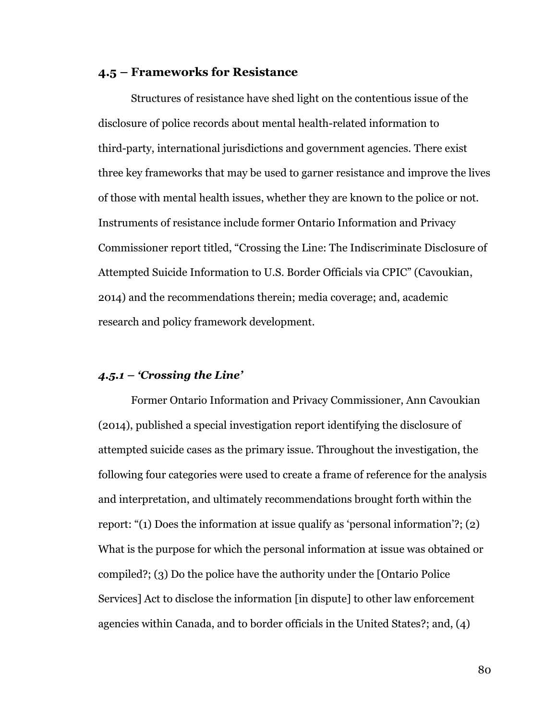#### **4.5 – Frameworks for Resistance**

Structures of resistance have shed light on the contentious issue of the disclosure of police records about mental health-related information to third-party, international jurisdictions and government agencies. There exist three key frameworks that may be used to garner resistance and improve the lives of those with mental health issues, whether they are known to the police or not. Instruments of resistance include former Ontario Information and Privacy Commissioner report titled, "Crossing the Line: The Indiscriminate Disclosure of Attempted Suicide Information to U.S. Border Officials via CPIC" (Cavoukian, 2014) and the recommendations therein; media coverage; and, academic research and policy framework development.

#### *4.5.1 – 'Crossing the Line'*

Former Ontario Information and Privacy Commissioner, Ann Cavoukian (2014), published a special investigation report identifying the disclosure of attempted suicide cases as the primary issue. Throughout the investigation, the following four categories were used to create a frame of reference for the analysis and interpretation, and ultimately recommendations brought forth within the report: "(1) Does the information at issue qualify as 'personal information'?; (2) What is the purpose for which the personal information at issue was obtained or compiled?; (3) Do the police have the authority under the [Ontario Police Services] Act to disclose the information [in dispute] to other law enforcement agencies within Canada, and to border officials in the United States?; and, (4)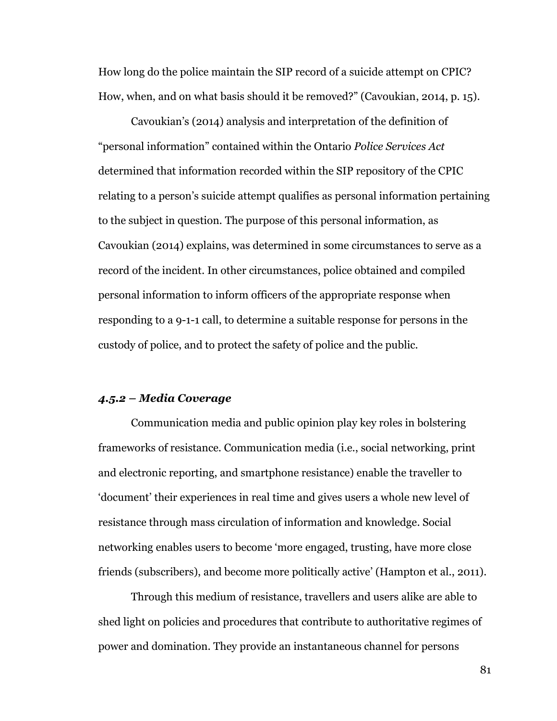How long do the police maintain the SIP record of a suicide attempt on CPIC? How, when, and on what basis should it be removed?" (Cavoukian, 2014, p. 15).

Cavoukian's (2014) analysis and interpretation of the definition of "personal information" contained within the Ontario *Police Services Act* determined that information recorded within the SIP repository of the CPIC relating to a person's suicide attempt qualifies as personal information pertaining to the subject in question. The purpose of this personal information, as Cavoukian (2014) explains, was determined in some circumstances to serve as a record of the incident. In other circumstances, police obtained and compiled personal information to inform officers of the appropriate response when responding to a 9-1-1 call, to determine a suitable response for persons in the custody of police, and to protect the safety of police and the public.

#### *4.5.2 – Media Coverage*

Communication media and public opinion play key roles in bolstering frameworks of resistance. Communication media (i.e., social networking, print and electronic reporting, and smartphone resistance) enable the traveller to 'document' their experiences in real time and gives users a whole new level of resistance through mass circulation of information and knowledge. Social networking enables users to become 'more engaged, trusting, have more close friends (subscribers), and become more politically active' (Hampton et al., 2011).

Through this medium of resistance, travellers and users alike are able to shed light on policies and procedures that contribute to authoritative regimes of power and domination. They provide an instantaneous channel for persons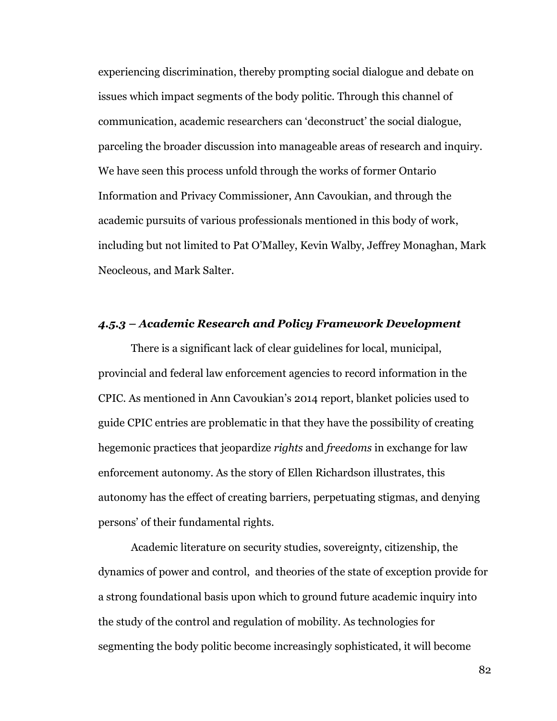experiencing discrimination, thereby prompting social dialogue and debate on issues which impact segments of the body politic. Through this channel of communication, academic researchers can 'deconstruct' the social dialogue, parceling the broader discussion into manageable areas of research and inquiry. We have seen this process unfold through the works of former Ontario Information and Privacy Commissioner, Ann Cavoukian, and through the academic pursuits of various professionals mentioned in this body of work, including but not limited to Pat O'Malley, Kevin Walby, Jeffrey Monaghan, Mark Neocleous, and Mark Salter.

#### *4.5.3 – Academic Research and Policy Framework Development*

There is a significant lack of clear guidelines for local, municipal, provincial and federal law enforcement agencies to record information in the CPIC. As mentioned in Ann Cavoukian's 2014 report, blanket policies used to guide CPIC entries are problematic in that they have the possibility of creating hegemonic practices that jeopardize *rights* and *freedoms* in exchange for law enforcement autonomy. As the story of Ellen Richardson illustrates, this autonomy has the effect of creating barriers, perpetuating stigmas, and denying persons' of their fundamental rights.

Academic literature on security studies, sovereignty, citizenship, the dynamics of power and control, and theories of the state of exception provide for a strong foundational basis upon which to ground future academic inquiry into the study of the control and regulation of mobility. As technologies for segmenting the body politic become increasingly sophisticated, it will become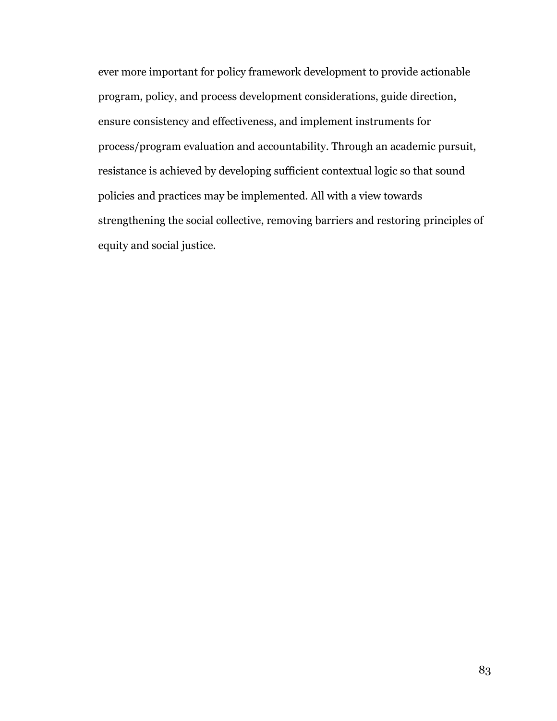ever more important for policy framework development to provide actionable program, policy, and process development considerations, guide direction, ensure consistency and effectiveness, and implement instruments for process/program evaluation and accountability. Through an academic pursuit, resistance is achieved by developing sufficient contextual logic so that sound policies and practices may be implemented. All with a view towards strengthening the social collective, removing barriers and restoring principles of equity and social justice.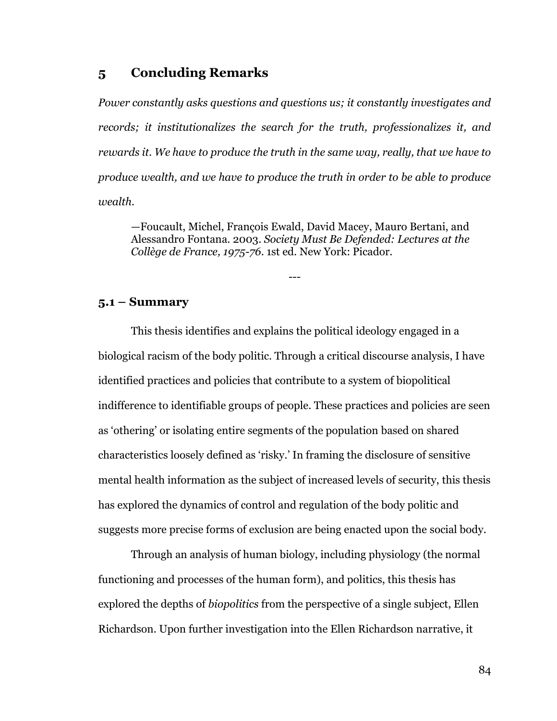## **5 Concluding Remarks**

*Power constantly asks questions and questions us; it constantly investigates and records; it institutionalizes the search for the truth, professionalizes it, and rewards it. We have to produce the truth in the same way, really, that we have to produce wealth, and we have to produce the truth in order to be able to produce wealth.*

—Foucault, Michel, François Ewald, David Macey, Mauro Bertani, and Alessandro Fontana. 2003. *Society Must Be Defended: Lectures at the Collège de France, 1975-76*. 1st ed. New York: Picador.

---

#### **5.1 – Summary**

This thesis identifies and explains the political ideology engaged in a biological racism of the body politic. Through a critical discourse analysis, I have identified practices and policies that contribute to a system of biopolitical indifference to identifiable groups of people. These practices and policies are seen as 'othering' or isolating entire segments of the population based on shared characteristics loosely defined as 'risky.' In framing the disclosure of sensitive mental health information as the subject of increased levels of security, this thesis has explored the dynamics of control and regulation of the body politic and suggests more precise forms of exclusion are being enacted upon the social body.

Through an analysis of human biology, including physiology (the normal functioning and processes of the human form), and politics, this thesis has explored the depths of *biopolitics* from the perspective of a single subject, Ellen Richardson. Upon further investigation into the Ellen Richardson narrative, it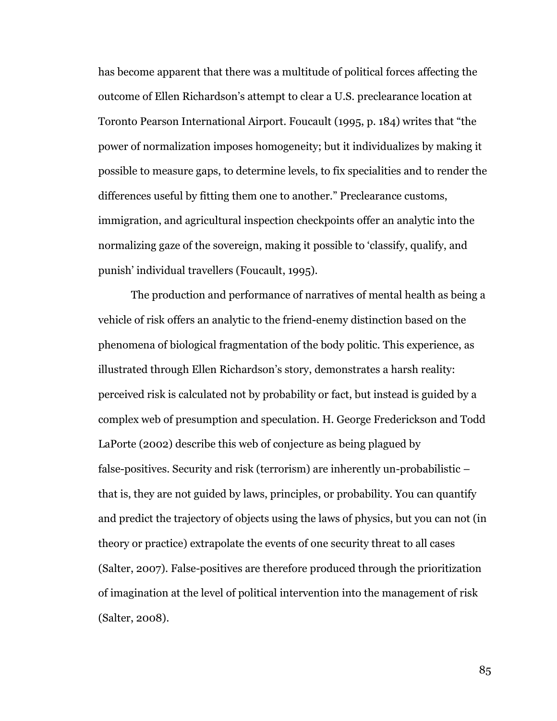has become apparent that there was a multitude of political forces affecting the outcome of Ellen Richardson's attempt to clear a U.S. preclearance location at Toronto Pearson International Airport. Foucault (1995, p. 184) writes that "the power of normalization imposes homogeneity; but it individualizes by making it possible to measure gaps, to determine levels, to fix specialities and to render the differences useful by fitting them one to another." Preclearance customs, immigration, and agricultural inspection checkpoints offer an analytic into the normalizing gaze of the sovereign, making it possible to 'classify, qualify, and punish' individual travellers (Foucault, 1995).

The production and performance of narratives of mental health as being a vehicle of risk offers an analytic to the friend-enemy distinction based on the phenomena of biological fragmentation of the body politic. This experience, as illustrated through Ellen Richardson's story, demonstrates a harsh reality: perceived risk is calculated not by probability or fact, but instead is guided by a complex web of presumption and speculation. H. George Frederickson and Todd LaPorte (2002) describe this web of conjecture as being plagued by false-positives. Security and risk (terrorism) are inherently un-probabilistic – that is, they are not guided by laws, principles, or probability. You can quantify and predict the trajectory of objects using the laws of physics, but you can not (in theory or practice) extrapolate the events of one security threat to all cases (Salter, 2007). False-positives are therefore produced through the prioritization of imagination at the level of political intervention into the management of risk (Salter, 2008).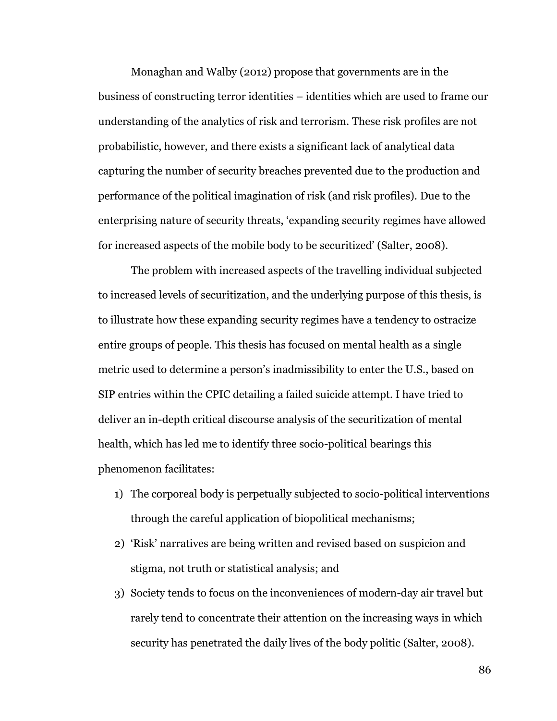Monaghan and Walby (2012) propose that governments are in the business of constructing terror identities – identities which are used to frame our understanding of the analytics of risk and terrorism. These risk profiles are not probabilistic, however, and there exists a significant lack of analytical data capturing the number of security breaches prevented due to the production and performance of the political imagination of risk (and risk profiles). Due to the enterprising nature of security threats, 'expanding security regimes have allowed for increased aspects of the mobile body to be securitized' (Salter, 2008).

The problem with increased aspects of the travelling individual subjected to increased levels of securitization, and the underlying purpose of this thesis, is to illustrate how these expanding security regimes have a tendency to ostracize entire groups of people. This thesis has focused on mental health as a single metric used to determine a person's inadmissibility to enter the U.S., based on SIP entries within the CPIC detailing a failed suicide attempt. I have tried to deliver an in-depth critical discourse analysis of the securitization of mental health, which has led me to identify three socio-political bearings this phenomenon facilitates:

- 1) The corporeal body is perpetually subjected to socio-political interventions through the careful application of biopolitical mechanisms;
- 2) 'Risk' narratives are being written and revised based on suspicion and stigma, not truth or statistical analysis; and
- 3) Society tends to focus on the inconveniences of modern-day air travel but rarely tend to concentrate their attention on the increasing ways in which security has penetrated the daily lives of the body politic (Salter, 2008).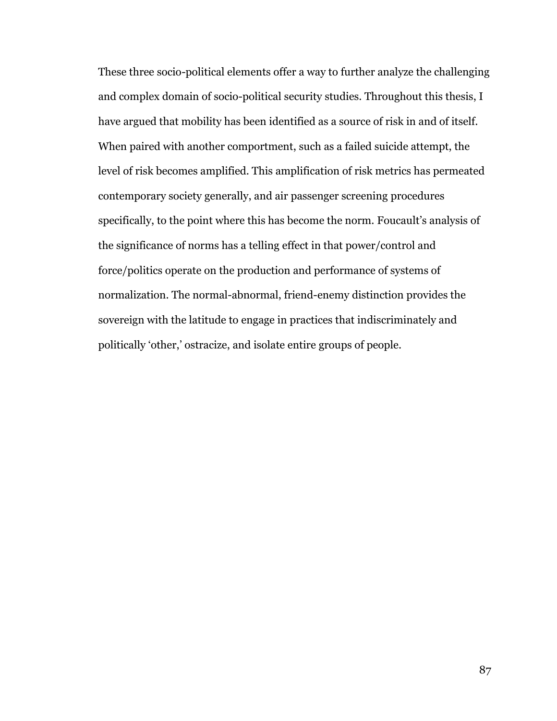These three socio-political elements offer a way to further analyze the challenging and complex domain of socio-political security studies. Throughout this thesis, I have argued that mobility has been identified as a source of risk in and of itself. When paired with another comportment, such as a failed suicide attempt, the level of risk becomes amplified. This amplification of risk metrics has permeated contemporary society generally, and air passenger screening procedures specifically, to the point where this has become the norm. Foucault's analysis of the significance of norms has a telling effect in that power/control and force/politics operate on the production and performance of systems of normalization. The normal-abnormal, friend-enemy distinction provides the sovereign with the latitude to engage in practices that indiscriminately and politically 'other,' ostracize, and isolate entire groups of people.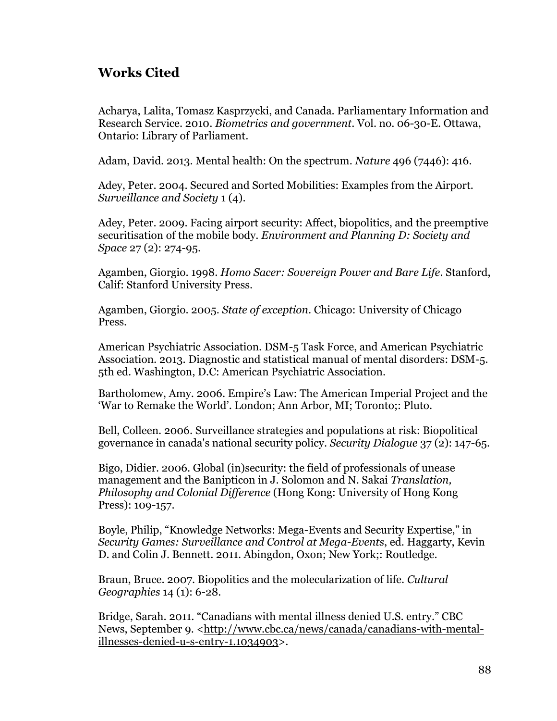## **Works Cited**

Acharya, Lalita, Tomasz Kasprzycki, and Canada. Parliamentary Information and Research Service. 2010. *Biometrics and government*. Vol. no. 06-30-E. Ottawa, Ontario: Library of Parliament.

Adam, David. 2013. Mental health: On the spectrum. *Nature* 496 (7446): 416.

Adey, Peter. 2004. Secured and Sorted Mobilities: Examples from the Airport. *Surveillance and Society* 1 (4).

Adey, Peter. 2009. Facing airport security: Affect, biopolitics, and the preemptive securitisation of the mobile body. *Environment and Planning D: Society and Space* 27 (2): 274-95.

Agamben, Giorgio. 1998. *Homo Sacer: Sovereign Power and Bare Life*. Stanford, Calif: Stanford University Press.

Agamben, Giorgio. 2005. *State of exception*. Chicago: University of Chicago Press.

American Psychiatric Association. DSM-5 Task Force, and American Psychiatric Association. 2013. Diagnostic and statistical manual of mental disorders: DSM-5. 5th ed. Washington, D.C: American Psychiatric Association.

Bartholomew, Amy. 2006. Empire's Law: The American Imperial Project and the 'War to Remake the World'. London; Ann Arbor, MI; Toronto;: Pluto.

Bell, Colleen. 2006. Surveillance strategies and populations at risk: Biopolitical governance in canada's national security policy. *Security Dialogue* 37 (2): 147-65.

Bigo, Didier. 2006. Global (in)security: the field of professionals of unease management and the Banipticon in J. Solomon and N. Sakai *Translation, Philosophy and Colonial Difference* (Hong Kong: University of Hong Kong Press): 109-157.

Boyle, Philip, "Knowledge Networks: Mega-Events and Security Expertise," in *Security Games: Surveillance and Control at Mega-Events*, ed. Haggarty, Kevin D. and Colin J. Bennett. 2011. Abingdon, Oxon; New York;: Routledge.

Braun, Bruce. 2007. Biopolitics and the molecularization of life. *Cultural Geographies* 14 (1): 6-28.

Bridge, Sarah. 2011. "Canadians with mental illness denied U.S. entry." CBC News, September 9. <http://www.cbc.ca/news/canada/canadians-with-mentalillnesses-denied-u-s-entry-1.1034903>.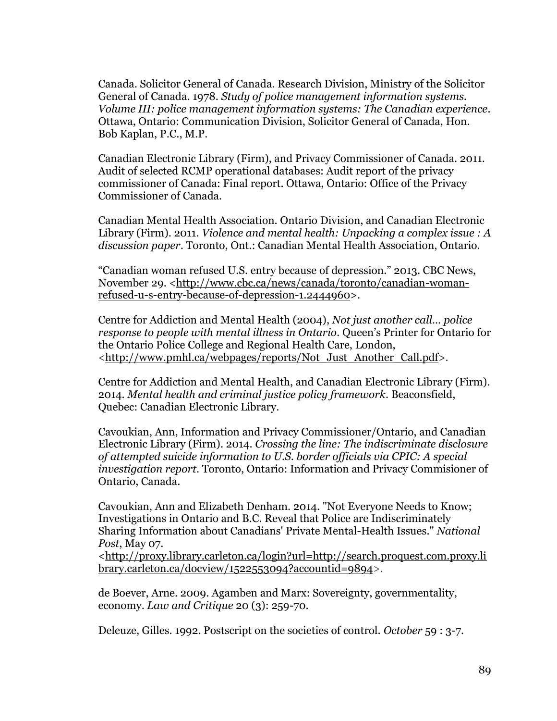Canada. Solicitor General of Canada. Research Division, Ministry of the Solicitor General of Canada. 1978. *Study of police management information systems. Volume III: police management information systems: The Canadian experience*. Ottawa, Ontario: Communication Division, Solicitor General of Canada, Hon. Bob Kaplan, P.C., M.P.

Canadian Electronic Library (Firm), and Privacy Commissioner of Canada. 2011. Audit of selected RCMP operational databases: Audit report of the privacy commissioner of Canada: Final report. Ottawa, Ontario: Office of the Privacy Commissioner of Canada.

Canadian Mental Health Association. Ontario Division, and Canadian Electronic Library (Firm). 2011. *Violence and mental health: Unpacking a complex issue : A discussion paper*. Toronto, Ont.: Canadian Mental Health Association, Ontario.

"Canadian woman refused U.S. entry because of depression." 2013. CBC News, November 29. <http://www.cbc.ca/news/canada/toronto/canadian-womanrefused-u-s-entry-because-of-depression-1.2444960>.

Centre for Addiction and Mental Health (2004), *Not just another call… police response to people with mental illness in Ontario*. Queen's Printer for Ontario for the Ontario Police College and Regional Health Care, London, <http://www.pmhl.ca/webpages/reports/Not\_Just\_Another\_Call.pdf>.

Centre for Addiction and Mental Health, and Canadian Electronic Library (Firm). 2014. *Mental health and criminal justice policy framework*. Beaconsfield, Quebec: Canadian Electronic Library.

Cavoukian, Ann, Information and Privacy Commissioner/Ontario, and Canadian Electronic Library (Firm). 2014. *Crossing the line: The indiscriminate disclosure of attempted suicide information to U.S. border officials via CPIC: A special investigation report*. Toronto, Ontario: Information and Privacy Commisioner of Ontario, Canada.

Cavoukian, Ann and Elizabeth Denham. 2014. "Not Everyone Needs to Know; Investigations in Ontario and B.C. Reveal that Police are Indiscriminately Sharing Information about Canadians' Private Mental-Health Issues." *National Post*, May 07.

<http://proxy.library.carleton.ca/login?url=http://search.proquest.com.proxy.li brary.carleton.ca/docview/1522553094?accountid=9894>.

de Boever, Arne. 2009. Agamben and Marx: Sovereignty, governmentality, economy. *Law and Critique* 20 (3): 259-70.

Deleuze, Gilles. 1992. Postscript on the societies of control. *October* 59 : 3-7.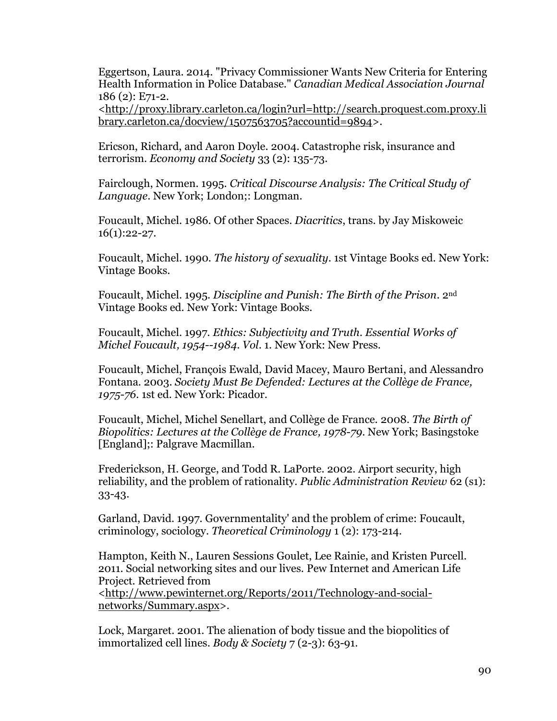Eggertson, Laura. 2014. "Privacy Commissioner Wants New Criteria for Entering Health Information in Police Database." *Canadian Medical Association Journal* 186 (2): E71-2.

<http://proxy.library.carleton.ca/login?url=http://search.proquest.com.proxy.li brary.carleton.ca/docview/1507563705?accountid=9894>.

Ericson, Richard, and Aaron Doyle. 2004. Catastrophe risk, insurance and terrorism. *Economy and Society* 33 (2): 135-73.

Fairclough, Normen. 1995. *Critical Discourse Analysis: The Critical Study of Language*. New York; London;: Longman.

Foucault, Michel. 1986. Of other Spaces. *Diacritics*, trans. by Jay Miskoweic  $16(1):22-27.$ 

Foucault, Michel. 1990. *The history of sexuality*. 1st Vintage Books ed. New York: Vintage Books.

Foucault, Michel. 1995. *Discipline and Punish: The Birth of the Prison*. 2nd Vintage Books ed. New York: Vintage Books.

Foucault, Michel. 1997. *Ethics: Subjectivity and Truth. Essential Works of Michel Foucault, 1954--1984*. *Vol*. 1. New York: New Press.

Foucault, Michel, François Ewald, David Macey, Mauro Bertani, and Alessandro Fontana. 2003. *Society Must Be Defended: Lectures at the Collège de France, 1975-76*. 1st ed. New York: Picador.

Foucault, Michel, Michel Senellart, and Collège de France. 2008. *The Birth of Biopolitics: Lectures at the Collège de France, 1978-79*. New York; Basingstoke [England];: Palgrave Macmillan.

Frederickson, H. George, and Todd R. LaPorte. 2002. Airport security, high reliability, and the problem of rationality. *Public Administration Review* 62 (s1): 33-43.

Garland, David. 1997. Governmentality' and the problem of crime: Foucault, criminology, sociology. *Theoretical Criminology* 1 (2): 173-214.

Hampton, Keith N., Lauren Sessions Goulet, Lee Rainie, and Kristen Purcell. 2011. Social networking sites and our lives. Pew Internet and American Life Project. Retrieved from <http://www.pewinternet.org/Reports/2011/Technology-and-socialnetworks/Summary.aspx>.

Lock, Margaret. 2001. The alienation of body tissue and the biopolitics of immortalized cell lines. *Body & Society* 7 (2-3): 63-91.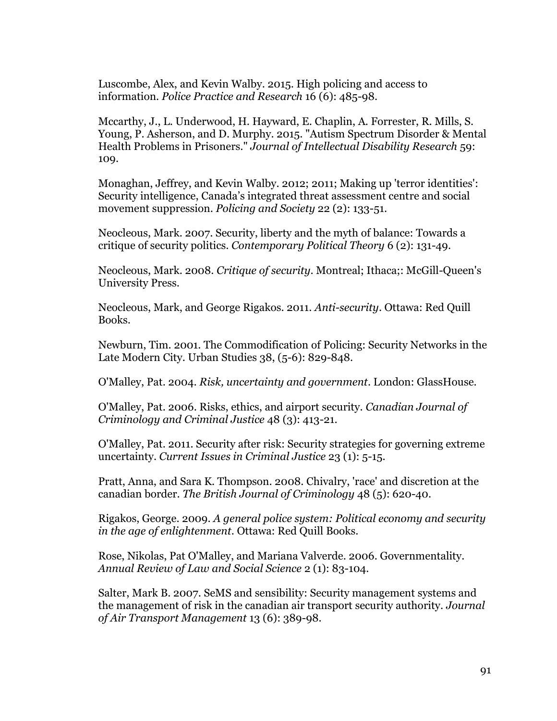Luscombe, Alex, and Kevin Walby. 2015. High policing and access to information. *Police Practice and Research* 16 (6): 485-98.

Mccarthy, J., L. Underwood, H. Hayward, E. Chaplin, A. Forrester, R. Mills, S. Young, P. Asherson, and D. Murphy. 2015. "Autism Spectrum Disorder & Mental Health Problems in Prisoners." *Journal of Intellectual Disability Research* 59: 109.

Monaghan, Jeffrey, and Kevin Walby. 2012; 2011; Making up 'terror identities': Security intelligence, Canada's integrated threat assessment centre and social movement suppression. *Policing and Society* 22 (2): 133-51.

Neocleous, Mark. 2007. Security, liberty and the myth of balance: Towards a critique of security politics. *Contemporary Political Theory* 6 (2): 131-49.

Neocleous, Mark. 2008. *Critique of security*. Montreal; Ithaca;: McGill-Queen's University Press.

Neocleous, Mark, and George Rigakos. 2011. *Anti-security*. Ottawa: Red Quill Books.

Newburn, Tim. 2001. The Commodification of Policing: Security Networks in the Late Modern City. Urban Studies 38, (5-6): 829-848.

O'Malley, Pat. 2004. *Risk, uncertainty and government*. London: GlassHouse.

O'Malley, Pat. 2006. Risks, ethics, and airport security. *Canadian Journal of Criminology and Criminal Justice* 48 (3): 413-21.

O'Malley, Pat. 2011. Security after risk: Security strategies for governing extreme uncertainty. *Current Issues in Criminal Justice* 23 (1): 5-15.

Pratt, Anna, and Sara K. Thompson. 2008. Chivalry, 'race' and discretion at the canadian border. *The British Journal of Criminology* 48 (5): 620-40.

Rigakos, George. 2009. *A general police system: Political economy and security in the age of enlightenment*. Ottawa: Red Quill Books.

Rose, Nikolas, Pat O'Malley, and Mariana Valverde. 2006. Governmentality. *Annual Review of Law and Social Science* 2 (1): 83-104.

Salter, Mark B. 2007. SeMS and sensibility: Security management systems and the management of risk in the canadian air transport security authority. *Journal of Air Transport Management* 13 (6): 389-98.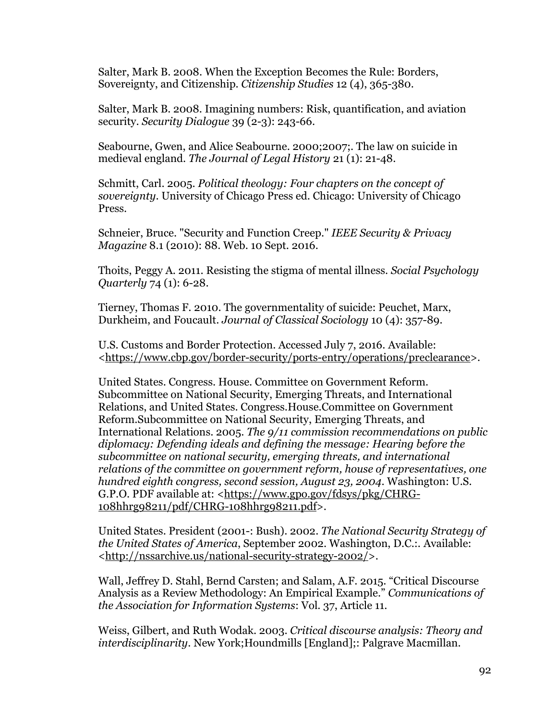Salter, Mark B. 2008. When the Exception Becomes the Rule: Borders, Sovereignty, and Citizenship. *Citizenship Studies* 12 (4), 365-380.

Salter, Mark B. 2008. Imagining numbers: Risk, quantification, and aviation security. *Security Dialogue* 39 (2-3): 243-66.

Seabourne, Gwen, and Alice Seabourne. 2000;2007;. The law on suicide in medieval england. *The Journal of Legal History* 21 (1): 21-48.

Schmitt, Carl. 2005. *Political theology: Four chapters on the concept of sovereignty*. University of Chicago Press ed. Chicago: University of Chicago Press.

Schneier, Bruce. "Security and Function Creep." *IEEE Security & Privacy Magazine* 8.1 (2010): 88. Web. 10 Sept. 2016.

Thoits, Peggy A. 2011. Resisting the stigma of mental illness. *Social Psychology Quarterly* 74 (1): 6-28.

Tierney, Thomas F. 2010. The governmentality of suicide: Peuchet, Marx, Durkheim, and Foucault. *Journal of Classical Sociology* 10 (4): 357-89.

U.S. Customs and Border Protection. Accessed July 7, 2016. Available: <https://www.cbp.gov/border-security/ports-entry/operations/preclearance>.

United States. Congress. House. Committee on Government Reform. Subcommittee on National Security, Emerging Threats, and International Relations, and United States. Congress.House.Committee on Government Reform.Subcommittee on National Security, Emerging Threats, and International Relations. 2005. *The 9/11 commission recommendations on public diplomacy: Defending ideals and defining the message: Hearing before the subcommittee on national security, emerging threats, and international relations of the committee on government reform, house of representatives, one hundred eighth congress, second session, August 23, 2004*. Washington: U.S. G.P.O. PDF available at: <https://www.gpo.gov/fdsys/pkg/CHRG-108hhrg98211/pdf/CHRG-108hhrg98211.pdf>.

United States. President (2001-: Bush). 2002. *The National Security Strategy of the United States of America*, September 2002. Washington, D.C.:. Available: <http://nssarchive.us/national-security-strategy-2002/>.

Wall, Jeffrey D. Stahl, Bernd Carsten; and Salam, A.F. 2015. "Critical Discourse Analysis as a Review Methodology: An Empirical Example." *Communications of the Association for Information Systems*: Vol. 37, Article 11.

Weiss, Gilbert, and Ruth Wodak. 2003. *Critical discourse analysis: Theory and interdisciplinarity*. New York;Houndmills [England];: Palgrave Macmillan.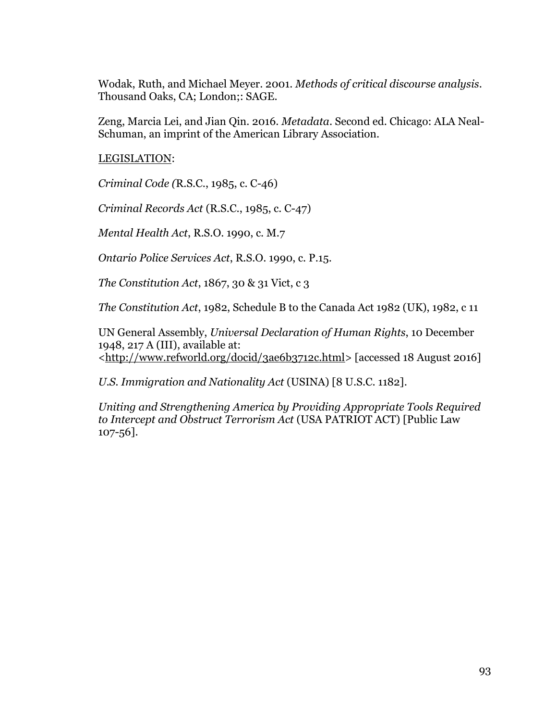Wodak, Ruth, and Michael Meyer. 2001. *Methods of critical discourse analysis*. Thousand Oaks, CA; London;: SAGE.

Zeng, Marcia Lei, and Jian Qin. 2016. *Metadata*. Second ed. Chicago: ALA Neal-Schuman, an imprint of the American Library Association.

LEGISLATION:

*Criminal Code (*R.S.C., 1985, c. C-46)

*Criminal Records Act* (R.S.C., 1985, c. C-47)

*Mental Health Act*, R.S.O. 1990, c. M.7

*Ontario Police Services Act*, R.S.O. 1990, c. P.15.

*The Constitution Act*, 1867, 30 & 31 Vict, c 3

*The Constitution Act*, 1982, Schedule B to the Canada Act 1982 (UK), 1982, c 11

UN General Assembly, *Universal Declaration of Human Rights*, 10 December 1948, 217 A (III), available at: <http://www.refworld.org/docid/3ae6b3712c.html> [accessed 18 August 2016]

*U.S. Immigration and Nationality Act* (USINA) [8 U.S.C. 1182].

*Uniting and Strengthening America by Providing Appropriate Tools Required to Intercept and Obstruct Terrorism Act* (USA PATRIOT ACT) [Public Law 107-56].